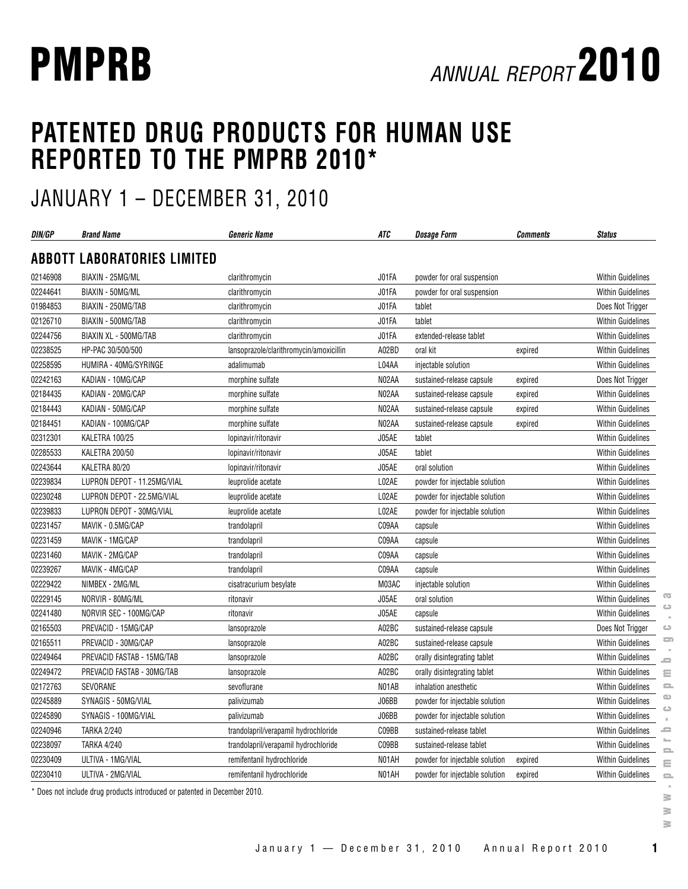# **PATENTED DRUG PRODUCTS FOR HUMAN USE REPORTED TO THE PMPRB 2010\***

## JANUARY 1 – DECEMBER 31, 2010

| DIN/GP   | <b>Brand Name</b>                  | <b>Generic Name</b>                     | ATC   | <b>Dosage Form</b>             | <b>Comments</b> | <b>Status</b>            |
|----------|------------------------------------|-----------------------------------------|-------|--------------------------------|-----------------|--------------------------|
|          | <b>ABBOTT LABORATORIES LIMITED</b> |                                         |       |                                |                 |                          |
| 02146908 | BIAXIN - 25MG/ML                   | clarithromycin                          | J01FA | powder for oral suspension     |                 | <b>Within Guidelines</b> |
| 02244641 | BIAXIN - 50MG/ML                   | clarithromycin                          | J01FA | powder for oral suspension     |                 | <b>Within Guidelines</b> |
| 01984853 | BIAXIN - 250MG/TAB                 | clarithromycin                          | J01FA | tablet                         |                 | Does Not Trigger         |
| 02126710 | BIAXIN - 500MG/TAB                 | clarithromycin                          | J01FA | tablet                         |                 | <b>Within Guidelines</b> |
| 02244756 | BIAXIN XL - 500MG/TAB              | clarithromycin                          | J01FA | extended-release tablet        |                 | <b>Within Guidelines</b> |
| 02238525 | HP-PAC 30/500/500                  | lansoprazole/clarithromycin/amoxicillin | A02BD | oral kit                       | expired         | Within Guidelines        |
| 02258595 | HUMIRA - 40MG/SYRINGE              | adalimumab                              | L04AA | injectable solution            |                 | Within Guidelines        |
| 02242163 | KADIAN - 10MG/CAP                  | morphine sulfate                        | N02AA | sustained-release capsule      | expired         | Does Not Trigger         |
| 02184435 | KADIAN - 20MG/CAP                  | morphine sulfate                        | N02AA | sustained-release capsule      | expired         | <b>Within Guidelines</b> |
| 02184443 | KADIAN - 50MG/CAP                  | morphine sulfate                        | N02AA | sustained-release capsule      | expired         | <b>Within Guidelines</b> |
| 02184451 | KADIAN - 100MG/CAP                 | morphine sulfate                        | N02AA | sustained-release capsule      | expired         | <b>Within Guidelines</b> |
| 02312301 | KALETRA 100/25                     | lopinavir/ritonavir                     | J05AE | tablet                         |                 | <b>Within Guidelines</b> |
| 02285533 | KALETRA 200/50                     | lopinavir/ritonavir                     | J05AE | tablet                         |                 | Within Guidelines        |
| 02243644 | KALETRA 80/20                      | lopinavir/ritonavir                     | J05AE | oral solution                  |                 | <b>Within Guidelines</b> |
| 02239834 | LUPRON DEPOT - 11.25MG/VIAL        | leuprolide acetate                      | L02AE | powder for injectable solution |                 | <b>Within Guidelines</b> |
| 02230248 | LUPRON DEPOT - 22.5MG/VIAL         | leuprolide acetate                      | L02AE | powder for injectable solution |                 | <b>Within Guidelines</b> |
| 02239833 | LUPRON DEPOT - 30MG/VIAL           | leuprolide acetate                      | L02AE | powder for injectable solution |                 | <b>Within Guidelines</b> |
| 02231457 | MAVIK - 0.5MG/CAP                  | trandolapril                            | C09AA | capsule                        |                 | <b>Within Guidelines</b> |
| 02231459 | MAVIK - 1MG/CAP                    | trandolapril                            | C09AA | capsule                        |                 | Within Guidelines        |
| 02231460 | MAVIK - 2MG/CAP                    | trandolapril                            | C09AA | capsule                        |                 | <b>Within Guidelines</b> |
| 02239267 | MAVIK - 4MG/CAP                    | trandolapril                            | C09AA | capsule                        |                 | <b>Within Guidelines</b> |
| 02229422 | NIMBEX - 2MG/ML                    | cisatracurium besylate                  | M03AC | injectable solution            |                 | Within Guidelines        |
| 02229145 | NORVIR - 80MG/ML                   | ritonavir                               | J05AE | oral solution                  |                 | Within Guidelines        |
| 02241480 | NORVIR SEC - 100MG/CAP             | ritonavir                               | J05AE | capsule                        |                 | Within Guidelines        |
| 02165503 | PREVACID - 15MG/CAP                | lansoprazole                            | A02BC | sustained-release capsule      |                 | Does Not Trigger         |
| 02165511 | PREVACID - 30MG/CAP                | lansoprazole                            | A02BC | sustained-release capsule      |                 | <b>Within Guidelines</b> |
| 02249464 | PREVACID FASTAB - 15MG/TAB         | lansoprazole                            | A02BC | orally disintegrating tablet   |                 | <b>Within Guidelines</b> |
| 02249472 | PREVACID FASTAB - 30MG/TAB         | lansoprazole                            | A02BC | orally disintegrating tablet   |                 | Within Guidelines        |
| 02172763 | SEVORANE                           | sevoflurane                             | N01AB | inhalation anesthetic          |                 | <b>Within Guidelines</b> |
| 02245889 | SYNAGIS - 50MG/VIAL                | palivizumab                             | J06BB | powder for injectable solution |                 | <b>Within Guidelines</b> |
| 02245890 | SYNAGIS - 100MG/VIAL               | palivizumab                             | J06BB | powder for injectable solution |                 | <b>Within Guidelines</b> |
| 02240946 | <b>TARKA 2/240</b>                 | trandolapril/verapamil hydrochloride    | CO9BB | sustained-release tablet       |                 | <b>Within Guidelines</b> |
| 02238097 | <b>TARKA 4/240</b>                 | trandolapril/verapamil hydrochloride    | C09BB | sustained-release tablet       |                 | <b>Within Guidelines</b> |
| 02230409 | ULTIVA - 1MG/VIAL                  | remifentanil hydrochloride              | N01AH | powder for injectable solution | expired         | Within Guidelines        |
| 02230410 | ULTIVA - 2MG/VIAL                  | remifentanil hydrochloride              | N01AH | powder for injectable solution | expired         | <b>Within Guidelines</b> |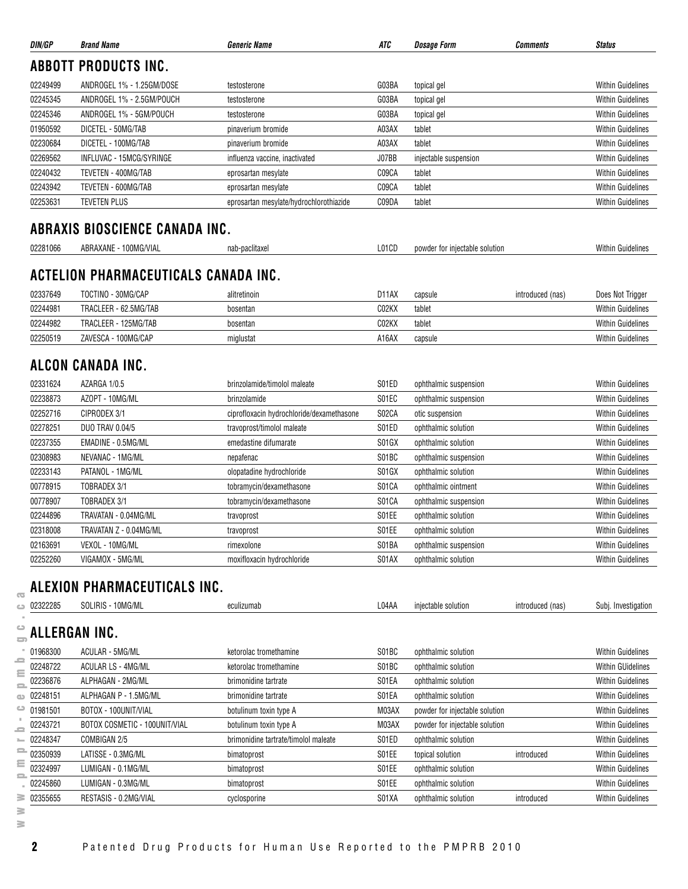| DIN/GP        | <b>Brand Name</b>                     | <i><b>Generic Name</b></i>                | ATC               | <b>Dosage Form</b>             | Comments         | <b>Status</b>            |
|---------------|---------------------------------------|-------------------------------------------|-------------------|--------------------------------|------------------|--------------------------|
|               | <b>ABBOTT PRODUCTS INC.</b>           |                                           |                   |                                |                  |                          |
| 02249499      | ANDROGEL 1% - 1.25GM/DOSE             | testosterone                              | G03BA             | topical gel                    |                  | <b>Within Guidelines</b> |
| 02245345      | ANDROGEL 1% - 2.5GM/POUCH             | testosterone                              | G03BA             | topical gel                    |                  | <b>Within Guidelines</b> |
| 02245346      | ANDROGEL 1% - 5GM/POUCH               | testosterone                              | G03BA             | topical gel                    |                  | <b>Within Guidelines</b> |
| 01950592      | DICETEL - 50MG/TAB                    | pinaverium bromide                        | A03AX             | tablet                         |                  | <b>Within Guidelines</b> |
| 02230684      | DICETEL - 100MG/TAB                   | pinaverium bromide                        | A03AX             | tablet                         |                  | <b>Within Guidelines</b> |
| 02269562      | INFLUVAC - 15MCG/SYRINGE              | influenza vaccine, inactivated            | J07BB             | injectable suspension          |                  | <b>Within Guidelines</b> |
| 02240432      | TEVETEN - 400MG/TAB                   | eprosartan mesylate                       | C09CA             | tablet                         |                  | <b>Within Guidelines</b> |
| 02243942      | TEVETEN - 600MG/TAB                   | eprosartan mesylate                       | C09CA             | tablet                         |                  | <b>Within Guidelines</b> |
| 02253631      | <b>TEVETEN PLUS</b>                   | eprosartan mesylate/hydrochlorothiazide   | C09DA             | tablet                         |                  | <b>Within Guidelines</b> |
|               | <b>ABRAXIS BIOSCIENCE CANADA INC.</b> |                                           |                   |                                |                  |                          |
| 02281066      | ABRAXANE - 100MG/VIAL                 | nab-paclitaxel                            | L01CD             | powder for injectable solution |                  | <b>Within Guidelines</b> |
|               | ACTELION PHARMACEUTICALS CANADA INC.  |                                           |                   |                                |                  |                          |
|               |                                       |                                           |                   |                                |                  |                          |
| 02337649      | TOCTINO - 30MG/CAP                    | alitretinoin                              | D <sub>14</sub> X | capsule                        | introduced (nas) | Does Not Trigger         |
| 02244981      | TRACLEER - 62.5MG/TAB                 | bosentan                                  | C02KX             | tablet                         |                  | <b>Within Guidelines</b> |
| 02244982      | TRACLEER - 125MG/TAB                  | bosentan                                  | C02KX             | tablet                         |                  | <b>Within Guidelines</b> |
| 02250519      | ZAVESCA - 100MG/CAP                   | miglustat                                 | A16AX             | capsule                        |                  | <b>Within Guidelines</b> |
|               | ALCON CANADA INC.                     |                                           |                   |                                |                  |                          |
| 02331624      | AZARGA 1/0.5                          | brinzolamide/timolol maleate              | S01ED             | ophthalmic suspension          |                  | <b>Within Guidelines</b> |
| 02238873      | AZOPT - 10MG/ML                       | brinzolamide                              | S01EC             | ophthalmic suspension          |                  | <b>Within Guidelines</b> |
| 02252716      | CIPRODEX 3/1                          | ciprofloxacin hydrochloride/dexamethasone | S02CA             | otic suspension                |                  | <b>Within Guidelines</b> |
| 02278251      | <b>DUO TRAV 0.04/5</b>                | travoprost/timolol maleate                | S01ED             | ophthalmic solution            |                  | <b>Within Guidelines</b> |
| 02237355      | EMADINE - 0.5MG/ML                    | emedastine difumarate                     | S01GX             | ophthalmic solution            |                  | <b>Within Guidelines</b> |
| 02308983      | NEVANAC - 1MG/ML                      | nepafenac                                 | S01BC             | ophthalmic suspension          |                  | <b>Within Guidelines</b> |
| 02233143      | PATANOL - 1MG/ML                      | olopatadine hydrochloride                 | S01GX             | ophthalmic solution            |                  | <b>Within Guidelines</b> |
| 00778915      | TOBRADEX 3/1                          | tobramycin/dexamethasone                  | S01CA             | ophthalmic ointment            |                  | <b>Within Guidelines</b> |
| 00778907      | TOBRADEX 3/1                          | tobramycin/dexamethasone                  | S01CA             | ophthalmic suspension          |                  | <b>Within Guidelines</b> |
| 02244896      | TRAVATAN - 0.04MG/ML                  | travoprost                                | S01EE             | ophthalmic solution            |                  | <b>Within Guidelines</b> |
| 02318008      | TRAVATAN Z - 0.04MG/ML                | travoprost                                | S01EE             | ophthalmic solution            |                  | <b>Within Guidelines</b> |
| 02163691      | VEXOL - 10MG/ML                       | rimexolone                                | S01BA             | ophthalmic suspension          |                  | <b>Within Guidelines</b> |
| 02252260      | VIGAMOX - 5MG/ML                      | moxifloxacin hydrochloride                | S01AX             | ophthalmic solution            |                  | <b>Within Guidelines</b> |
|               | ALEXION PHARMACEUTICALS INC.          |                                           |                   |                                |                  |                          |
| 02322285      | SOLIRIS - 10MG/ML                     | eculizumab                                | L04AA             | injectable solution            | introduced (nas) | Subj. Investigation      |
|               |                                       |                                           |                   |                                |                  |                          |
| ALLERGAN INC. |                                       |                                           |                   |                                |                  |                          |
| 01968300      | ACULAR - 5MG/ML                       | ketorolac tromethamine                    | S01BC             | ophthalmic solution            |                  | <b>Within Guidelines</b> |
| 02248722      | <b>ACULAR LS - 4MG/ML</b>             | ketorolac tromethamine                    | S01BC             | ophthalmic solution            |                  | <b>Within GUidelines</b> |
| 02236876      | ALPHAGAN - 2MG/ML                     | brimonidine tartrate                      | S01EA             | ophthalmic solution            |                  | <b>Within Guidelines</b> |
| 02248151      | ALPHAGAN P - 1.5MG/ML                 | brimonidine tartrate                      | S01EA             | ophthalmic solution            |                  | <b>Within Guidelines</b> |
| 01981501      | BOTOX - 100UNIT/VIAL                  | botulinum toxin type A                    | M03AX             | powder for injectable solution |                  | <b>Within Guidelines</b> |
| 02243721      | BOTOX COSMETIC - 100UNIT/VIAL         | botulinum toxin type A                    | M03AX             | powder for injectable solution |                  | <b>Within Guidelines</b> |
| 02248347      | COMBIGAN 2/5                          | brimonidine tartrate/timolol maleate      | S01ED             | ophthalmic solution            |                  | <b>Within Guidelines</b> |
| 02350939      | LATISSE - 0.3MG/ML                    | bimatoprost                               | S01EE             | topical solution               | introduced       | <b>Within Guidelines</b> |
|               | LUMIGAN - 0.1MG/ML                    | bimatoprost                               | S01EE             | ophthalmic solution            |                  | <b>Within Guidelines</b> |
| 02324997      |                                       |                                           |                   |                                |                  |                          |
| 02245860      | LUMIGAN - 0.3MG/ML                    | bimatoprost                               | S01EE             | ophthalmic solution            |                  | <b>Within Guidelines</b> |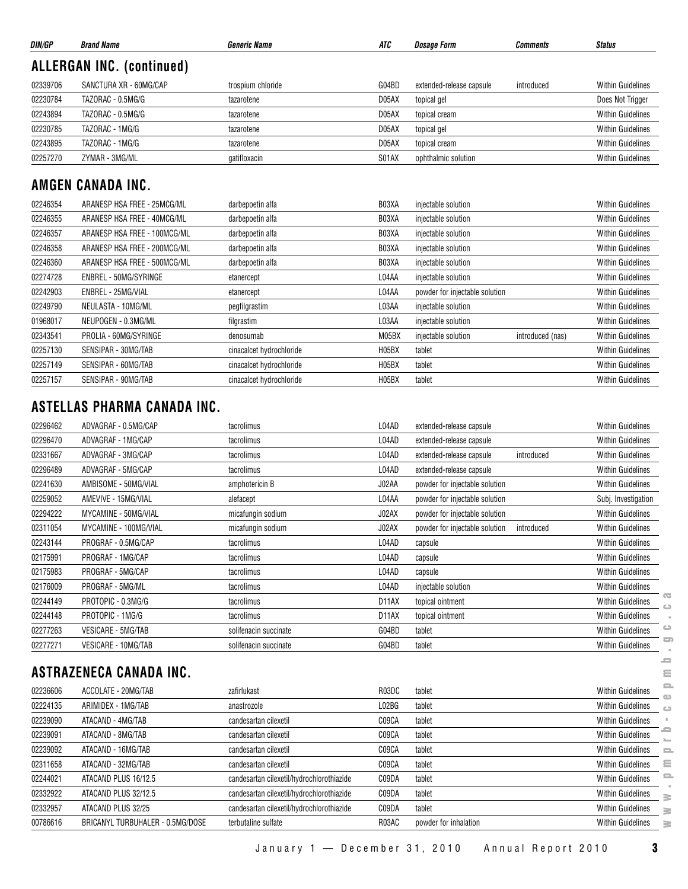| DIN/GP   | <b>Brand Name</b>                | <b>Generic Name</b>      | ATC   | <i><b>Dosage Form</b></i>      | <b>Comments</b>  | <b>Status</b>                                              |
|----------|----------------------------------|--------------------------|-------|--------------------------------|------------------|------------------------------------------------------------|
|          | <b>ALLERGAN INC. (continued)</b> |                          |       |                                |                  |                                                            |
| 02339706 | SANCTURA XR - 60MG/CAP           | trospium chloride        | G04BD | extended-release capsule       | introduced       | <b>Within Guidelines</b>                                   |
| 02230784 | TAZORAC - 0.5MG/G                | tazarotene               | D05AX | topical gel                    |                  | Does Not Trigger                                           |
| 02243894 | TAZORAC - 0.5MG/G                | tazarotene               | D05AX | topical cream                  |                  | Within Guidelines                                          |
| 02230785 | TAZORAC - 1MG/G                  | tazarotene               | D05AX | topical gel                    |                  | <b>Within Guidelines</b>                                   |
| 02243895 | TAZORAC - 1MG/G                  | tazarotene               | D05AX | topical cream                  |                  | <b>Within Guidelines</b>                                   |
| 02257270 | ZYMAR - 3MG/ML                   | gatifloxacin             | S01AX | ophthalmic solution            |                  | <b>Within Guidelines</b>                                   |
|          | AMGEN CANADA INC.                |                          |       |                                |                  |                                                            |
| 02246354 | ARANESP HSA FREE - 25MCG/ML      | darbepoetin alfa         | B03XA | injectable solution            |                  | <b>Within Guidelines</b>                                   |
| 02246355 | ARANESP HSA FREE - 40MCG/ML      | darbepoetin alfa         | B03XA | injectable solution            |                  | <b>Within Guidelines</b>                                   |
| 02246357 | ARANESP HSA FREE - 100MCG/ML     | darbepoetin alfa         | B03XA | injectable solution            |                  | <b>Within Guidelines</b>                                   |
| 02246358 | ARANESP HSA FREE - 200MCG/ML     | darbepoetin alfa         | B03XA | injectable solution            |                  | <b>Within Guidelines</b>                                   |
| 02246360 | ARANESP HSA FREE - 500MCG/ML     | darbepoetin alfa         | B03XA | injectable solution            |                  | Within Guidelines                                          |
| 02274728 | ENBREL - 50MG/SYRINGE            | etanercept               | L04AA | injectable solution            |                  | <b>Within Guidelines</b>                                   |
| 02242903 | ENBREL - 25MG/VIAL               | etanercept               | L04AA | powder for injectable solution |                  | <b>Within Guidelines</b>                                   |
| 02249790 | NEULASTA - 10MG/ML               | pegfilgrastim            | L03AA | injectable solution            |                  | <b>Within Guidelines</b>                                   |
| 01968017 | NEUPOGEN - 0.3MG/ML              | filgrastim               | L03AA | injectable solution            |                  | <b>Within Guidelines</b>                                   |
| 02343541 | PROLIA - 60MG/SYRINGE            | denosumab                | M05BX | injectable solution            | introduced (nas) | <b>Within Guidelines</b>                                   |
| 02257130 | SENSIPAR - 30MG/TAB              | cinacalcet hydrochloride | H05BX | tablet                         |                  | Within Guidelines                                          |
| 02257149 | SENSIPAR - 60MG/TAB              | cinacalcet hydrochloride | H05BX | tablet                         |                  | Within Guidelines                                          |
| 02257157 | SENSIPAR - 90MG/TAB              | cinacalcet hydrochloride | H05BX | tablet                         |                  | <b>Within Guidelines</b>                                   |
|          | ASTELLAS PHARMA CANADA INC.      |                          |       |                                |                  |                                                            |
| 02296462 | ADVAGRAF - 0.5MG/CAP             | tacrolimus               | L04AD | extended-release capsule       |                  | <b>Within Guidelines</b>                                   |
| 02296470 | ADVAGRAF - 1MG/CAP               | tacrolimus               | L04AD | extended-release capsule       |                  | <b>Within Guidelines</b>                                   |
| 02331667 | ADVAGRAF - 3MG/CAP               | tacrolimus               | L04AD | extended-release capsule       | introduced       | <b>Within Guidelines</b>                                   |
| 02296489 | ADVAGRAF - 5MG/CAP               | tacrolimus               | L04AD | extended-release capsule       |                  | <b>Within Guidelines</b>                                   |
| 02241630 | AMBISOME - 50MG/VIAL             | amphotericin B           | J02AA | powder for injectable solution |                  | <b>Within Guidelines</b>                                   |
| 02259052 | AMEVIVE - 15MG/VIAL              | alefacept                | L04AA | powder for injectable solution |                  | Subj. Investigation                                        |
| 02294222 | MYCAMINE - 50MG/VIAL             | micafungin sodium        | J02AX | powder for injectable solution |                  | <b>Within Guidelines</b>                                   |
| 02311054 | MYCAMINE - 100MG/VIAL            | micafungin sodium        | J02AX | powder for injectable solution | introduced       | <b>Within Guidelines</b>                                   |
| 02243144 | PROGRAF - 0.5MG/CAP              | tacrolimus               | L04AD | capsule                        |                  | <b>Within Guidelines</b>                                   |
| 02175991 | PROGRAF - 1MG/CAP                | tacrolimus               | L04AD | capsule                        |                  | <b>Within Guidelines</b>                                   |
| 02175983 | PROGRAF - 5MG/CAP                | tacrolimus               | L04AD | capsule                        |                  | <b>Within Guidelines</b>                                   |
| 02176009 | PROGRAF - 5MG/ML                 | tacrolimus               | L04AD | injectable solution            |                  | <b>Within Guidelines</b>                                   |
| 02244149 | PROTOPIC - 0.3MG/G               | tacrolimus               | D11AX | topical ointment               |                  | $\overline{\mathbf{c}}$<br>Within Guidelines<br>$\bigcirc$ |
| 02244148 | PROTOPIC - 1MG/G                 | tacrolimus               | D11AX | topical ointment               |                  | <b>Within Guidelines</b>                                   |
| 02277263 | VESICARE - 5MG/TAB               | solifenacin succinate    | G04BD | tablet                         |                  | $\circ$<br><b>Within Guidelines</b>                        |
| 02277271 | VESICARE - 10MG/TAB              | solifenacin succinate    | G04BD | tablet                         |                  | <b>Within Guidelines</b>                                   |
|          | <b>ASTRAZENECA CANADA INC.</b>   |                          |       |                                |                  | e<br>Ξ                                                     |
| 02236606 | ACCOLATE - 20MG/TAB              | zafirlukast              | R03DC | tablet                         |                  | $\equiv$<br><b>Within Guidelines</b>                       |
| 02224135 | ARIMIDEX - 1MG/TAB               | anastrozole              | L02BG | tablet                         |                  | ഄ<br><b>Within Guidelines</b><br>$\bigcirc$                |
| 02239090 | ATACAND - 4MG/TAB                | candesartan cilexetil    | C09CA | tablet                         |                  | <b>Within Guidelines</b>                                   |

| 02244149 | PROTOPIC - 0.3MG/G               | tacrolimus                                | D <sub>11</sub> AX | topical ointment      | $\overline{\mathbf{c}}$<br><b>Within Guidelines</b>      |
|----------|----------------------------------|-------------------------------------------|--------------------|-----------------------|----------------------------------------------------------|
| 02244148 | PROTOPIC - 1MG/G                 | tacrolimus                                | D11AX              | topical ointment      | <b>Within Guidelines</b>                                 |
| 02277263 | <b>VESICARE - 5MG/TAB</b>        | solifenacin succinate                     | G04BD              | tablet                | $\circ$<br>Within Guidelines                             |
| 02277271 | VESICARE - 10MG/TAB              | solifenacin succinate                     | G04BD              | tablet                | $\overline{\phantom{a}}$<br><b>Within Guidelines</b>     |
|          | ASTRAZENECA CANADA INC.          |                                           |                    |                       | -<br>Ξ                                                   |
| 02236606 | ACCOLATE - 20MG/TAB              | zafirlukast                               | R03DC              | tablet                | $\equiv$<br><b>Within Guidelines</b>                     |
| 02224135 | ARIMIDEX - 1MG/TAB               | anastrozole                               | L02BG              | tablet                | <b>Within Guidelines</b><br>$\circ$                      |
| 02239090 | ATACAND - 4MG/TAB                | candesartan cilexetil                     | C09CA              | tablet                | <b>Within Guidelines</b>                                 |
| 02239091 | ATACAND - 8MG/TAB                | candesartan cilexetil                     | C09CA              | tablet                | ᅩ<br><b>Within Guidelines</b>                            |
| 02239092 | ATACAND - 16MG/TAB               | candesartan cilexetil                     | C09CA              | tablet                | <b>Within Guidelines</b><br>$\qquad \qquad \blacksquare$ |
| 02311658 | ATACAND - 32MG/TAB               | candesartan cilexetil                     | C09CA              | tablet                | ε<br><b>Within Guidelines</b>                            |
| 02244021 | ATACAND PLUS 16/12.5             | candesartan cilexetil/hydrochlorothiazide | C09DA              | tablet                | 2<br><b>Within Guidelines</b>                            |
| 02332922 | ATACAND PLUS 32/12.5             | candesartan cilexetil/hydrochlorothiazide | C09DA              | tablet                | Within Guidelines<br>$\geq$                              |
| 02332957 | ATACAND PLUS 32/25               | candesartan cilexetil/hydrochlorothiazide | C09DA              | tablet                | <b>Within Guidelines</b><br>≧                            |
| 00786616 | BRICANYL TURBUHALER - 0.5MG/DOSE | terbutaline sulfate                       | R03AC              | powder for inhalation | <b>Within Guidelines</b><br>≧                            |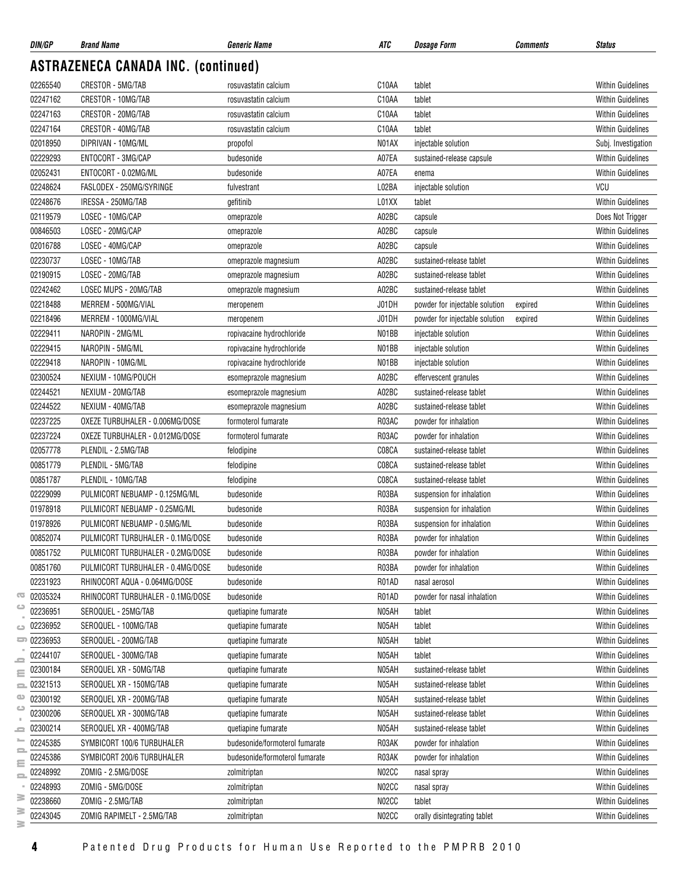| DIN/GP   | <b>Brand Name</b>                          | <b>Generic Name</b>            | ATC                | <i><b>Dosage Form</b></i>      | <b>Comments</b> | <b>Status</b>            |
|----------|--------------------------------------------|--------------------------------|--------------------|--------------------------------|-----------------|--------------------------|
|          | <b>ASTRAZENECA CANADA INC. (continued)</b> |                                |                    |                                |                 |                          |
| 02265540 | CRESTOR - 5MG/TAB                          | rosuvastatin calcium           | C10AA              | tablet                         |                 | <b>Within Guidelines</b> |
| 02247162 | CRESTOR - 10MG/TAB                         | rosuvastatin calcium           | C10AA              | tablet                         |                 | <b>Within Guidelines</b> |
| 02247163 | CRESTOR - 20MG/TAB                         | rosuvastatin calcium           | C <sub>10</sub> AA | tablet                         |                 | <b>Within Guidelines</b> |
| 02247164 | CRESTOR - 40MG/TAB                         | rosuvastatin calcium           | C10AA              | tablet                         |                 | <b>Within Guidelines</b> |
| 02018950 | DIPRIVAN - 10MG/ML                         | propofol                       | N01AX              | injectable solution            |                 | Subj. Investigation      |
| 02229293 | ENTOCORT - 3MG/CAP                         | budesonide                     | A07EA              | sustained-release capsule      |                 | <b>Within Guidelines</b> |
| 02052431 | ENTOCORT - 0.02MG/ML                       | budesonide                     | A07EA              | enema                          |                 | <b>Within Guidelines</b> |
| 02248624 | FASLODEX - 250MG/SYRINGE                   | fulvestrant                    | L02BA              | injectable solution            |                 | VCU                      |
| 02248676 | IRESSA - 250MG/TAB                         | gefitinib                      | L01XX              | tablet                         |                 | <b>Within Guidelines</b> |
| 02119579 | LOSEC - 10MG/CAP                           | omeprazole                     | A02BC              | capsule                        |                 | Does Not Trigger         |
| 00846503 | LOSEC - 20MG/CAP                           | omeprazole                     | A02BC              | capsule                        |                 | <b>Within Guidelines</b> |
| 02016788 | LOSEC - 40MG/CAP                           | omeprazole                     | A02BC              | capsule                        |                 | <b>Within Guidelines</b> |
| 02230737 | LOSEC - 10MG/TAB                           | omeprazole magnesium           | A02BC              | sustained-release tablet       |                 | <b>Within Guidelines</b> |
| 02190915 | LOSEC - 20MG/TAB                           | omeprazole magnesium           | A02BC              | sustained-release tablet       |                 | Within Guidelines        |
| 02242462 | LOSEC MUPS - 20MG/TAB                      | omeprazole magnesium           | A02BC              | sustained-release tablet       |                 | <b>Within Guidelines</b> |
| 02218488 | MERREM - 500MG/VIAL                        | meropenem                      | J01DH              | powder for injectable solution | expired         | <b>Within Guidelines</b> |
| 02218496 | MERREM - 1000MG/VIAL                       | meropenem                      | J01DH              | powder for injectable solution | expired         | <b>Within Guidelines</b> |
| 02229411 | NAROPIN - 2MG/ML                           | ropivacaine hydrochloride      | N01BB              | injectable solution            |                 | <b>Within Guidelines</b> |
| 02229415 | NAROPIN - 5MG/ML                           | ropivacaine hydrochloride      | N01BB              | injectable solution            |                 | <b>Within Guidelines</b> |
| 02229418 | NAROPIN - 10MG/ML                          | ropivacaine hydrochloride      | N01BB              | injectable solution            |                 | Within Guidelines        |
| 02300524 | NEXIUM - 10MG/POUCH                        | esomeprazole magnesium         | A02BC              | effervescent granules          |                 | <b>Within Guidelines</b> |
| 02244521 | NEXIUM - 20MG/TAB                          | esomeprazole magnesium         | A02BC              | sustained-release tablet       |                 | Within Guidelines        |
| 02244522 | NEXIUM - 40MG/TAB                          | esomeprazole magnesium         | A02BC              | sustained-release tablet       |                 | <b>Within Guidelines</b> |
| 02237225 | OXEZE TURBUHALER - 0.006MG/DOSE            | formoterol fumarate            | R03AC              | powder for inhalation          |                 | <b>Within Guidelines</b> |
| 02237224 | OXEZE TURBUHALER - 0.012MG/DOSE            | formoterol fumarate            | R03AC              | powder for inhalation          |                 | <b>Within Guidelines</b> |
| 02057778 | PLENDIL - 2.5MG/TAB                        | felodipine                     | C08CA              | sustained-release tablet       |                 | <b>Within Guidelines</b> |
| 00851779 | PLENDIL - 5MG/TAB                          | felodipine                     | C08CA              | sustained-release tablet       |                 | <b>Within Guidelines</b> |
| 00851787 | PLENDIL - 10MG/TAB                         | felodipine                     | C08CA              | sustained-release tablet       |                 | <b>Within Guidelines</b> |
| 02229099 | PULMICORT NEBUAMP - 0.125MG/ML             | budesonide                     | R03BA              | suspension for inhalation      |                 | <b>Within Guidelines</b> |
| 01978918 | PULMICORT NEBUAMP - 0.25MG/ML              | budesonide                     | R03BA              | suspension for inhalation      |                 | <b>Within Guidelines</b> |
| 01978926 | PULMICORT NEBUAMP - 0.5MG/ML               | budesonide                     | R03BA              | suspension for inhalation      |                 | <b>Within Guidelines</b> |
| 00852074 | PULMICORT TURBUHALER - 0.1MG/DOSE          | budesonide                     | R03BA              | powder for inhalation          |                 | Within Guidelines        |
| 00851752 | PULMICORT TURBUHALER - 0.2MG/DOSE          | budesonide                     | R03BA              | powder for inhalation          |                 | <b>Within Guidelines</b> |
| 00851760 | PULMICORT TURBUHALER - 0.4MG/DOSE          | budesonide                     | R03BA              | powder for inhalation          |                 | <b>Within Guidelines</b> |
| 02231923 | RHINOCORT AQUA - 0.064MG/DOSE              | budesonide                     | R01AD              | nasal aerosol                  |                 | <b>Within Guidelines</b> |
| 02035324 | RHINOCORT TURBUHALER - 0.1MG/DOSE          | budesonide                     | R01AD              | powder for nasal inhalation    |                 | <b>Within Guidelines</b> |
| 02236951 | SEROQUEL - 25MG/TAB                        | quetiapine fumarate            | N05AH              | tablet                         |                 | <b>Within Guidelines</b> |
| 02236952 | SEROQUEL - 100MG/TAB                       | quetiapine fumarate            | N05AH              | tablet                         |                 | <b>Within Guidelines</b> |
| 02236953 | SEROQUEL - 200MG/TAB                       | quetiapine fumarate            | N05AH              | tablet                         |                 | <b>Within Guidelines</b> |
| 02244107 | SEROQUEL - 300MG/TAB                       | quetiapine fumarate            | N05AH              | tablet                         |                 | <b>Within Guidelines</b> |
| 02300184 | SEROQUEL XR - 50MG/TAB                     | quetiapine fumarate            | N05AH              | sustained-release tablet       |                 | <b>Within Guidelines</b> |
| 02321513 | SEROQUEL XR - 150MG/TAB                    | quetiapine fumarate            | N05AH              | sustained-release tablet       |                 | <b>Within Guidelines</b> |
| 02300192 | SEROQUEL XR - 200MG/TAB                    | quetiapine fumarate            | N05AH              | sustained-release tablet       |                 | <b>Within Guidelines</b> |
| 02300206 | SEROQUEL XR - 300MG/TAB                    | quetiapine fumarate            | N05AH              | sustained-release tablet       |                 | <b>Within Guidelines</b> |
| 02300214 | SEROQUEL XR - 400MG/TAB                    | quetiapine fumarate            | N05AH              | sustained-release tablet       |                 | <b>Within Guidelines</b> |
| 02245385 | SYMBICORT 100/6 TURBUHALER                 | budesonide/formoterol fumarate | R03AK              | powder for inhalation          |                 | <b>Within Guidelines</b> |
| 02245386 | SYMBICORT 200/6 TURBUHALER                 | budesonide/formoterol fumarate | R03AK              | powder for inhalation          |                 | <b>Within Guidelines</b> |
| 02248992 | ZOMIG - 2.5MG/DOSE                         | zolmitriptan                   | N02CC              | nasal spray                    |                 | <b>Within Guidelines</b> |
| 02248993 | ZOMIG - 5MG/DOSE                           | zolmitriptan                   | N02CC              | nasal spray                    |                 | <b>Within Guidelines</b> |
| 02238660 | ZOMIG - 2.5MG/TAB                          | zolmitriptan                   | N02CC              | tablet                         |                 | <b>Within Guidelines</b> |
| 02243045 | ZOMIG RAPIMELT - 2.5MG/TAB                 | zolmitriptan                   | N02CC              | orally disintegrating tablet   |                 | <b>Within Guidelines</b> |
|          |                                            |                                |                    |                                |                 |                          |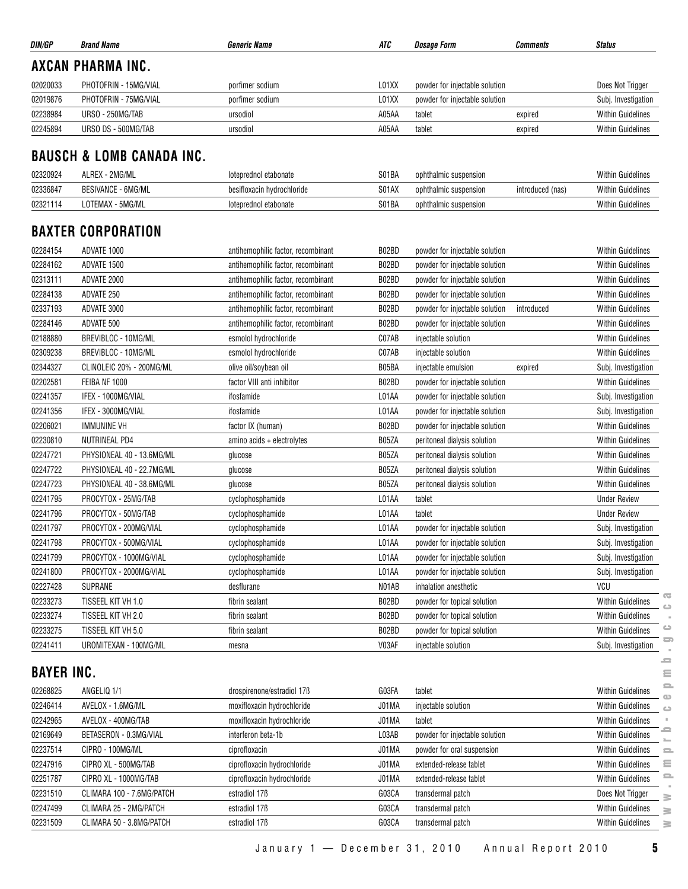| Does Not Trigger         |
|--------------------------|
| Subj. Investigation      |
| <b>Within Guidelines</b> |
| <b>Within Guidelines</b> |
|                          |

#### **BAUSCH & LOMB CANADA INC.**

| 02320924 | ALREX - 2MG/ML            | Toteprednol etabonate      | S01BA | ophthalmic suspension |                  | <b>Within Guidelines</b> |
|----------|---------------------------|----------------------------|-------|-----------------------|------------------|--------------------------|
| 02336847 | <b>BESIVANCE - 6MG/ML</b> | besifloxacin hydrochloride | S01AX | ophthalmic suspension | introduced (nas) | <b>Within Guidelines</b> |
| 02321114 | · 5MG/ML<br>LOTEMAX       | loteprednol etabonate      | S01BA | ophthalmic suspension |                  | <b>Within Guidelines</b> |

#### **BAXTER CORPORATION**

| 02284154 | ADVATE 1000               | antihemophilic factor, recombinant | B02BD | powder for injectable solution | <b>Within Guidelines</b>                                             |
|----------|---------------------------|------------------------------------|-------|--------------------------------|----------------------------------------------------------------------|
| 02284162 | ADVATE 1500               | antihemophilic factor, recombinant | B02BD | powder for injectable solution | <b>Within Guidelines</b>                                             |
| 02313111 | ADVATE 2000               | antihemophilic factor, recombinant | B02BD | powder for injectable solution | <b>Within Guidelines</b>                                             |
| 02284138 | ADVATE 250                | antihemophilic factor, recombinant | B02BD | powder for injectable solution | <b>Within Guidelines</b>                                             |
| 02337193 | ADVATE 3000               | antihemophilic factor, recombinant | B02BD | powder for injectable solution | <b>Within Guidelines</b><br>introduced                               |
| 02284146 | ADVATE 500                | antihemophilic factor, recombinant | B02BD | powder for injectable solution | <b>Within Guidelines</b>                                             |
| 02188880 | BREVIBLOC - 10MG/ML       | esmolol hydrochloride              | C07AB | injectable solution            | <b>Within Guidelines</b>                                             |
| 02309238 | BREVIBLOC - 10MG/ML       | esmolol hydrochloride              | C07AB | injectable solution            | <b>Within Guidelines</b>                                             |
| 02344327 | CLINOLEIC 20% - 200MG/ML  | olive oil/soybean oil              | B05BA | injectable emulsion<br>expired | Subj. Investigation                                                  |
| 02202581 | FEIBA NF 1000             | factor VIII anti inhibitor         | B02BD | powder for injectable solution | <b>Within Guidelines</b>                                             |
| 02241357 | IFEX - 1000MG/VIAL        | ifosfamide                         | L01AA | powder for injectable solution | Subj. Investigation                                                  |
| 02241356 | IFEX - 3000MG/VIAL        | ifosfamide                         | L01AA | powder for injectable solution | Subj. Investigation                                                  |
| 02206021 | <b>IMMUNINE VH</b>        | factor IX (human)                  | B02BD | powder for injectable solution | <b>Within Guidelines</b>                                             |
| 02230810 | <b>NUTRINEAL PD4</b>      | amino acids + electrolytes         | B05ZA | peritoneal dialysis solution   | <b>Within Guidelines</b>                                             |
| 02247721 | PHYSIONEAL 40 - 13.6MG/ML | glucose                            | B05ZA | peritoneal dialysis solution   | <b>Within Guidelines</b>                                             |
| 02247722 | PHYSIONEAL 40 - 22.7MG/ML | glucose                            | B05ZA | peritoneal dialysis solution   | <b>Within Guidelines</b>                                             |
| 02247723 | PHYSIONEAL 40 - 38.6MG/ML | glucose                            | B05ZA | peritoneal dialysis solution   | <b>Within Guidelines</b>                                             |
| 02241795 | PROCYTOX - 25MG/TAB       | cyclophosphamide                   | L01AA | tablet                         | <b>Under Review</b>                                                  |
| 02241796 | PROCYTOX - 50MG/TAB       | cyclophosphamide                   | L01AA | tablet                         | <b>Under Review</b>                                                  |
| 02241797 | PROCYTOX - 200MG/VIAL     | cyclophosphamide                   | L01AA | powder for injectable solution | Subj. Investigation                                                  |
| 02241798 | PROCYTOX - 500MG/VIAL     | cyclophosphamide                   | L01AA | powder for injectable solution | Subj. Investigation                                                  |
| 02241799 | PROCYTOX - 1000MG/VIAL    | cyclophosphamide                   | L01AA | powder for injectable solution | Subj. Investigation                                                  |
| 02241800 | PROCYTOX - 2000MG/VIAL    | cyclophosphamide                   | L01AA | powder for injectable solution | Subj. Investigation                                                  |
| 02227428 | <b>SUPRANE</b>            | desflurane                         | N01AB | inhalation anesthetic          | VCU                                                                  |
| 02233273 | TISSEEL KIT VH 1.0        | fibrin sealant                     | B02BD | powder for topical solution    | $\overline{\mathbf{c}}$<br><b>Within Guidelines</b><br>$\Rightarrow$ |
| 02233274 | TISSEEL KIT VH 2.0        | fibrin sealant                     | B02BD | powder for topical solution    | <b>Within Guidelines</b>                                             |
| 02233275 | TISSEEL KIT VH 5.0        | fibrin sealant                     | B02BD | powder for topical solution    | $\bigcirc$<br><b>Within Guidelines</b>                               |
| 02241411 | UROMITEXAN - 100MG/ML     | mesna                              | V03AF | injectable solution            | ᆖ<br>Subj. Investigation                                             |

#### **BAYER INC.**

| 02233273          | TISSEEL KIT VH 1.0        | fibrin sealant              | B02BD | powder for topical solution    | $\overline{a}$<br><b>Within Guidelines</b><br>$\bigcirc$ |
|-------------------|---------------------------|-----------------------------|-------|--------------------------------|----------------------------------------------------------|
| 02233274          | TISSEEL KIT VH 2.0        | fibrin sealant              | B02BD | powder for topical solution    | <b>Within Guidelines</b>                                 |
| 02233275          | TISSEEL KIT VH 5.0        | fibrin sealant              | B02BD | powder for topical solution    | ت<br><b>Within Guidelines</b>                            |
| 02241411          | UROMITEXAN - 100MG/ML     | mesna                       | V03AF | injectable solution            | 5<br>Subj. Investigation                                 |
| <b>BAYER INC.</b> |                           |                             |       |                                | ᅩ<br>Ξ                                                   |
| 02268825          | ANGELIQ 1/1               | drospirenone/estradiol 17B  | G03FA | tablet                         | <b>Within Guidelines</b>                                 |
| 02246414          | AVELOX - 1.6MG/ML         | moxifloxacin hydrochloride  | J01MA | injectable solution            | <b>Within Guidelines</b><br>$\circ$                      |
| 02242965          | AVELOX - 400MG/TAB        | moxifloxacin hydrochloride  | J01MA | tablet                         | <b>Within Guidelines</b>                                 |
| 02169649          | BETASERON - 0.3MG/VIAL    | interferon beta-1b          | L03AB | powder for injectable solution | <b>Within Guidelines</b>                                 |
| 02237514          | CIPRO - 100MG/ML          | ciprofloxacin               | J01MA | powder for oral suspension     | <b>Within Guidelines</b><br>$\equiv$                     |
| 02247916          | CIPRO XL - 500MG/TAB      | ciprofloxacin hydrochloride | J01MA | extended-release tablet        | Ξ<br><b>Within Guidelines</b>                            |
| 02251787          | CIPRO XL - 1000MG/TAB     | ciprofloxacin hydrochloride | J01MA | extended-release tablet        | $\equiv$<br><b>Within Guidelines</b>                     |
| 02231510          | CLIMARA 100 - 7.6MG/PATCH | estradiol 17 <sub>B</sub>   | G03CA | transdermal patch              | Does Not Trigger<br>≧                                    |
| 02247499          | CLIMARA 25 - 2MG/PATCH    | estradiol 17 <sub>B</sub>   | G03CA | transdermal patch              | <b>Within Guidelines</b><br>≧                            |
| 02231509          | CLIMARA 50 - 3.8MG/PATCH  | estradiol 17 <sub>B</sub>   | G03CA | transdermal patch              | <b>Within Guidelines</b><br>≧                            |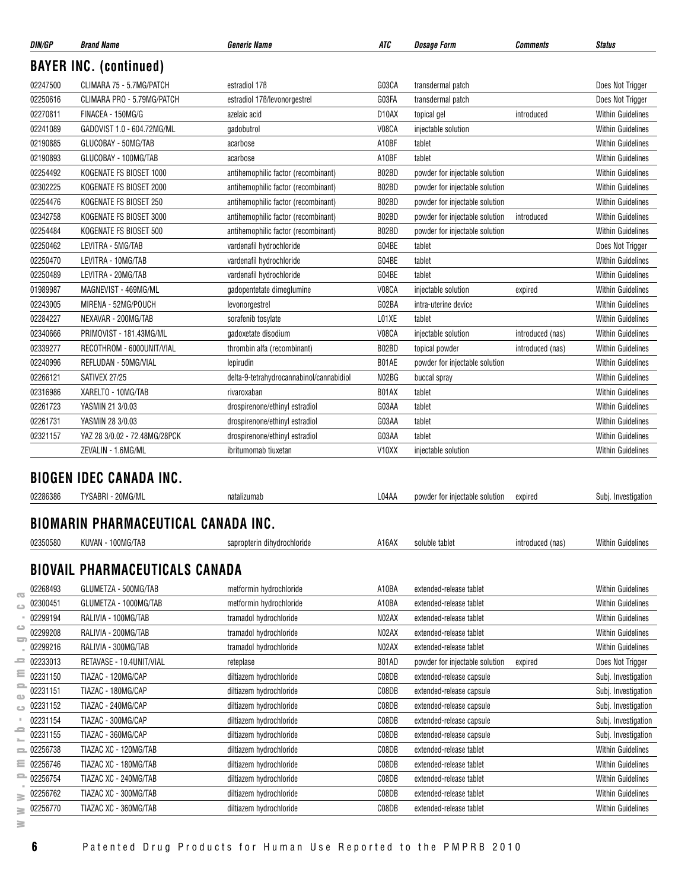| DIN/GP        | <b>Brand Name</b>                          | <b>Generic Name</b>                      | ATC                | <b>Dosage Form</b>             | <b>Comments</b>  | <b>Status</b>            |
|---------------|--------------------------------------------|------------------------------------------|--------------------|--------------------------------|------------------|--------------------------|
|               | <b>BAYER INC. (continued)</b>              |                                          |                    |                                |                  |                          |
| 02247500      | CLIMARA 75 - 5.7MG/PATCH                   | estradiol 17 <sub>B</sub>                | G03CA              | transdermal patch              |                  | Does Not Trigger         |
| 02250616      | CLIMARA PRO - 5.79MG/PATCH                 | estradiol 17B/levonorgestrel             | G03FA              | transdermal patch              |                  | Does Not Trigger         |
| 02270811      | FINACEA - 150MG/G                          | azelaic acid                             | D <sub>10</sub> AX | topical gel                    | introduced       | <b>Within Guidelines</b> |
| 02241089      | GADOVIST 1.0 - 604.72MG/ML                 | gadobutrol                               | V08CA              | injectable solution            |                  | <b>Within Guidelines</b> |
| 02190885      | GLUCOBAY - 50MG/TAB                        | acarbose                                 | A10BF              | tablet                         |                  | <b>Within Guidelines</b> |
| 02190893      | GLUCOBAY - 100MG/TAB                       | acarbose                                 | A10BF              | tablet                         |                  | <b>Within Guidelines</b> |
| 02254492      | KOGENATE FS BIOSET 1000                    | antihemophilic factor (recombinant)      | B02BD              | powder for injectable solution |                  | <b>Within Guidelines</b> |
| 02302225      | KOGENATE FS BIOSET 2000                    | antihemophilic factor (recombinant)      | B02BD              | powder for injectable solution |                  | <b>Within Guidelines</b> |
| 02254476      | KOGENATE FS BIOSET 250                     | antihemophilic factor (recombinant)      | B02BD              | powder for injectable solution |                  | <b>Within Guidelines</b> |
| 02342758      | KOGENATE FS BIOSET 3000                    | antihemophilic factor (recombinant)      | B02BD              | powder for injectable solution | introduced       | <b>Within Guidelines</b> |
| 02254484      | KOGENATE FS BIOSET 500                     | antihemophilic factor (recombinant)      | B02BD              | powder for injectable solution |                  | <b>Within Guidelines</b> |
| 02250462      | LEVITRA - 5MG/TAB                          | vardenafil hydrochloride                 | G04BE              | tablet                         |                  | Does Not Trigger         |
| 02250470      | LEVITRA - 10MG/TAB                         | vardenafil hydrochloride                 | G04BE              | tablet                         |                  | <b>Within Guidelines</b> |
| 02250489      | LEVITRA - 20MG/TAB                         | vardenafil hydrochloride                 | G04BE              | tablet                         |                  | <b>Within Guidelines</b> |
| 01989987      | MAGNEVIST - 469MG/ML                       | gadopentetate dimeglumine                | V08CA              | injectable solution            | expired          | <b>Within Guidelines</b> |
| 02243005      | MIRENA - 52MG/POUCH                        | levonorgestrel                           | G02BA              | intra-uterine device           |                  | <b>Within Guidelines</b> |
| 02284227      | NEXAVAR - 200MG/TAB                        | sorafenib tosylate                       | L01XE              | tablet                         |                  | <b>Within Guidelines</b> |
| 02340666      | PRIMOVIST - 181.43MG/ML                    | gadoxetate disodium                      | V08CA              | injectable solution            | introduced (nas) | <b>Within Guidelines</b> |
| 02339277      | RECOTHROM - 6000UNIT/VIAL                  | thrombin alfa (recombinant)              | B02BD              | topical powder                 | introduced (nas) | <b>Within Guidelines</b> |
| 02240996      | REFLUDAN - 50MG/VIAL                       | lepirudin                                | B01AE              | powder for injectable solution |                  | <b>Within Guidelines</b> |
| 02266121      | SATIVEX 27/25                              | delta-9-tetrahydrocannabinol/cannabidiol | N02BG              | buccal spray                   |                  | <b>Within Guidelines</b> |
| 02316986      | XARELTO - 10MG/TAB                         | rivaroxaban                              | B01AX              | tablet                         |                  | <b>Within Guidelines</b> |
| 02261723      | YASMIN 21 3/0.03                           | drospirenone/ethinyl estradiol           | G03AA              | tablet                         |                  | <b>Within Guidelines</b> |
| 02261731      | YASMIN 28 3/0.03                           | drospirenone/ethinyl estradiol           | G03AA              | tablet                         |                  | <b>Within Guidelines</b> |
| 02321157      | YAZ 28 3/0.02 - 72.48MG/28PCK              | drospirenone/ethinyl estradiol           | G03AA              | tablet                         |                  | <b>Within Guidelines</b> |
|               | ZEVALIN - 1.6MG/ML                         | ibritumomab tiuxetan                     | V <sub>10</sub> XX | injectable solution            |                  | <b>Within Guidelines</b> |
|               |                                            |                                          |                    |                                |                  |                          |
|               | <b>BIOGEN IDEC CANADA INC.</b>             |                                          |                    |                                |                  |                          |
| 02286386      | TYSABRI - 20MG/ML                          | natalizumab                              | L04AA              | powder for injectable solution | expired          | Subj. Investigation      |
|               |                                            |                                          |                    |                                |                  |                          |
|               | <b>BIOMARIN PHARMACEUTICAL CANADA INC.</b> |                                          |                    |                                |                  |                          |
| 02350580      | KUVAN - 100MG/TAB                          | sapropterin dihydrochloride              | A16AX              | soluble tablet                 | introduced (nas) | Within Guidelines        |
|               | <b>BIOVAIL PHARMACEUTICALS CANADA</b>      |                                          |                    |                                |                  |                          |
| 02268493      | GLUMETZA - 500MG/TAB                       | metformin hydrochloride                  | A10BA              | extended-release tablet        |                  | <b>Within Guidelines</b> |
| 02300451      | GLUMETZA - 1000MG/TAB                      | metformin hydrochloride                  | A10BA              | extended-release tablet        |                  | <b>Within Guidelines</b> |
| 02299194      | RALIVIA - 100MG/TAB                        | tramadol hydrochloride                   | N02AX              | extended-release tablet        |                  | Within Guidelines        |
| 02299208      | RALIVIA - 200MG/TAB                        | tramadol hydrochloride                   | N02AX              | extended-release tablet        |                  | Within Guidelines        |
| $\Rightarrow$ |                                            |                                          |                    |                                |                  |                          |

02299216 RALIVIA - 300MG/TAB tramadol hydrochloride N02AX extended-release tablet Research Within Guidelines

02231150 TIAZAC - 120MG/CAP diltiazem hydrochloride CO8DB extended-release capsule<br>
CO8DB extended-release capsule 02231151 TIAZAC - 180MG/CAP diltiazem hydrochloride C08DB extended-release capsule C08DB extended-release capsule 02231152 TIAZAC - 240MG/CAP diltiazem hydrochloride C08DB extended-release capsule Subj. Investigation 02231154 TIAZAC - 300MG/CAP diltiazem hydrochloride C08DB extended-release capsule Subj. Investigation 02231155 TIAZAC - 360MG/CAP diltiazem hydrochloride C08DB extended-release capsule Subj. Investigation 02256738 TIAZAC XC - 120MG/TAB diltiazem hydrochloride C08DB extended-release tablet COSDB extended-release tablet 02256746 TIAZAC XC - 180MG/TAB diltiazem hydrochloride C08DB extended-release tablet COSDE extended-release tablet 02256754 TIAZAC XC - 240MG/TAB diltiazem hydrochloride C08DB extended-release tablet COSD5 extended-release tablet 02256762 TIAZAC XC - 300MG/TAB diltiazem hydrochloride C08DB extended-release tablet COSDE extended-release tablet 02256770 TIAZAC XC - 360MG/TAB diltiazem hydrochloride C08DB extended-release tablet COSDE extended-release tablet

 $\alpha$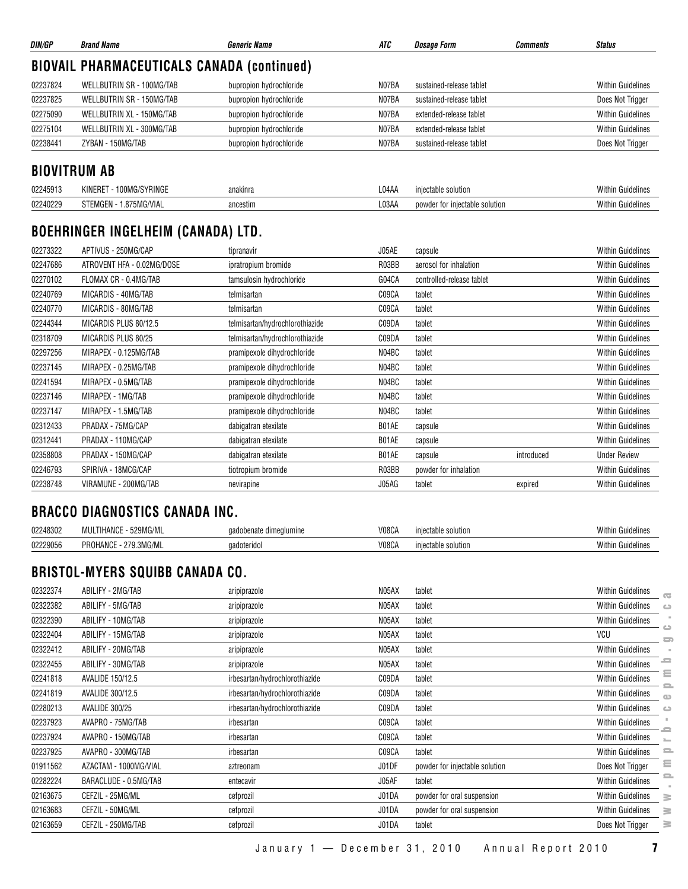| DIN/GP              | <b>Brand Name</b>                                 | <b>Generic Name</b>             | ATC   | <b>Dosage Form</b>             | <b>Comments</b> | <b>Status</b>            |
|---------------------|---------------------------------------------------|---------------------------------|-------|--------------------------------|-----------------|--------------------------|
|                     | <b>BIOVAIL PHARMACEUTICALS CANADA (continued)</b> |                                 |       |                                |                 |                          |
| 02237824            | WELLBUTRIN SR - 100MG/TAB                         | bupropion hydrochloride         | N07BA | sustained-release tablet       |                 | <b>Within Guidelines</b> |
| 02237825            | <b>WELLBUTRIN SR - 150MG/TAB</b>                  | bupropion hydrochloride         | N07BA | sustained-release tablet       |                 | Does Not Trigger         |
| 02275090            | WELLBUTRIN XL - 150MG/TAB                         | bupropion hydrochloride         | N07BA | extended-release tablet        |                 | <b>Within Guidelines</b> |
| 02275104            | WELLBUTRIN XL - 300MG/TAB                         | bupropion hydrochloride         | N07BA | extended-release tablet        |                 | <b>Within Guidelines</b> |
| 02238441            | ZYBAN - 150MG/TAB                                 | bupropion hydrochloride         | N07BA | sustained-release tablet       |                 | Does Not Trigger         |
| <b>BIOVITRUM AB</b> |                                                   |                                 |       |                                |                 |                          |
| 02245913            | KINERET - 100MG/SYRINGE                           | anakinra                        | L04AA | injectable solution            |                 | <b>Within Guidelines</b> |
| 02240229            | STEMGEN - 1.875MG/VIAL                            | ancestim                        | L03AA | powder for injectable solution |                 | <b>Within Guidelines</b> |
|                     | BOEHRINGER INGELHEIM (CANADA) LTD.                |                                 |       |                                |                 |                          |
| 02273322            | APTIVUS - 250MG/CAP                               | tipranavir                      | J05AE | capsule                        |                 | <b>Within Guidelines</b> |
| 02247686            | ATROVENT HFA - 0.02MG/DOSE                        | ipratropium bromide             | R03BB | aerosol for inhalation         |                 | <b>Within Guidelines</b> |
| 02270102            | FLOMAX CR - 0.4MG/TAB                             | tamsulosin hydrochloride        | G04CA | controlled-release tablet      |                 | <b>Within Guidelines</b> |
| 02240769            | MICARDIS - 40MG/TAB                               | telmisartan                     | C09CA | tablet                         |                 | <b>Within Guidelines</b> |
| 02240770            | MICARDIS - 80MG/TAB                               | telmisartan                     | C09CA | tablet                         |                 | <b>Within Guidelines</b> |
| 02244344            | MICARDIS PLUS 80/12.5                             | telmisartan/hydrochlorothiazide | C09DA | tablet                         |                 | <b>Within Guidelines</b> |
| 02318709            | MICARDIS PLUS 80/25                               | telmisartan/hydrochlorothiazide | C09DA | tablet                         |                 | <b>Within Guidelines</b> |
| 02297256            | MIRAPEX - 0.125MG/TAB                             | pramipexole dihydrochloride     | N04BC | tablet                         |                 | <b>Within Guidelines</b> |
| 02237145            | MIRAPEX - 0.25MG/TAB                              | pramipexole dihydrochloride     | N04BC | tablet                         |                 | <b>Within Guidelines</b> |
| 02241594            | MIRAPEX - 0.5MG/TAB                               | pramipexole dihydrochloride     | N04BC | tablet                         |                 | <b>Within Guidelines</b> |
| 02237146            | MIRAPEX - 1MG/TAB                                 | pramipexole dihydrochloride     | N04BC | tablet                         |                 | <b>Within Guidelines</b> |
| 02237147            | MIRAPEX - 1.5MG/TAB                               | pramipexole dihydrochloride     | N04BC | tablet                         |                 | <b>Within Guidelines</b> |
| 02312433            | PRADAX - 75MG/CAP                                 | dabigatran etexilate            | B01AE | capsule                        |                 | <b>Within Guidelines</b> |
| 02312441            | PRADAX - 110MG/CAP                                | dabigatran etexilate            | B01AE | capsule                        |                 | <b>Within Guidelines</b> |
| 02358808            | PRADAX - 150MG/CAP                                | dabigatran etexilate            | B01AE | capsule                        | introduced      | <b>Under Review</b>      |
| 02246793            | SPIRIVA - 18MCG/CAP                               | tiotropium bromide              | R03BB | powder for inhalation          |                 | <b>Within Guidelines</b> |

#### **BRACCO DIAGNOSTICS CANADA INC.**

| 02248302 | <b>COOMIC ALL</b><br>.<br><b>TIL.</b><br>. | umine<br>hana<br>าลด | <b>V08CA</b> | solution<br>nı  | Withir<br>-члаенны.      |
|----------|--------------------------------------------|----------------------|--------------|-----------------|--------------------------|
| 02229056 | 5.810<br>DDC<br>.3MG/ML<br>ו הי            | .,terido'<br>м       | V08C/        | solution<br>۱nı | <b>Nithin</b><br>чюение. |

02238748 VIRAMUNE - 200MG/TAB nevirapine nevirapine and the state of the capital expired within Guidelines

#### **BRISTOL-MYERS SQUIBB CANADA CO.**

| 02322374 | ABILIFY - 2MG/TAB     | aripiprazole                   | N05AX | tablet                         | <b>Within Guidelines</b>                                             |
|----------|-----------------------|--------------------------------|-------|--------------------------------|----------------------------------------------------------------------|
| 02322382 | ABILIFY - 5MG/TAB     | aripiprazole                   | N05AX | tablet                         | $\overline{\mathbf{c}}$<br><b>Within Guidelines</b><br>$\Rightarrow$ |
| 02322390 | ABILIFY - 10MG/TAB    | aripiprazole                   | N05AX | tablet                         | <b>Within Guidelines</b>                                             |
| 02322404 | ABILIFY - 15MG/TAB    | aripiprazole                   | N05AX | tablet                         | <b>VCU</b><br>5                                                      |
| 02322412 | ABILIFY - 20MG/TAB    | aripiprazole                   | N05AX | tablet                         | <b>Within Guidelines</b>                                             |
| 02322455 | ABILIFY - 30MG/TAB    | aripiprazole                   | N05AX | tablet                         | ᇰ<br><b>Within Guidelines</b>                                        |
| 02241818 | AVALIDE 150/12.5      | irbesartan/hydrochlorothiazide | C09DA | tablet                         | Ξ<br><b>Within Guidelines</b>                                        |
| 02241819 | AVALIDE 300/12.5      | irbesartan/hydrochlorothiazide | C09DA | tablet                         | $\equiv$<br><b>Within Guidelines</b><br>$\omega$                     |
| 02280213 | <b>AVALIDE 300/25</b> | irbesartan/hydrochlorothiazide | C09DA | tablet                         | <b>Within Guidelines</b><br>$\Rightarrow$                            |
| 02237923 | AVAPRO - 75MG/TAB     | irbesartan                     | C09CA | tablet                         | <b>Within Guidelines</b>                                             |
| 02237924 | AVAPRO - 150MG/TAB    | irbesartan                     | C09CA | tablet                         | <b>Within Guidelines</b><br>$\sum_{i=1}^{n}$                         |
| 02237925 | AVAPRO - 300MG/TAB    | irbesartan                     | C09CA | tablet                         | <b>Within Guidelines</b><br>2                                        |
| 01911562 | AZACTAM - 1000MG/VIAL | aztreonam                      | J01DF | powder for injectable solution | Ξ<br>Does Not Trigger                                                |
| 02282224 | BARACLUDE - 0.5MG/TAB | entecavir                      | J05AF | tablet                         | e.<br><b>Within Guidelines</b>                                       |
| 02163675 | CEFZIL - 25MG/ML      | cefprozil                      | J01DA | powder for oral suspension     | <b>Within Guidelines</b><br>$\geq$                                   |
| 02163683 | CEFZIL - 50MG/ML      | cefprozil                      | J01DA | powder for oral suspension     | <b>Within Guidelines</b><br>≧                                        |
| 02163659 | CEFZIL - 250MG/TAB    | cefprozil                      | J01DA | tablet                         | 3<br>Does Not Trigger                                                |
|          |                       |                                |       |                                |                                                                      |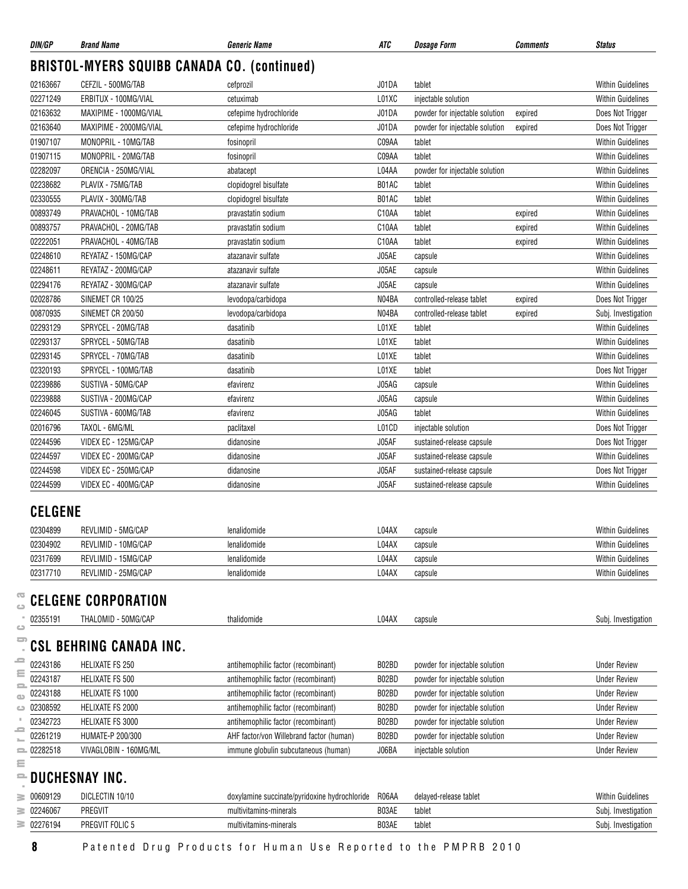| DIN/GP                   | <b>Brand Name</b>                                  | <b>Generic Name</b>                           | <b>ATC</b>         | <b>Dosage Form</b>             | <b>Comments</b> | <b>Status</b>            |
|--------------------------|----------------------------------------------------|-----------------------------------------------|--------------------|--------------------------------|-----------------|--------------------------|
|                          | <b>BRISTOL-MYERS SQUIBB CANADA CO. (continued)</b> |                                               |                    |                                |                 |                          |
| 02163667                 | CEFZIL - 500MG/TAB                                 | cefprozil                                     | J01DA              | tablet                         |                 | <b>Within Guidelines</b> |
| 02271249                 | ERBITUX - 100MG/VIAL                               | cetuximab                                     | L01XC              | injectable solution            |                 | <b>Within Guidelines</b> |
| 02163632                 | MAXIPIME - 1000MG/VIAL                             | cefepime hydrochloride                        | J01DA              | powder for injectable solution | expired         | Does Not Trigger         |
| 02163640                 | MAXIPIME - 2000MG/VIAL                             | cefepime hydrochloride                        | J01DA              | powder for injectable solution | expired         | Does Not Trigger         |
| 01907107                 | MONOPRIL - 10MG/TAB                                | fosinopril                                    | C09AA              | tablet                         |                 | <b>Within Guidelines</b> |
| 01907115                 | MONOPRIL - 20MG/TAB                                | fosinopril                                    | C09AA              | tablet                         |                 | <b>Within Guidelines</b> |
| 02282097                 | ORENCIA - 250MG/VIAL                               | abatacept                                     | L04AA              | powder for injectable solution |                 | <b>Within Guidelines</b> |
| 02238682                 | PLAVIX - 75MG/TAB                                  | clopidogrel bisulfate                         | B01AC              | tablet                         |                 | <b>Within Guidelines</b> |
| 02330555                 | PLAVIX - 300MG/TAB                                 | clopidogrel bisulfate                         | B01AC              | tablet                         |                 | <b>Within Guidelines</b> |
| 00893749                 | PRAVACHOL - 10MG/TAB                               | pravastatin sodium                            | C10AA              | tablet                         | expired         | <b>Within Guidelines</b> |
| 00893757                 | PRAVACHOL - 20MG/TAB                               | pravastatin sodium                            | C <sub>10</sub> AA | tablet                         | expired         | <b>Within Guidelines</b> |
| 02222051                 | PRAVACHOL - 40MG/TAB                               | pravastatin sodium                            | C10AA              | tablet                         | expired         | Within Guidelines        |
| 02248610                 | REYATAZ - 150MG/CAP                                | atazanavir sulfate                            | J05AE              | capsule                        |                 | Within Guidelines        |
| 02248611                 | REYATAZ - 200MG/CAP                                | atazanavir sulfate                            | J05AE              | capsule                        |                 | <b>Within Guidelines</b> |
| 02294176                 | REYATAZ - 300MG/CAP                                | atazanavir sulfate                            | J05AE              | capsule                        |                 | <b>Within Guidelines</b> |
| 02028786                 | SINEMET CR 100/25                                  | levodopa/carbidopa                            | N04BA              | controlled-release tablet      | expired         | Does Not Trigger         |
| 00870935                 | SINEMET CR 200/50                                  | levodopa/carbidopa                            | N04BA              | controlled-release tablet      | expired         | Subj. Investigation      |
| 02293129                 | SPRYCEL - 20MG/TAB                                 | dasatinib                                     | L01XE              | tablet                         |                 | <b>Within Guidelines</b> |
| 02293137                 | SPRYCEL - 50MG/TAB                                 | dasatinib                                     | L01XE              | tablet                         |                 | <b>Within Guidelines</b> |
| 02293145                 | SPRYCEL - 70MG/TAB                                 | dasatinib                                     | L01XE              | tablet                         |                 | <b>Within Guidelines</b> |
| 02320193                 | SPRYCEL - 100MG/TAB                                | dasatinib                                     | L01XE              | tablet                         |                 | Does Not Trigger         |
| 02239886                 | SUSTIVA - 50MG/CAP                                 | efavirenz                                     | J05AG              | capsule                        |                 | <b>Within Guidelines</b> |
| 02239888                 | SUSTIVA - 200MG/CAP                                | efavirenz                                     | J05AG              | capsule                        |                 | <b>Within Guidelines</b> |
| 02246045                 | SUSTIVA - 600MG/TAB                                | efavirenz                                     | J05AG              | tablet                         |                 | <b>Within Guidelines</b> |
| 02016796                 | TAXOL - 6MG/ML                                     | paclitaxel                                    | L01CD              | injectable solution            |                 | Does Not Trigger         |
| 02244596                 | VIDEX EC - 125MG/CAP                               | didanosine                                    | J05AF              | sustained-release capsule      |                 | Does Not Trigger         |
| 02244597                 | VIDEX EC - 200MG/CAP                               | didanosine                                    | J05AF              | sustained-release capsule      |                 | Within Guidelines        |
| 02244598                 | VIDEX EC - 250MG/CAP                               | didanosine                                    | J05AF              | sustained-release capsule      |                 | Does Not Trigger         |
| 02244599                 | VIDEX EC - 400MG/CAP                               | didanosine                                    | J05AF              | sustained-release capsule      |                 | <b>Within Guidelines</b> |
| <b>CELGENE</b>           |                                                    |                                               |                    |                                |                 |                          |
| 02304899                 | REVLIMID - 5MG/CAP                                 | lenalidomide                                  | L04AX              | capsule                        |                 | <b>Within Guidelines</b> |
| 02304902                 | REVLIMID - 10MG/CAP                                | lenalidomide                                  | L04AX              | capsule                        |                 | <b>Within Guidelines</b> |
| 02317699                 | REVLIMID - 15MG/CAP                                | lenalidomide                                  | L04AX              | capsule                        |                 | Within Guidelines        |
| 02317710                 | REVLIMID - 25MG/CAP                                | lenalidomide                                  | L04AX              | capsule                        |                 | Within Guidelines        |
|                          |                                                    |                                               |                    |                                |                 |                          |
| 02355191                 | <b>CELGENE CORPORATION</b><br>THALOMID - 50MG/CAP  | thalidomide                                   | L04AX              | capsule                        |                 | Subj. Investigation      |
| ده                       |                                                    |                                               |                    |                                |                 |                          |
| ᆖ                        | <b>CSL BEHRING CANADA INC.</b>                     |                                               |                    |                                |                 |                          |
| 02243186<br>ε            | HELIXATE FS 250                                    | antihemophilic factor (recombinant)           | B02BD              | powder for injectable solution |                 | <b>Under Review</b>      |
| 02243187<br>2            | HELIXATE FS 500                                    | antihemophilic factor (recombinant)           | B02BD              | powder for injectable solution |                 | <b>Under Review</b>      |
| 02243188<br>$\mathbf{C}$ | HELIXATE FS 1000                                   | antihemophilic factor (recombinant)           | B02BD              | powder for injectable solution |                 | <b>Under Review</b>      |
| 02308592<br>ت            | HELIXATE FS 2000                                   | antihemophilic factor (recombinant)           | B02BD              | powder for injectable solution |                 | <b>Under Review</b>      |
| 02342723<br>-            | HELIXATE FS 3000                                   | antihemophilic factor (recombinant)           | B02BD              | powder for injectable solution |                 | <b>Under Review</b>      |
| 02261219                 | HUMATE-P 200/300                                   | AHF factor/von Willebrand factor (human)      | B02BD              | powder for injectable solution |                 | <b>Under Review</b>      |
| 02282518<br>든            | VIVAGLOBIN - 160MG/ML                              | immune globulin subcutaneous (human)          | J06BA              | injectable solution            |                 | <b>Under Review</b>      |
|                          | DUCHESNAY INC.                                     |                                               |                    |                                |                 |                          |
| 00609129                 | DICLECTIN 10/10                                    | doxylamine succinate/pyridoxine hydrochloride | R06AA              | delayed-release tablet         |                 | <b>Within Guidelines</b> |
| 02246067                 | PREGVIT                                            | multivitamins-minerals                        | B03AE              | tablet                         |                 | Subj. Investigation      |
| $\equiv 02276194$        | PREGVIT FOLIC 5                                    | multivitamins-minerals                        | B03AE              | tablet                         |                 | Subj. Investigation      |

**8** Patented Drug Products for Human Use Reported to the PMPRB 2010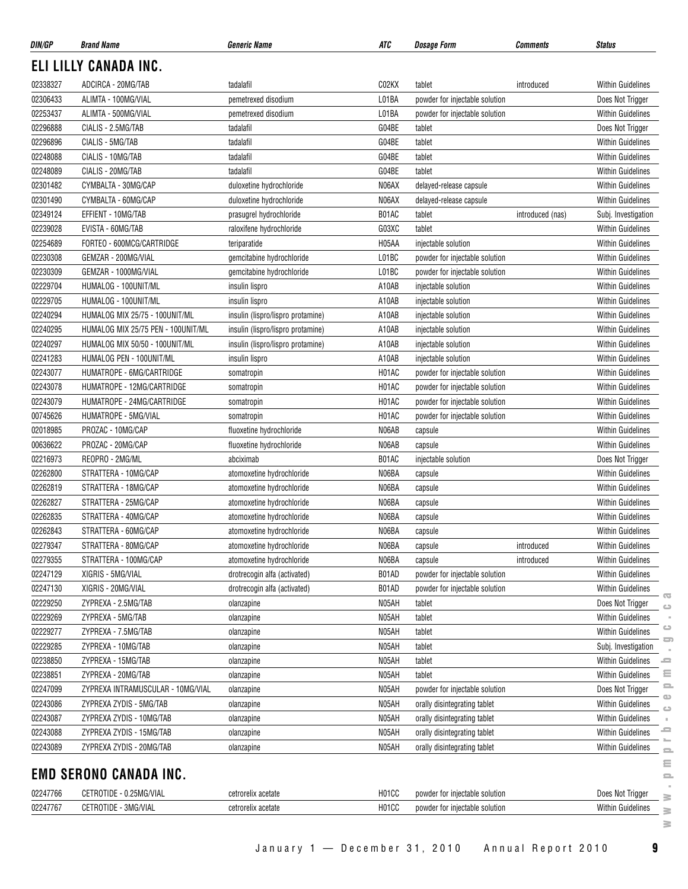| DIN/GP   | <b>Brand Name</b>                  | <b>Generic Name</b>               | ATC   | <b>Dosage Form</b>             | Comments         | <b>Status</b>            |                         |
|----------|------------------------------------|-----------------------------------|-------|--------------------------------|------------------|--------------------------|-------------------------|
|          | ELI LILLY CANADA INC.              |                                   |       |                                |                  |                          |                         |
| 02338327 | ADCIRCA - 20MG/TAB                 | tadalafil                         | C02KX | tablet                         | introduced       | <b>Within Guidelines</b> |                         |
| 02306433 | ALIMTA - 100MG/VIAL                | pemetrexed disodium               | L01BA | powder for injectable solution |                  | Does Not Trigger         |                         |
| 02253437 | ALIMTA - 500MG/VIAL                | pemetrexed disodium               | L01BA | powder for injectable solution |                  | Within Guidelines        |                         |
| 02296888 | CIALIS - 2.5MG/TAB                 | tadalafil                         | G04BE | tablet                         |                  | Does Not Trigger         |                         |
| 02296896 | CIALIS - 5MG/TAB                   | tadalafil                         | G04BE | tablet                         |                  | Within Guidelines        |                         |
| 02248088 | CIALIS - 10MG/TAB                  | tadalafil                         | G04BE | tablet                         |                  | Within Guidelines        |                         |
| 02248089 | CIALIS - 20MG/TAB                  | tadalafil                         | G04BE | tablet                         |                  | <b>Within Guidelines</b> |                         |
| 02301482 | CYMBALTA - 30MG/CAP                | duloxetine hydrochloride          | N06AX | delayed-release capsule        |                  | <b>Within Guidelines</b> |                         |
| 02301490 | CYMBALTA - 60MG/CAP                | duloxetine hydrochloride          | N06AX | delayed-release capsule        |                  | <b>Within Guidelines</b> |                         |
| 02349124 | EFFIENT - 10MG/TAB                 | prasugrel hydrochloride           | B01AC | tablet                         | introduced (nas) | Subj. Investigation      |                         |
| 02239028 | EVISTA - 60MG/TAB                  | raloxifene hydrochloride          | G03XC | tablet                         |                  | Within Guidelines        |                         |
| 02254689 | FORTEO - 600MCG/CARTRIDGE          | teriparatide                      | H05AA | injectable solution            |                  | <b>Within Guidelines</b> |                         |
| 02230308 | GEMZAR - 200MG/VIAL                | gemcitabine hydrochloride         | L01BC | powder for injectable solution |                  | Within Guidelines        |                         |
| 02230309 | GEMZAR - 1000MG/VIAL               | gemcitabine hydrochloride         | L01BC | powder for injectable solution |                  | Within Guidelines        |                         |
| 02229704 | HUMALOG - 100UNIT/ML               | insulin lispro                    | A10AB | injectable solution            |                  | <b>Within Guidelines</b> |                         |
| 02229705 | HUMALOG - 100UNIT/ML               | insulin lispro                    | A10AB | injectable solution            |                  | <b>Within Guidelines</b> |                         |
| 02240294 | HUMALOG MIX 25/75 - 100UNIT/ML     | insulin (lispro/lispro protamine) | A10AB | injectable solution            |                  | <b>Within Guidelines</b> |                         |
| 02240295 | HUMALOG MIX 25/75 PEN - 100UNIT/ML | insulin (lispro/lispro protamine) | A10AB | injectable solution            |                  | <b>Within Guidelines</b> |                         |
| 02240297 | HUMALOG MIX 50/50 - 100UNIT/ML     | insulin (lispro/lispro protamine) | A10AB | injectable solution            |                  | Within Guidelines        |                         |
| 02241283 | HUMALOG PEN - 100UNIT/ML           | insulin lispro                    | A10AB | injectable solution            |                  | <b>Within Guidelines</b> |                         |
| 02243077 | HUMATROPE - 6MG/CARTRIDGE          | somatropin                        | H01AC | powder for injectable solution |                  | <b>Within Guidelines</b> |                         |
| 02243078 | HUMATROPE - 12MG/CARTRIDGE         | somatropin                        | H01AC | powder for injectable solution |                  | <b>Within Guidelines</b> |                         |
| 02243079 | HUMATROPE - 24MG/CARTRIDGE         | somatropin                        | H01AC | powder for injectable solution |                  | <b>Within Guidelines</b> |                         |
| 00745626 | HUMATROPE - 5MG/VIAL               | somatropin                        | H01AC | powder for injectable solution |                  | <b>Within Guidelines</b> |                         |
| 02018985 | PROZAC - 10MG/CAP                  | fluoxetine hydrochloride          | N06AB | capsule                        |                  | Within Guidelines        |                         |
| 00636622 | PROZAC - 20MG/CAP                  | fluoxetine hydrochloride          | N06AB | capsule                        |                  | Within Guidelines        |                         |
| 02216973 | REOPRO - 2MG/ML                    | abciximab                         | B01AC | injectable solution            |                  | Does Not Trigger         |                         |
| 02262800 | STRATTERA - 10MG/CAP               | atomoxetine hydrochloride         | N06BA | capsule                        |                  | <b>Within Guidelines</b> |                         |
| 02262819 | STRATTERA - 18MG/CAP               | atomoxetine hydrochloride         | N06BA | capsule                        |                  | <b>Within Guidelines</b> |                         |
| 02262827 | STRATTERA - 25MG/CAP               | atomoxetine hydrochloride         | N06BA | capsule                        |                  | <b>Within Guidelines</b> |                         |
| 02262835 | STRATTERA - 40MG/CAP               | atomoxetine hydrochloride         | N06BA | capsule                        |                  | <b>Within Guidelines</b> |                         |
| 02262843 | STRATTERA - 60MG/CAP               | atomoxetine hydrochloride         | N06BA | capsule                        |                  | <b>Within Guidelines</b> |                         |
| 02279347 | STRATTERA - 80MG/CAP               | atomoxetine hydrochloride         | N06BA | capsule                        | introduced       | Within Guidelines        |                         |
| 02279355 | STRATTERA - 100MG/CAP              | atomoxetine hydrochloride         | N06BA | capsule                        | introduced       | Within Guidelines        |                         |
| 02247129 | XIGRIS - 5MG/VIAL                  | drotrecogin alfa (activated)      | B01AD | powder for injectable solution |                  | Within Guidelines        |                         |
| 02247130 | XIGRIS - 20MG/VIAL                 | drotrecogin alfa (activated)      | B01AD | powder for injectable solution |                  | Within Guidelines        |                         |
| 02229250 | ZYPREXA - 2.5MG/TAB                | olanzapine                        | N05AH | tablet                         |                  | Does Not Trigger         | $\overline{\mathbf{C}}$ |
| 02229269 | ZYPREXA - 5MG/TAB                  | olanzapine                        | N05AH | tablet                         |                  | <b>Within Guidelines</b> | $\circ$                 |
| 02229277 | ZYPREXA - 7.5MG/TAB                | olanzapine                        | N05AH | tablet                         |                  | Within Guidelines        | $\circ$                 |
| 02229285 | ZYPREXA - 10MG/TAB                 | olanzapine                        | N05AH | tablet                         |                  | Subj. Investigation      | ᇰ                       |
| 02238850 | ZYPREXA - 15MG/TAB                 | olanzapine                        | N05AH | tablet                         |                  | Within Guidelines        | ᆖ                       |
| 02238851 | ZYPREXA - 20MG/TAB                 | olanzapine                        | N05AH | tablet                         |                  | Within Guidelines        | Ξ                       |
| 02247099 | ZYPREXA INTRAMUSCULAR - 10MG/VIAL  | olanzapine                        | N05AH | powder for injectable solution |                  | Does Not Trigger         | 으                       |
| 02243086 | ZYPREXA ZYDIS - 5MG/TAB            | olanzapine                        | N05AH | orally disintegrating tablet   |                  | Within Guidelines        | $\bigcirc$              |
| 02243087 | ZYPREXA ZYDIS - 10MG/TAB           | olanzapine                        | N05AH | orally disintegrating tablet   |                  | Within Guidelines        | $\circ$                 |
| 02243088 | ZYPREXA ZYDIS - 15MG/TAB           | olanzapine                        | N05AH | orally disintegrating tablet   |                  | Within Guidelines        | ᇰ                       |
| 02243089 | ZYPREXA ZYDIS - 20MG/TAB           | olanzapine                        | N05AH | orally disintegrating tablet   |                  | Within Guidelines        |                         |
|          |                                    |                                   |       |                                |                  |                          | $\equiv$                |
|          | <b>EMD SERONO CANADA INC.</b>      |                                   |       |                                |                  |                          | ≘<br>$\equiv$           |
| 02247766 | CETROTIDE - 0.25MG/VIAL            | cetrorelix acetate                | H01CC | powder for injectable solution |                  | Does Not Trigger         |                         |
| 02247767 | CETROTIDE - 3MG/VIAL               | cetrorelix acetate                | H01CC | powder for injectable solution |                  | <b>Within Guidelines</b> | ≋                       |
|          |                                    |                                   |       |                                |                  |                          | š<br>3                  |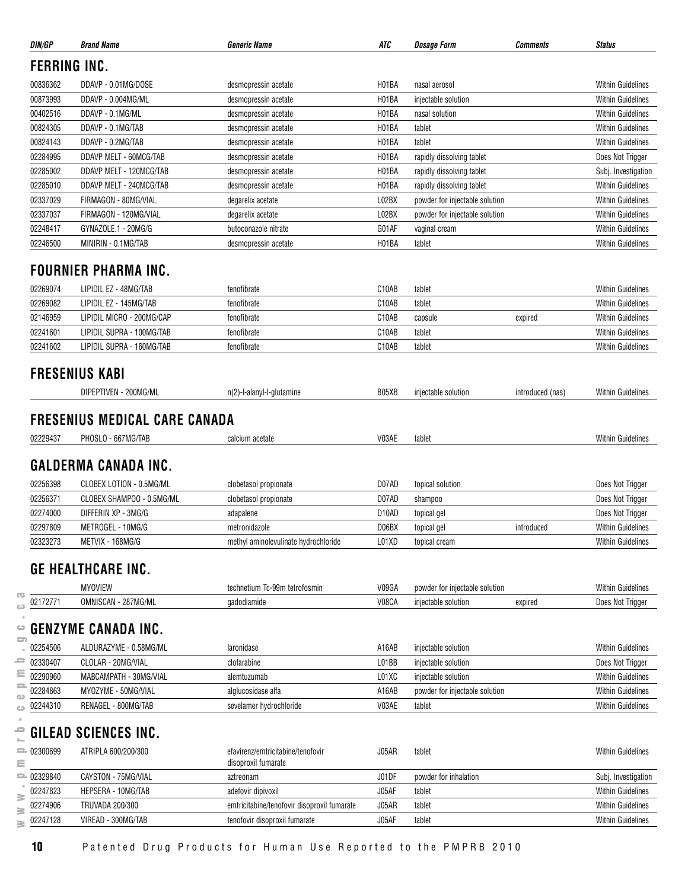| DIN/GP              | <b>Brand Name</b>                                                                         | <b>Generic Name</b>                         | ATC                | <b>Dosage Form</b>             | <i><b>Comments</b></i> | <b>Status</b>            |
|---------------------|-------------------------------------------------------------------------------------------|---------------------------------------------|--------------------|--------------------------------|------------------------|--------------------------|
| <b>FERRING INC.</b> |                                                                                           |                                             |                    |                                |                        |                          |
| 00836362            | DDAVP - 0.01MG/DOSE                                                                       | desmopressin acetate                        | H01BA              | nasal aerosol                  |                        | <b>Within Guidelines</b> |
| 00873993            | DDAVP - 0.004MG/ML                                                                        | desmopressin acetate                        | H01BA              | injectable solution            |                        | <b>Within Guidelines</b> |
| 00402516            | DDAVP - 0.1MG/ML                                                                          | desmopressin acetate                        | H <sub>01</sub> BA | nasal solution                 |                        | <b>Within Guidelines</b> |
| 00824305            | DDAVP - 0.1MG/TAB                                                                         | desmopressin acetate                        | H01BA              | tablet                         |                        | <b>Within Guidelines</b> |
| 00824143            | DDAVP - 0.2MG/TAB                                                                         | desmopressin acetate                        | H01BA              | tablet                         |                        | <b>Within Guidelines</b> |
| 02284995            | DDAVP MELT - 60MCG/TAB                                                                    | desmopressin acetate                        | H <sub>01</sub> BA | rapidly dissolving tablet      |                        | Does Not Trigger         |
| 02285002            | DDAVP MELT - 120MCG/TAB                                                                   | desmopressin acetate                        | H01BA              | rapidly dissolving tablet      |                        | Subj. Investigation      |
| 02285010            | DDAVP MELT - 240MCG/TAB                                                                   | desmopressin acetate                        | H01BA              | rapidly dissolving tablet      |                        | <b>Within Guidelines</b> |
| 02337029            | FIRMAGON - 80MG/VIAL                                                                      | degarelix acetate                           | L02BX              | powder for injectable solution |                        | <b>Within Guidelines</b> |
| 02337037            | FIRMAGON - 120MG/VIAL                                                                     | degarelix acetate                           | L02BX              | powder for injectable solution |                        | <b>Within Guidelines</b> |
| 02248417            | GYNAZOLE.1 - 20MG/G                                                                       | butoconazole nitrate                        | G01AF              | vaginal cream                  |                        | <b>Within Guidelines</b> |
| 02246500            | MINIRIN - 0.1MG/TAB                                                                       | desmopressin acetate                        | H01BA              | tablet                         |                        | <b>Within Guidelines</b> |
|                     | <b>FOURNIER PHARMA INC.</b>                                                               |                                             |                    |                                |                        |                          |
| 02269074            | LIPIDIL EZ - 48MG/TAB                                                                     | fenofibrate                                 | C10AB              | tablet                         |                        | <b>Within Guidelines</b> |
| 02269082            | LIPIDIL EZ - 145MG/TAB                                                                    | fenofibrate                                 | C10AB              | tablet                         |                        | <b>Within Guidelines</b> |
| 02146959            | LIPIDIL MICRO - 200MG/CAP                                                                 | fenofibrate                                 | C10AB              | capsule                        | expired                | <b>Within Guidelines</b> |
| 02241601            | LIPIDIL SUPRA - 100MG/TAB                                                                 | fenofibrate                                 | C <sub>10</sub> AB | tablet                         |                        | <b>Within Guidelines</b> |
| 02241602            | LIPIDIL SUPRA - 160MG/TAB                                                                 | fenofibrate                                 | C10AB              | tablet                         |                        | <b>Within Guidelines</b> |
|                     | <b>FRESENIUS KABI</b>                                                                     |                                             |                    |                                |                        |                          |
|                     | DIPEPTIVEN - 200MG/ML                                                                     | n(2)-l-alanyl-l-glutamine                   | B05XB              | injectable solution            | introduced (nas)       | Within Guidelines        |
| 02229437            | <b>FRESENIUS MEDICAL CARE CANADA</b><br>PHOSLO - 667MG/TAB<br><b>GALDERMA CANADA INC.</b> | calcium acetate                             | V03AE              | tablet                         |                        | <b>Within Guidelines</b> |
| 02256398            | CLOBEX LOTION - 0.5MG/ML                                                                  | clobetasol propionate                       | D07AD              | topical solution               |                        | Does Not Trigger         |
| 02256371            | CLOBEX SHAMPOO - 0.5MG/ML                                                                 | clobetasol propionate                       | D07AD              | shampoo                        |                        | Does Not Trigger         |
| 02274000            | DIFFERIN XP - 3MG/G                                                                       | adapalene                                   | D <sub>10</sub> AD | topical gel                    |                        | Does Not Trigger         |
| 02297809            | METROGEL - 10MG/G                                                                         | metronidazole                               | D06BX              | topical gel                    | introduced             | <b>Within Guidelines</b> |
| 02323273            | METVIX - 168MG/G                                                                          | methyl aminolevulinate hydrochloride        | L01XD              | topical cream                  |                        | Within Guidelines        |
|                     | <b>GE HEALTHCARE INC.</b>                                                                 |                                             |                    |                                |                        |                          |
|                     | <b>MYOVIEW</b>                                                                            | technetium Tc-99m tetrofosmin               | V09GA              | powder for injectable solution |                        | <b>Within Guidelines</b> |
| 02172771            | OMNISCAN - 287MG/ML                                                                       | gadodiamide                                 | V08CA              | injectable solution            | expired                | Does Not Trigger         |
|                     |                                                                                           |                                             |                    |                                |                        |                          |
| 5<br>02254506       | <b>GENZYME CANADA INC.</b><br>ALDURAZYME - 0.58MG/ML                                      | laronidase                                  | A16AB              | injectable solution            |                        | <b>Within Guidelines</b> |
| 02330407            | CLOLAR - 20MG/VIAL                                                                        | clofarabine                                 | L01BB              | injectable solution            |                        | Does Not Trigger         |
| 02290960            | MABCAMPATH - 30MG/VIAL                                                                    | alemtuzumab                                 | L01XC              | injectable solution            |                        | <b>Within Guidelines</b> |
| 02284863            | MYOZYME - 50MG/VIAL                                                                       | alglucosidase alfa                          | A16AB              | powder for injectable solution |                        | <b>Within Guidelines</b> |
| 02244310            | RENAGEL - 800MG/TAB                                                                       | sevelamer hydrochloride                     | V03AE              | tablet                         |                        | <b>Within Guidelines</b> |
|                     |                                                                                           |                                             |                    |                                |                        |                          |
| $= 02300699$        | <b>GILEAD SCIENCES INC.</b><br>ATRIPLA 600/200/300                                        | efavirenz/emtricitabine/tenofovir           | J05AR              | tablet                         |                        | <b>Within Guidelines</b> |
| $= 02329840$        | CAYSTON - 75MG/VIAL                                                                       | disoproxil fumarate<br>aztreonam            | J01DF              | powder for inhalation          |                        | Subj. Investigation      |
| 02247823            | HEPSERA - 10MG/TAB                                                                        | adefovir dipivoxil                          | J05AF              | tablet                         |                        | <b>Within Guidelines</b> |
| 02274906            | <b>TRUVADA 200/300</b>                                                                    | emtricitabine/tenofovir disoproxil fumarate | J05AR              | tablet                         |                        | <b>Within Guidelines</b> |
| 02247128            | VIREAD - 300MG/TAB                                                                        | tenofovir disoproxil fumarate               | J05AF              | tablet                         |                        | <b>Within Guidelines</b> |
|                     |                                                                                           |                                             |                    |                                |                        |                          |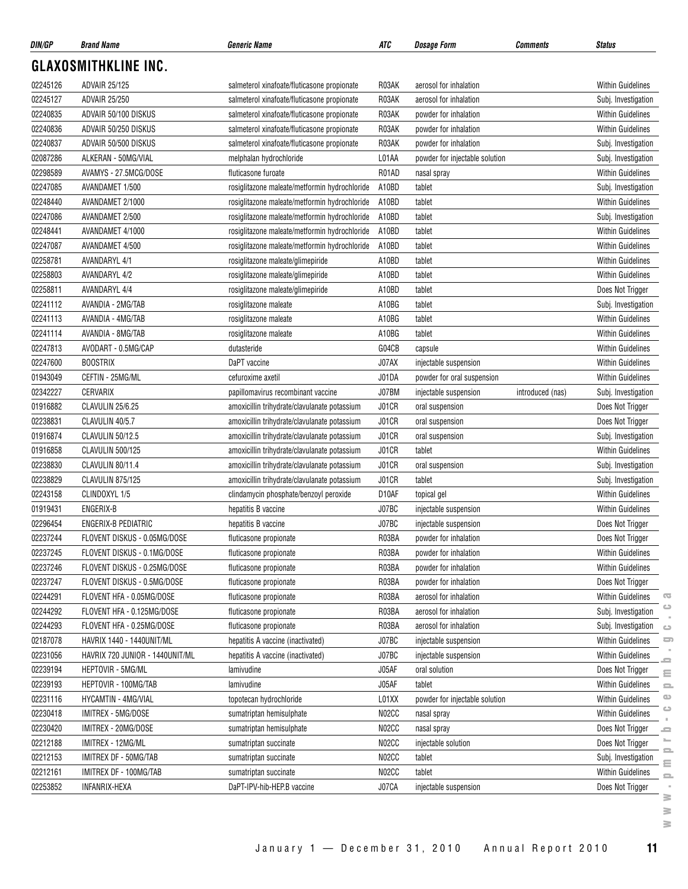| DIN/GP   | <b>Brand Name</b>               | <b>Generic Name</b>                           | ATC          | <b>Dosage Form</b>             | Comments         | <b>Status</b>                              |
|----------|---------------------------------|-----------------------------------------------|--------------|--------------------------------|------------------|--------------------------------------------|
|          | <b>GLAXOSMITHKLINE INC.</b>     |                                               |              |                                |                  |                                            |
| 02245126 | <b>ADVAIR 25/125</b>            | salmeterol xinafoate/fluticasone propionate   | R03AK        | aerosol for inhalation         |                  | <b>Within Guidelines</b>                   |
| 02245127 | <b>ADVAIR 25/250</b>            | salmeterol xinafoate/fluticasone propionate   | R03AK        | aerosol for inhalation         |                  | Subj. Investigation                        |
| 02240835 | ADVAIR 50/100 DISKUS            | salmeterol xinafoate/fluticasone propionate   | R03AK        | powder for inhalation          |                  | Within Guidelines                          |
| 02240836 | ADVAIR 50/250 DISKUS            | salmeterol xinafoate/fluticasone propionate   | R03AK        | powder for inhalation          |                  | <b>Within Guidelines</b>                   |
| 02240837 | ADVAIR 50/500 DISKUS            | salmeterol xinafoate/fluticasone propionate   | R03AK        | powder for inhalation          |                  | Subj. Investigation                        |
| 02087286 | ALKERAN - 50MG/VIAL             | melphalan hydrochloride                       | L01AA        | powder for injectable solution |                  | Subj. Investigation                        |
| 02298589 | AVAMYS - 27.5MCG/DOSE           | fluticasone furoate                           | R01AD        | nasal spray                    |                  | <b>Within Guidelines</b>                   |
| 02247085 | AVANDAMET 1/500                 | rosiglitazone maleate/metformin hydrochloride | A10BD        | tablet                         |                  | Subj. Investigation                        |
| 02248440 | AVANDAMET 2/1000                | rosiglitazone maleate/metformin hydrochloride | A10BD        | tablet                         |                  | <b>Within Guidelines</b>                   |
| 02247086 | AVANDAMET 2/500                 | rosiglitazone maleate/metformin hydrochloride | A10BD        | tablet                         |                  | Subj. Investigation                        |
| 02248441 | AVANDAMET 4/1000                | rosiglitazone maleate/metformin hydrochloride | A10BD        | tablet                         |                  | <b>Within Guidelines</b>                   |
| 02247087 | AVANDAMET 4/500                 | rosiglitazone maleate/metformin hydrochloride | A10BD        | tablet                         |                  | <b>Within Guidelines</b>                   |
| 02258781 | <b>AVANDARYL 4/1</b>            | rosiglitazone maleate/glimepiride             | A10BD        | tablet                         |                  | <b>Within Guidelines</b>                   |
| 02258803 | <b>AVANDARYL 4/2</b>            | rosiglitazone maleate/glimepiride             | A10BD        | tablet                         |                  | <b>Within Guidelines</b>                   |
| 02258811 | <b>AVANDARYL 4/4</b>            | rosiglitazone maleate/glimepiride             | A10BD        | tablet                         |                  | Does Not Trigger                           |
| 02241112 | AVANDIA - 2MG/TAB               | rosiglitazone maleate                         | A10BG        | tablet                         |                  | Subj. Investigation                        |
| 02241113 | AVANDIA - 4MG/TAB               | rosiglitazone maleate                         | A10BG        | tablet                         |                  | <b>Within Guidelines</b>                   |
| 02241114 | AVANDIA - 8MG/TAB               | rosiglitazone maleate                         | A10BG        | tablet                         |                  | <b>Within Guidelines</b>                   |
| 02247813 | AVODART - 0.5MG/CAP             | dutasteride                                   | G04CB        | capsule                        |                  | <b>Within Guidelines</b>                   |
| 02247600 | <b>BOOSTRIX</b>                 | DaPT vaccine                                  | J07AX        | injectable suspension          |                  | <b>Within Guidelines</b>                   |
| 01943049 | CEFTIN - 25MG/ML                | cefuroxime axetil                             | J01DA        | powder for oral suspension     |                  | <b>Within Guidelines</b>                   |
| 02342227 | CERVARIX                        | papillomavirus recombinant vaccine            | J07BM        | injectable suspension          | introduced (nas) | Subj. Investigation                        |
| 01916882 | CLAVULIN 25/6.25                | amoxicillin trihydrate/clavulanate potassium  | J01CR        | oral suspension                |                  | Does Not Trigger                           |
| 02238831 | CLAVULIN 40/5.7                 | amoxicillin trihydrate/clavulanate potassium  | <b>J01CR</b> | oral suspension                |                  | Does Not Trigger                           |
| 01916874 | CLAVULIN 50/12.5                | amoxicillin trihydrate/clavulanate potassium  | J01CR        | oral suspension                |                  | Subj. Investigation                        |
| 01916858 | CLAVULIN 500/125                | amoxicillin trihydrate/clavulanate potassium  | J01CR        | tablet                         |                  | <b>Within Guidelines</b>                   |
| 02238830 | CLAVULIN 80/11.4                | amoxicillin trihydrate/clavulanate potassium  | J01CR        | oral suspension                |                  | Subj. Investigation                        |
| 02238829 | CLAVULIN 875/125                | amoxicillin trihydrate/clavulanate potassium  | J01CR        | tablet                         |                  | Subj. Investigation                        |
| 02243158 | CLINDOXYL 1/5                   | clindamycin phosphate/benzoyl peroxide        | D10AF        | topical gel                    |                  | Within Guidelines                          |
| 01919431 | ENGERIX-B                       |                                               | J07BC        |                                |                  | <b>Within Guidelines</b>                   |
| 02296454 | ENGERIX-B PEDIATRIC             | hepatitis B vaccine                           | J07BC        | injectable suspension          |                  |                                            |
|          |                                 | hepatitis B vaccine                           |              | injectable suspension          |                  | Does Not Trigger                           |
| 02237244 | FLOVENT DISKUS - 0.05MG/DOSE    | fluticasone propionate                        | R03BA        | powder for inhalation          |                  | Does Not Trigger                           |
| 02237245 | FLOVENT DISKUS - 0.1MG/DOSE     | fluticasone propionate                        | R03BA        | powder for inhalation          |                  | Within Guidelines                          |
| 02237246 | FLOVENT DISKUS - 0.25MG/DOSE    | fluticasone propionate                        | R03BA        | powder for inhalation          |                  | <b>Within Guidelines</b>                   |
| 02237247 | FLOVENT DISKUS - 0.5MG/DOSE     | fluticasone propionate                        | R03BA        | powder for inhalation          |                  | Does Not Trigger                           |
| 02244291 | FLOVENT HFA - 0.05MG/DOSE       | fluticasone propionate                        | R03BA        | aerosol for inhalation         |                  | Within Guidelines<br>œ<br>ت                |
| 02244292 | FLOVENT HFA - 0.125MG/DOSE      | fluticasone propionate                        | R03BA        | aerosol for inhalation         |                  | Subj. Investigation                        |
| 02244293 | FLOVENT HFA - 0.25MG/DOSE       | fluticasone propionate                        | R03BA        | aerosol for inhalation         |                  | Subj. Investigation<br>$\circlearrowright$ |
| 02187078 | HAVRIX 1440 - 1440UNIT/ML       | hepatitis A vaccine (inactivated)             | J07BC        | injectable suspension          |                  | Within Guidelines<br>5                     |
| 02231056 | HAVRIX 720 JUNIOR - 1440UNIT/ML | hepatitis A vaccine (inactivated)             | J07BC        | injectable suspension          |                  | Within Guidelines<br>2                     |
| 02239194 | HEPTOVIR - 5MG/ML               | lamivudine                                    | J05AF        | oral solution                  |                  | Does Not Trigger<br>Ξ                      |
| 02239193 | HEPTOVIR - 100MG/TAB            | lamivudine                                    | J05AF        | tablet                         |                  | <b>Within Guidelines</b><br>$\equiv$       |
| 02231116 | HYCAMTIN - 4MG/VIAL             | topotecan hydrochloride                       | L01XX        | powder for injectable solution |                  | $\circ$<br>Within Guidelines<br>$\circ$    |
| 02230418 | IMITREX - 5MG/DOSE              | sumatriptan hemisulphate                      | N02CC        | nasal spray                    |                  | Within Guidelines                          |
| 02230420 | IMITREX - 20MG/DOSE             | sumatriptan hemisulphate                      | N02CC        | nasal spray                    |                  | Does Not Trigger<br>-                      |
| 02212188 | IMITREX - 12MG/ML               | sumatriptan succinate                         | N02CC        | injectable solution            |                  | Does Not Trigger<br>2                      |
| 02212153 | IMITREX DF - 50MG/TAB           | sumatriptan succinate                         | N02CC        | tablet                         |                  | Subj. Investigation<br>Ξ                   |
| 02212161 | IMITREX DF - 100MG/TAB          | sumatriptan succinate                         | N02CC        | tablet                         |                  | Within Guidelines<br>$\equiv$              |
| 02253852 | INFANRIX-HEXA                   | DaPT-IPV-hib-HEP.B vaccine                    | J07CA        | injectable suspension          |                  | Does Not Trigger<br>3.                     |

**www.pmprb-cepmb.gc.ca** $\geq$  $\geq$  $\geq$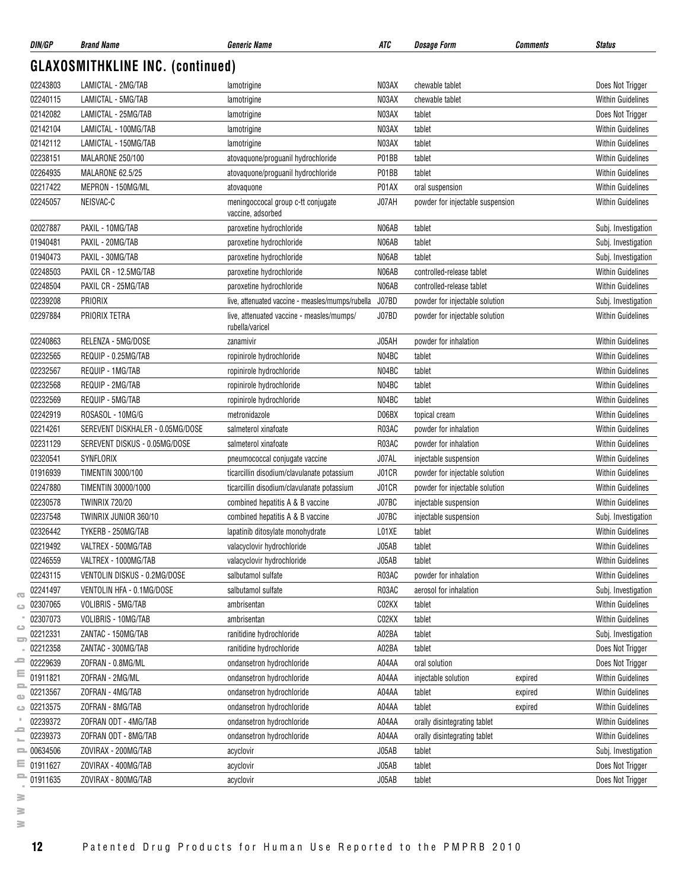| DIN/GP       | <b>Brand Name</b>                       | <b>Generic Name</b>                                          | ATC   | <b>Comments</b><br>Dosage Form   | Status                   |
|--------------|-----------------------------------------|--------------------------------------------------------------|-------|----------------------------------|--------------------------|
|              | <b>GLAXOSMITHKLINE INC. (continued)</b> |                                                              |       |                                  |                          |
| 02243803     | LAMICTAL - 2MG/TAB                      | lamotrigine                                                  | N03AX | chewable tablet                  | Does Not Trigger         |
| 02240115     | LAMICTAL - 5MG/TAB                      | lamotrigine                                                  | N03AX | chewable tablet                  | <b>Within Guidelines</b> |
| 02142082     | LAMICTAL - 25MG/TAB                     | lamotrigine                                                  | N03AX | tablet                           | Does Not Trigger         |
| 02142104     | LAMICTAL - 100MG/TAB                    | lamotrigine                                                  | N03AX | tablet                           | <b>Within Guidelines</b> |
| 02142112     | LAMICTAL - 150MG/TAB                    | lamotrigine                                                  | N03AX | tablet                           | <b>Within Guidelines</b> |
| 02238151     | <b>MALARONE 250/100</b>                 | atovaquone/proguanil hydrochloride                           | P01BB | tablet                           | <b>Within Guidelines</b> |
| 02264935     | MALARONE 62.5/25                        | atovaquone/proquanil hydrochloride                           | P01BB | tablet                           | <b>Within Guidelines</b> |
| 02217422     | MEPRON - 150MG/ML                       | atovaguone                                                   | P01AX | oral suspension                  | <b>Within Guidelines</b> |
| 02245057     | NEISVAC-C                               | meningoccocal group c-tt conjugate<br>vaccine, adsorbed      | J07AH | powder for injectable suspension | <b>Within Guidelines</b> |
| 02027887     | PAXIL - 10MG/TAB                        | paroxetine hydrochloride                                     | N06AB | tablet                           | Subj. Investigation      |
| 01940481     | PAXIL - 20MG/TAB                        | paroxetine hydrochloride                                     | N06AB | tablet                           | Subj. Investigation      |
| 01940473     | PAXIL - 30MG/TAB                        | paroxetine hydrochloride                                     | N06AB | tablet                           | Subj. Investigation      |
| 02248503     | PAXIL CR - 12.5MG/TAB                   | paroxetine hydrochloride                                     | N06AB | controlled-release tablet        | <b>Within Guidelines</b> |
| 02248504     | PAXIL CR - 25MG/TAB                     | paroxetine hydrochloride                                     | N06AB | controlled-release tablet        | <b>Within Guidelines</b> |
| 02239208     | PRIORIX                                 | live, attenuated vaccine - measles/mumps/rubella             |       |                                  |                          |
|              |                                         |                                                              | J07BD | powder for injectable solution   | Subj. Investigation      |
| 02297884     | PRIORIX TETRA                           | live, attenuated vaccine - measles/mumps/<br>rubella/varicel | J07BD | powder for injectable solution   | <b>Within Guidelines</b> |
| 02240863     | RELENZA - 5MG/DOSE                      | zanamivir                                                    | J05AH | powder for inhalation            | <b>Within Guidelines</b> |
| 02232565     | REQUIP - 0.25MG/TAB                     | ropinirole hydrochloride                                     | N04BC | tablet                           | <b>Within Guidelines</b> |
| 02232567     | REQUIP - 1MG/TAB                        | ropinirole hydrochloride                                     | N04BC | tablet                           | <b>Within Guidelines</b> |
| 02232568     | REQUIP - 2MG/TAB                        | ropinirole hydrochloride                                     | N04BC | tablet                           | <b>Within Guidelines</b> |
| 02232569     | REQUIP - 5MG/TAB                        | ropinirole hydrochloride                                     | N04BC | tablet                           | <b>Within Guidelines</b> |
| 02242919     | ROSASOL - 10MG/G                        | metronidazole                                                | D06BX | topical cream                    | <b>Within Guidelines</b> |
| 02214261     | SEREVENT DISKHALER - 0.05MG/DOSE        | salmeterol xinafoate                                         | R03AC | powder for inhalation            | <b>Within Guidelines</b> |
| 02231129     | SEREVENT DISKUS - 0.05MG/DOSE           | salmeterol xinafoate                                         | R03AC | powder for inhalation            | <b>Within Guidelines</b> |
| 02320541     | SYNFLORIX                               | pneumococcal conjugate vaccine                               | J07AL | injectable suspension            | <b>Within Guidelines</b> |
| 01916939     | <b>TIMENTIN 3000/100</b>                | ticarcillin disodium/clavulanate potassium                   | J01CR | powder for injectable solution   | <b>Within Guidelines</b> |
| 02247880     | TIMENTIN 30000/1000                     | ticarcillin disodium/clavulanate potassium                   | J01CR | powder for injectable solution   | <b>Within Guidelines</b> |
| 02230578     | <b>TWINRIX 720/20</b>                   | combined hepatitis A & B vaccine                             | J07BC | injectable suspension            | <b>Within Guidelines</b> |
| 02237548     | TWINRIX JUNIOR 360/10                   | combined hepatitis A & B vaccine                             | J07BC | injectable suspension            | Subj. Investigation      |
| 02326442     | TYKERB - 250MG/TAB                      | lapatinib ditosylate monohydrate                             | L01XE | tablet                           | Within Guidelines        |
| 02219492     | VALTREX - 500MG/TAB                     | valacyclovir hydrochloride                                   | J05AB | tablet                           | <b>Within Guidelines</b> |
| 02246559     | VALTREX - 1000MG/TAB                    | valacyclovir hydrochloride                                   | J05AB | tablet                           | <b>Within Guidelines</b> |
| 02243115     | VENTOLIN DISKUS - 0.2MG/DOSE            | salbutamol sulfate                                           | R03AC | powder for inhalation            | <b>Within Guidelines</b> |
| 02241497     | VENTOLIN HFA - 0.1MG/DOSE               | salbutamol sulfate                                           | R03AC | aerosol for inhalation           | Subj. Investigation      |
| 02307065     | VOLIBRIS - 5MG/TAB                      | ambrisentan                                                  | C02KX | tablet                           | <b>Within Guidelines</b> |
| 02307073     | VOLIBRIS - 10MG/TAB                     | ambrisentan                                                  | C02KX | tablet                           | <b>Within Guidelines</b> |
| 02212331     | ZANTAC - 150MG/TAB                      | ranitidine hydrochloride                                     | A02BA | tablet                           | Subj. Investigation      |
| 02212358     | ZANTAC - 300MG/TAB                      | ranitidine hydrochloride                                     | A02BA | tablet                           | Does Not Trigger         |
| 02229639     | ZOFRAN - 0.8MG/ML                       | ondansetron hydrochloride                                    | A04AA | oral solution                    |                          |
|              | ZOFRAN - 2MG/ML                         |                                                              |       |                                  | Does Not Trigger         |
| 01911821     |                                         | ondansetron hydrochloride                                    | A04AA | injectable solution<br>expired   | <b>Within Guidelines</b> |
| 02213567     | ZOFRAN - 4MG/TAB                        | ondansetron hydrochloride                                    | A04AA | tablet<br>expired                | Within Guidelines        |
| 02213575     | ZOFRAN - 8MG/TAB                        | ondansetron hydrochloride                                    | A04AA | tablet<br>expired                | <b>Within Guidelines</b> |
| 02239372     | ZOFRAN ODT - 4MG/TAB                    | ondansetron hydrochloride                                    | A04AA | orally disintegrating tablet     | <b>Within Guidelines</b> |
| 02239373     | ZOFRAN ODT - 8MG/TAB                    | ondansetron hydrochloride                                    | A04AA | orally disintegrating tablet     | <b>Within Guidelines</b> |
| $= 00634506$ | ZOVIRAX - 200MG/TAB                     | acyclovir                                                    | J05AB | tablet                           | Subj. Investigation      |
| 01911627     | ZOVIRAX - 400MG/TAB                     | acyclovir                                                    | J05AB | tablet                           | Does Not Trigger         |
| 01911635     | ZOVIRAX - 800MG/TAB                     | acyclovir                                                    | J05AB | tablet                           | Does Not Trigger         |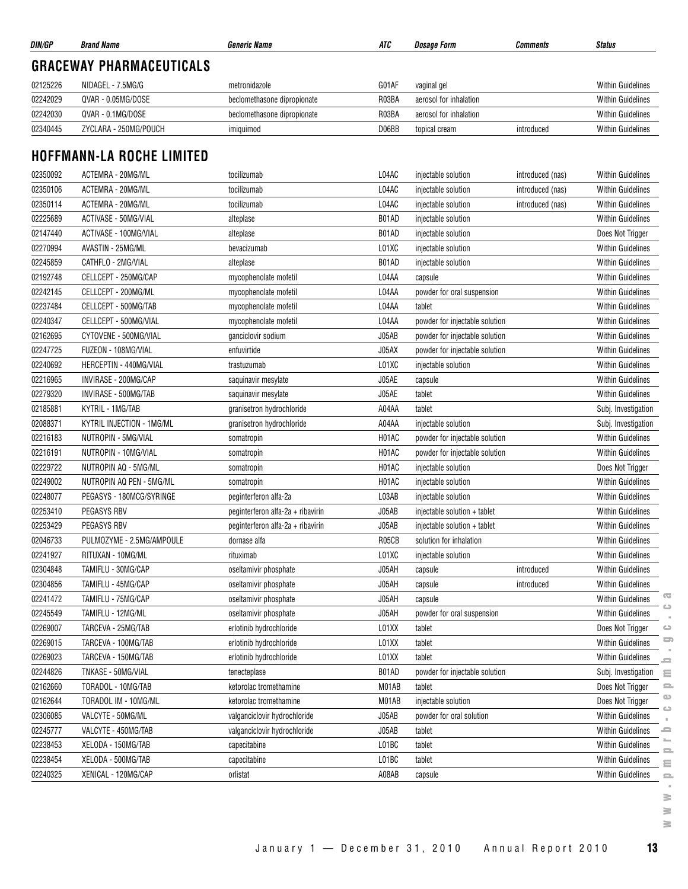| <b>GRACEWAY PHARMACEUTICALS</b><br>02125226<br>G01AF<br>NIDAGEL - 7.5MG/G<br>metronidazole<br>vaginal gel<br>02242029<br>QVAR - 0.05MG/DOSE<br>R03BA<br>beclomethasone dipropionate<br>aerosol for inhalation<br>02242030<br>QVAR - 0.1MG/DOSE<br>R03BA<br>beclomethasone dipropionate<br>aerosol for inhalation<br>02340445<br>ZYCLARA - 250MG/POUCH<br>D06BB<br>introduced<br>topical cream<br>imiquimod<br><b>HOFFMANN-LA ROCHE LIMITED</b><br>L04AC<br>02350092<br>ACTEMRA - 20MG/ML<br>tocilizumab<br>injectable solution<br>introduced (nas)<br>ACTEMRA - 20MG/ML<br>02350106<br>L04AC<br>tocilizumab<br>injectable solution<br>introduced (nas)<br>02350114<br>ACTEMRA - 20MG/ML<br>L04AC<br>tocilizumab<br>injectable solution<br>introduced (nas)<br>02225689<br>ACTIVASE - 50MG/VIAL<br>B01AD<br>alteplase<br>injectable solution<br>02147440<br>ACTIVASE - 100MG/VIAL<br>B01AD<br>injectable solution<br>alteplase<br>02270994<br>AVASTIN - 25MG/ML<br>L01XC<br>injectable solution<br>bevacizumab<br>02245859<br>CATHFLO - 2MG/VIAL<br>B01AD<br>injectable solution<br>alteplase<br>02192748<br>CELLCEPT - 250MG/CAP<br>L04AA<br>mycophenolate mofetil<br>capsule<br>02242145<br>CELLCEPT - 200MG/ML<br>L04AA<br>mycophenolate mofetil<br>powder for oral suspension<br>02237484<br>CELLCEPT - 500MG/TAB<br>L04AA<br>mycophenolate mofetil<br>tablet<br>02240347<br>CELLCEPT - 500MG/VIAL<br>L04AA<br>mycophenolate mofetil<br>powder for injectable solution<br>02162695<br>CYTOVENE - 500MG/VIAL<br>J05AB<br>ganciclovir sodium<br>powder for injectable solution<br>02247725<br>FUZEON - 108MG/VIAL<br>J05AX<br>enfuvirtide<br>powder for injectable solution<br>02240692<br>HERCEPTIN - 440MG/VIAL<br>L01XC<br>trastuzumab<br>injectable solution<br>02216965<br>INVIRASE - 200MG/CAP<br>J05AE<br>saquinavir mesylate<br>capsule<br>02279320<br>INVIRASE - 500MG/TAB<br>J05AE<br>saquinavir mesylate<br>tablet<br>02185881<br>KYTRIL - 1MG/TAB<br>A04AA<br>granisetron hydrochloride<br>tablet<br>02088371<br>KYTRIL INJECTION - 1MG/ML<br>A04AA<br>injectable solution<br>granisetron hydrochloride<br>02216183<br>NUTROPIN - 5MG/VIAL<br>H01AC<br>powder for injectable solution<br>somatropin<br>02216191<br>H01AC<br>NUTROPIN - 10MG/VIAL<br>powder for injectable solution<br>somatropin<br>02229722<br>NUTROPIN AQ - 5MG/ML<br>H01AC<br>injectable solution<br>somatropin<br>02249002<br>NUTROPIN AQ PEN - 5MG/ML<br>H01AC<br>injectable solution<br>somatropin | <b>Within Guidelines</b><br><b>Within Guidelines</b><br><b>Within Guidelines</b><br>Within Guidelines<br>Within Guidelines<br><b>Within Guidelines</b><br>Within Guidelines<br><b>Within Guidelines</b><br>Does Not Trigger<br><b>Within Guidelines</b><br><b>Within Guidelines</b><br>Within Guidelines<br>Within Guidelines<br><b>Within Guidelines</b><br><b>Within Guidelines</b><br><b>Within Guidelines</b><br><b>Within Guidelines</b> |
|---------------------------------------------------------------------------------------------------------------------------------------------------------------------------------------------------------------------------------------------------------------------------------------------------------------------------------------------------------------------------------------------------------------------------------------------------------------------------------------------------------------------------------------------------------------------------------------------------------------------------------------------------------------------------------------------------------------------------------------------------------------------------------------------------------------------------------------------------------------------------------------------------------------------------------------------------------------------------------------------------------------------------------------------------------------------------------------------------------------------------------------------------------------------------------------------------------------------------------------------------------------------------------------------------------------------------------------------------------------------------------------------------------------------------------------------------------------------------------------------------------------------------------------------------------------------------------------------------------------------------------------------------------------------------------------------------------------------------------------------------------------------------------------------------------------------------------------------------------------------------------------------------------------------------------------------------------------------------------------------------------------------------------------------------------------------------------------------------------------------------------------------------------------------------------------------------------------------------------------------------------------------------------------------------------------------------------------------------------------------------------------------------------------------------------------------------------------------------------------|-----------------------------------------------------------------------------------------------------------------------------------------------------------------------------------------------------------------------------------------------------------------------------------------------------------------------------------------------------------------------------------------------------------------------------------------------|
|                                                                                                                                                                                                                                                                                                                                                                                                                                                                                                                                                                                                                                                                                                                                                                                                                                                                                                                                                                                                                                                                                                                                                                                                                                                                                                                                                                                                                                                                                                                                                                                                                                                                                                                                                                                                                                                                                                                                                                                                                                                                                                                                                                                                                                                                                                                                                                                                                                                                                       |                                                                                                                                                                                                                                                                                                                                                                                                                                               |
|                                                                                                                                                                                                                                                                                                                                                                                                                                                                                                                                                                                                                                                                                                                                                                                                                                                                                                                                                                                                                                                                                                                                                                                                                                                                                                                                                                                                                                                                                                                                                                                                                                                                                                                                                                                                                                                                                                                                                                                                                                                                                                                                                                                                                                                                                                                                                                                                                                                                                       |                                                                                                                                                                                                                                                                                                                                                                                                                                               |
|                                                                                                                                                                                                                                                                                                                                                                                                                                                                                                                                                                                                                                                                                                                                                                                                                                                                                                                                                                                                                                                                                                                                                                                                                                                                                                                                                                                                                                                                                                                                                                                                                                                                                                                                                                                                                                                                                                                                                                                                                                                                                                                                                                                                                                                                                                                                                                                                                                                                                       |                                                                                                                                                                                                                                                                                                                                                                                                                                               |
|                                                                                                                                                                                                                                                                                                                                                                                                                                                                                                                                                                                                                                                                                                                                                                                                                                                                                                                                                                                                                                                                                                                                                                                                                                                                                                                                                                                                                                                                                                                                                                                                                                                                                                                                                                                                                                                                                                                                                                                                                                                                                                                                                                                                                                                                                                                                                                                                                                                                                       |                                                                                                                                                                                                                                                                                                                                                                                                                                               |
|                                                                                                                                                                                                                                                                                                                                                                                                                                                                                                                                                                                                                                                                                                                                                                                                                                                                                                                                                                                                                                                                                                                                                                                                                                                                                                                                                                                                                                                                                                                                                                                                                                                                                                                                                                                                                                                                                                                                                                                                                                                                                                                                                                                                                                                                                                                                                                                                                                                                                       |                                                                                                                                                                                                                                                                                                                                                                                                                                               |
|                                                                                                                                                                                                                                                                                                                                                                                                                                                                                                                                                                                                                                                                                                                                                                                                                                                                                                                                                                                                                                                                                                                                                                                                                                                                                                                                                                                                                                                                                                                                                                                                                                                                                                                                                                                                                                                                                                                                                                                                                                                                                                                                                                                                                                                                                                                                                                                                                                                                                       |                                                                                                                                                                                                                                                                                                                                                                                                                                               |
|                                                                                                                                                                                                                                                                                                                                                                                                                                                                                                                                                                                                                                                                                                                                                                                                                                                                                                                                                                                                                                                                                                                                                                                                                                                                                                                                                                                                                                                                                                                                                                                                                                                                                                                                                                                                                                                                                                                                                                                                                                                                                                                                                                                                                                                                                                                                                                                                                                                                                       |                                                                                                                                                                                                                                                                                                                                                                                                                                               |
|                                                                                                                                                                                                                                                                                                                                                                                                                                                                                                                                                                                                                                                                                                                                                                                                                                                                                                                                                                                                                                                                                                                                                                                                                                                                                                                                                                                                                                                                                                                                                                                                                                                                                                                                                                                                                                                                                                                                                                                                                                                                                                                                                                                                                                                                                                                                                                                                                                                                                       |                                                                                                                                                                                                                                                                                                                                                                                                                                               |
|                                                                                                                                                                                                                                                                                                                                                                                                                                                                                                                                                                                                                                                                                                                                                                                                                                                                                                                                                                                                                                                                                                                                                                                                                                                                                                                                                                                                                                                                                                                                                                                                                                                                                                                                                                                                                                                                                                                                                                                                                                                                                                                                                                                                                                                                                                                                                                                                                                                                                       |                                                                                                                                                                                                                                                                                                                                                                                                                                               |
|                                                                                                                                                                                                                                                                                                                                                                                                                                                                                                                                                                                                                                                                                                                                                                                                                                                                                                                                                                                                                                                                                                                                                                                                                                                                                                                                                                                                                                                                                                                                                                                                                                                                                                                                                                                                                                                                                                                                                                                                                                                                                                                                                                                                                                                                                                                                                                                                                                                                                       |                                                                                                                                                                                                                                                                                                                                                                                                                                               |
|                                                                                                                                                                                                                                                                                                                                                                                                                                                                                                                                                                                                                                                                                                                                                                                                                                                                                                                                                                                                                                                                                                                                                                                                                                                                                                                                                                                                                                                                                                                                                                                                                                                                                                                                                                                                                                                                                                                                                                                                                                                                                                                                                                                                                                                                                                                                                                                                                                                                                       |                                                                                                                                                                                                                                                                                                                                                                                                                                               |
|                                                                                                                                                                                                                                                                                                                                                                                                                                                                                                                                                                                                                                                                                                                                                                                                                                                                                                                                                                                                                                                                                                                                                                                                                                                                                                                                                                                                                                                                                                                                                                                                                                                                                                                                                                                                                                                                                                                                                                                                                                                                                                                                                                                                                                                                                                                                                                                                                                                                                       |                                                                                                                                                                                                                                                                                                                                                                                                                                               |
|                                                                                                                                                                                                                                                                                                                                                                                                                                                                                                                                                                                                                                                                                                                                                                                                                                                                                                                                                                                                                                                                                                                                                                                                                                                                                                                                                                                                                                                                                                                                                                                                                                                                                                                                                                                                                                                                                                                                                                                                                                                                                                                                                                                                                                                                                                                                                                                                                                                                                       |                                                                                                                                                                                                                                                                                                                                                                                                                                               |
|                                                                                                                                                                                                                                                                                                                                                                                                                                                                                                                                                                                                                                                                                                                                                                                                                                                                                                                                                                                                                                                                                                                                                                                                                                                                                                                                                                                                                                                                                                                                                                                                                                                                                                                                                                                                                                                                                                                                                                                                                                                                                                                                                                                                                                                                                                                                                                                                                                                                                       |                                                                                                                                                                                                                                                                                                                                                                                                                                               |
|                                                                                                                                                                                                                                                                                                                                                                                                                                                                                                                                                                                                                                                                                                                                                                                                                                                                                                                                                                                                                                                                                                                                                                                                                                                                                                                                                                                                                                                                                                                                                                                                                                                                                                                                                                                                                                                                                                                                                                                                                                                                                                                                                                                                                                                                                                                                                                                                                                                                                       |                                                                                                                                                                                                                                                                                                                                                                                                                                               |
|                                                                                                                                                                                                                                                                                                                                                                                                                                                                                                                                                                                                                                                                                                                                                                                                                                                                                                                                                                                                                                                                                                                                                                                                                                                                                                                                                                                                                                                                                                                                                                                                                                                                                                                                                                                                                                                                                                                                                                                                                                                                                                                                                                                                                                                                                                                                                                                                                                                                                       |                                                                                                                                                                                                                                                                                                                                                                                                                                               |
|                                                                                                                                                                                                                                                                                                                                                                                                                                                                                                                                                                                                                                                                                                                                                                                                                                                                                                                                                                                                                                                                                                                                                                                                                                                                                                                                                                                                                                                                                                                                                                                                                                                                                                                                                                                                                                                                                                                                                                                                                                                                                                                                                                                                                                                                                                                                                                                                                                                                                       |                                                                                                                                                                                                                                                                                                                                                                                                                                               |
|                                                                                                                                                                                                                                                                                                                                                                                                                                                                                                                                                                                                                                                                                                                                                                                                                                                                                                                                                                                                                                                                                                                                                                                                                                                                                                                                                                                                                                                                                                                                                                                                                                                                                                                                                                                                                                                                                                                                                                                                                                                                                                                                                                                                                                                                                                                                                                                                                                                                                       |                                                                                                                                                                                                                                                                                                                                                                                                                                               |
|                                                                                                                                                                                                                                                                                                                                                                                                                                                                                                                                                                                                                                                                                                                                                                                                                                                                                                                                                                                                                                                                                                                                                                                                                                                                                                                                                                                                                                                                                                                                                                                                                                                                                                                                                                                                                                                                                                                                                                                                                                                                                                                                                                                                                                                                                                                                                                                                                                                                                       |                                                                                                                                                                                                                                                                                                                                                                                                                                               |
|                                                                                                                                                                                                                                                                                                                                                                                                                                                                                                                                                                                                                                                                                                                                                                                                                                                                                                                                                                                                                                                                                                                                                                                                                                                                                                                                                                                                                                                                                                                                                                                                                                                                                                                                                                                                                                                                                                                                                                                                                                                                                                                                                                                                                                                                                                                                                                                                                                                                                       | <b>Within Guidelines</b>                                                                                                                                                                                                                                                                                                                                                                                                                      |
|                                                                                                                                                                                                                                                                                                                                                                                                                                                                                                                                                                                                                                                                                                                                                                                                                                                                                                                                                                                                                                                                                                                                                                                                                                                                                                                                                                                                                                                                                                                                                                                                                                                                                                                                                                                                                                                                                                                                                                                                                                                                                                                                                                                                                                                                                                                                                                                                                                                                                       | <b>Within Guidelines</b>                                                                                                                                                                                                                                                                                                                                                                                                                      |
|                                                                                                                                                                                                                                                                                                                                                                                                                                                                                                                                                                                                                                                                                                                                                                                                                                                                                                                                                                                                                                                                                                                                                                                                                                                                                                                                                                                                                                                                                                                                                                                                                                                                                                                                                                                                                                                                                                                                                                                                                                                                                                                                                                                                                                                                                                                                                                                                                                                                                       | <b>Within Guidelines</b>                                                                                                                                                                                                                                                                                                                                                                                                                      |
|                                                                                                                                                                                                                                                                                                                                                                                                                                                                                                                                                                                                                                                                                                                                                                                                                                                                                                                                                                                                                                                                                                                                                                                                                                                                                                                                                                                                                                                                                                                                                                                                                                                                                                                                                                                                                                                                                                                                                                                                                                                                                                                                                                                                                                                                                                                                                                                                                                                                                       | Subj. Investigation                                                                                                                                                                                                                                                                                                                                                                                                                           |
|                                                                                                                                                                                                                                                                                                                                                                                                                                                                                                                                                                                                                                                                                                                                                                                                                                                                                                                                                                                                                                                                                                                                                                                                                                                                                                                                                                                                                                                                                                                                                                                                                                                                                                                                                                                                                                                                                                                                                                                                                                                                                                                                                                                                                                                                                                                                                                                                                                                                                       | Subj. Investigation                                                                                                                                                                                                                                                                                                                                                                                                                           |
|                                                                                                                                                                                                                                                                                                                                                                                                                                                                                                                                                                                                                                                                                                                                                                                                                                                                                                                                                                                                                                                                                                                                                                                                                                                                                                                                                                                                                                                                                                                                                                                                                                                                                                                                                                                                                                                                                                                                                                                                                                                                                                                                                                                                                                                                                                                                                                                                                                                                                       | Within Guidelines                                                                                                                                                                                                                                                                                                                                                                                                                             |
|                                                                                                                                                                                                                                                                                                                                                                                                                                                                                                                                                                                                                                                                                                                                                                                                                                                                                                                                                                                                                                                                                                                                                                                                                                                                                                                                                                                                                                                                                                                                                                                                                                                                                                                                                                                                                                                                                                                                                                                                                                                                                                                                                                                                                                                                                                                                                                                                                                                                                       | <b>Within Guidelines</b>                                                                                                                                                                                                                                                                                                                                                                                                                      |
|                                                                                                                                                                                                                                                                                                                                                                                                                                                                                                                                                                                                                                                                                                                                                                                                                                                                                                                                                                                                                                                                                                                                                                                                                                                                                                                                                                                                                                                                                                                                                                                                                                                                                                                                                                                                                                                                                                                                                                                                                                                                                                                                                                                                                                                                                                                                                                                                                                                                                       | Does Not Trigger                                                                                                                                                                                                                                                                                                                                                                                                                              |
|                                                                                                                                                                                                                                                                                                                                                                                                                                                                                                                                                                                                                                                                                                                                                                                                                                                                                                                                                                                                                                                                                                                                                                                                                                                                                                                                                                                                                                                                                                                                                                                                                                                                                                                                                                                                                                                                                                                                                                                                                                                                                                                                                                                                                                                                                                                                                                                                                                                                                       | <b>Within Guidelines</b>                                                                                                                                                                                                                                                                                                                                                                                                                      |
| 02248077<br>PEGASYS - 180MCG/SYRINGE<br>L03AB<br>peginterferon alfa-2a<br>injectable solution                                                                                                                                                                                                                                                                                                                                                                                                                                                                                                                                                                                                                                                                                                                                                                                                                                                                                                                                                                                                                                                                                                                                                                                                                                                                                                                                                                                                                                                                                                                                                                                                                                                                                                                                                                                                                                                                                                                                                                                                                                                                                                                                                                                                                                                                                                                                                                                         | <b>Within Guidelines</b>                                                                                                                                                                                                                                                                                                                                                                                                                      |
| 02253410<br>PEGASYS RBV<br>J05AB<br>peginterferon alfa-2a + ribavirin<br>injectable solution + tablet                                                                                                                                                                                                                                                                                                                                                                                                                                                                                                                                                                                                                                                                                                                                                                                                                                                                                                                                                                                                                                                                                                                                                                                                                                                                                                                                                                                                                                                                                                                                                                                                                                                                                                                                                                                                                                                                                                                                                                                                                                                                                                                                                                                                                                                                                                                                                                                 | Within Guidelines                                                                                                                                                                                                                                                                                                                                                                                                                             |
| 02253429<br>PEGASYS RBV<br>peginterferon alfa-2a + ribavirin<br>J05AB<br>injectable solution + tablet                                                                                                                                                                                                                                                                                                                                                                                                                                                                                                                                                                                                                                                                                                                                                                                                                                                                                                                                                                                                                                                                                                                                                                                                                                                                                                                                                                                                                                                                                                                                                                                                                                                                                                                                                                                                                                                                                                                                                                                                                                                                                                                                                                                                                                                                                                                                                                                 | <b>Within Guidelines</b>                                                                                                                                                                                                                                                                                                                                                                                                                      |
| 02046733<br>PULMOZYME - 2.5MG/AMPOULE<br>dornase alfa<br>R <sub>05</sub> C <sub>B</sub><br>solution for inhalation                                                                                                                                                                                                                                                                                                                                                                                                                                                                                                                                                                                                                                                                                                                                                                                                                                                                                                                                                                                                                                                                                                                                                                                                                                                                                                                                                                                                                                                                                                                                                                                                                                                                                                                                                                                                                                                                                                                                                                                                                                                                                                                                                                                                                                                                                                                                                                    | <b>Within Guidelines</b>                                                                                                                                                                                                                                                                                                                                                                                                                      |
| 02241927<br>L01XC<br>RITUXAN - 10MG/ML<br>rituximab<br>injectable solution                                                                                                                                                                                                                                                                                                                                                                                                                                                                                                                                                                                                                                                                                                                                                                                                                                                                                                                                                                                                                                                                                                                                                                                                                                                                                                                                                                                                                                                                                                                                                                                                                                                                                                                                                                                                                                                                                                                                                                                                                                                                                                                                                                                                                                                                                                                                                                                                            | <b>Within Guidelines</b>                                                                                                                                                                                                                                                                                                                                                                                                                      |
| 02304848<br>TAMIFLU - 30MG/CAP<br>J05AH<br>introduced<br>oseltamivir phosphate<br>capsule                                                                                                                                                                                                                                                                                                                                                                                                                                                                                                                                                                                                                                                                                                                                                                                                                                                                                                                                                                                                                                                                                                                                                                                                                                                                                                                                                                                                                                                                                                                                                                                                                                                                                                                                                                                                                                                                                                                                                                                                                                                                                                                                                                                                                                                                                                                                                                                             | Within Guidelines                                                                                                                                                                                                                                                                                                                                                                                                                             |
| 02304856<br>TAMIFLU - 45MG/CAP<br>J05AH<br>introduced<br>oseltamivir phosphate<br>capsule                                                                                                                                                                                                                                                                                                                                                                                                                                                                                                                                                                                                                                                                                                                                                                                                                                                                                                                                                                                                                                                                                                                                                                                                                                                                                                                                                                                                                                                                                                                                                                                                                                                                                                                                                                                                                                                                                                                                                                                                                                                                                                                                                                                                                                                                                                                                                                                             | <b>Within Guidelines</b>                                                                                                                                                                                                                                                                                                                                                                                                                      |
| 02241472<br>TAMIFLU - 75MG/CAP<br>J05AH<br>capsule<br>oseltamivir phosphate                                                                                                                                                                                                                                                                                                                                                                                                                                                                                                                                                                                                                                                                                                                                                                                                                                                                                                                                                                                                                                                                                                                                                                                                                                                                                                                                                                                                                                                                                                                                                                                                                                                                                                                                                                                                                                                                                                                                                                                                                                                                                                                                                                                                                                                                                                                                                                                                           | $\overline{\mathbf{C}}$<br>Within Guidelines                                                                                                                                                                                                                                                                                                                                                                                                  |
| 02245549<br>TAMIFLU - 12MG/ML<br>J05AH<br>oseltamivir phosphate<br>powder for oral suspension                                                                                                                                                                                                                                                                                                                                                                                                                                                                                                                                                                                                                                                                                                                                                                                                                                                                                                                                                                                                                                                                                                                                                                                                                                                                                                                                                                                                                                                                                                                                                                                                                                                                                                                                                                                                                                                                                                                                                                                                                                                                                                                                                                                                                                                                                                                                                                                         | <b>Within Guidelines</b>                                                                                                                                                                                                                                                                                                                                                                                                                      |
| 02269007<br>TARCEVA - 25MG/TAB<br>erlotinib hydrochloride<br>L01XX<br>tablet                                                                                                                                                                                                                                                                                                                                                                                                                                                                                                                                                                                                                                                                                                                                                                                                                                                                                                                                                                                                                                                                                                                                                                                                                                                                                                                                                                                                                                                                                                                                                                                                                                                                                                                                                                                                                                                                                                                                                                                                                                                                                                                                                                                                                                                                                                                                                                                                          | Does Not Trigger<br>$\circ$                                                                                                                                                                                                                                                                                                                                                                                                                   |
| 02269015<br>TARCEVA - 100MG/TAB<br>L01XX<br>erlotinib hydrochloride<br>tablet                                                                                                                                                                                                                                                                                                                                                                                                                                                                                                                                                                                                                                                                                                                                                                                                                                                                                                                                                                                                                                                                                                                                                                                                                                                                                                                                                                                                                                                                                                                                                                                                                                                                                                                                                                                                                                                                                                                                                                                                                                                                                                                                                                                                                                                                                                                                                                                                         | $\Box$<br><b>Within Guidelines</b>                                                                                                                                                                                                                                                                                                                                                                                                            |
| 02269023<br>TARCEVA - 150MG/TAB<br>erlotinib hydrochloride<br>L01XX<br>tablet                                                                                                                                                                                                                                                                                                                                                                                                                                                                                                                                                                                                                                                                                                                                                                                                                                                                                                                                                                                                                                                                                                                                                                                                                                                                                                                                                                                                                                                                                                                                                                                                                                                                                                                                                                                                                                                                                                                                                                                                                                                                                                                                                                                                                                                                                                                                                                                                         | <b>Within Guidelines</b><br>-                                                                                                                                                                                                                                                                                                                                                                                                                 |
| 02244826<br>TNKASE - 50MG/VIAL<br>B01AD<br>powder for injectable solution<br>tenecteplase                                                                                                                                                                                                                                                                                                                                                                                                                                                                                                                                                                                                                                                                                                                                                                                                                                                                                                                                                                                                                                                                                                                                                                                                                                                                                                                                                                                                                                                                                                                                                                                                                                                                                                                                                                                                                                                                                                                                                                                                                                                                                                                                                                                                                                                                                                                                                                                             | Subj. Investigation<br>Ξ                                                                                                                                                                                                                                                                                                                                                                                                                      |
| 02162660<br>TORADOL - 10MG/TAB<br>M01AB<br>ketorolac tromethamine<br>tablet                                                                                                                                                                                                                                                                                                                                                                                                                                                                                                                                                                                                                                                                                                                                                                                                                                                                                                                                                                                                                                                                                                                                                                                                                                                                                                                                                                                                                                                                                                                                                                                                                                                                                                                                                                                                                                                                                                                                                                                                                                                                                                                                                                                                                                                                                                                                                                                                           | Does Not Trigger<br>으                                                                                                                                                                                                                                                                                                                                                                                                                         |
| 02162644<br>TORADOL IM - 10MG/ML<br>M01AB<br>ketorolac tromethamine<br>injectable solution                                                                                                                                                                                                                                                                                                                                                                                                                                                                                                                                                                                                                                                                                                                                                                                                                                                                                                                                                                                                                                                                                                                                                                                                                                                                                                                                                                                                                                                                                                                                                                                                                                                                                                                                                                                                                                                                                                                                                                                                                                                                                                                                                                                                                                                                                                                                                                                            | ⊕<br>Does Not Trigger                                                                                                                                                                                                                                                                                                                                                                                                                         |
| 02306085<br>VALCYTE - 50MG/ML<br>J05AB<br>valganciclovir hydrochloride<br>powder for oral solution                                                                                                                                                                                                                                                                                                                                                                                                                                                                                                                                                                                                                                                                                                                                                                                                                                                                                                                                                                                                                                                                                                                                                                                                                                                                                                                                                                                                                                                                                                                                                                                                                                                                                                                                                                                                                                                                                                                                                                                                                                                                                                                                                                                                                                                                                                                                                                                    | $\circ$<br>Within Guidelines                                                                                                                                                                                                                                                                                                                                                                                                                  |
| 02245777<br>VALCYTE - 450MG/TAB<br>J05AB<br>valganciclovir hydrochloride<br>tablet                                                                                                                                                                                                                                                                                                                                                                                                                                                                                                                                                                                                                                                                                                                                                                                                                                                                                                                                                                                                                                                                                                                                                                                                                                                                                                                                                                                                                                                                                                                                                                                                                                                                                                                                                                                                                                                                                                                                                                                                                                                                                                                                                                                                                                                                                                                                                                                                    | Within Guidelines<br>ᆖ                                                                                                                                                                                                                                                                                                                                                                                                                        |
| 02238453<br>XELODA - 150MG/TAB<br>L01BC<br>capecitabine<br>tablet                                                                                                                                                                                                                                                                                                                                                                                                                                                                                                                                                                                                                                                                                                                                                                                                                                                                                                                                                                                                                                                                                                                                                                                                                                                                                                                                                                                                                                                                                                                                                                                                                                                                                                                                                                                                                                                                                                                                                                                                                                                                                                                                                                                                                                                                                                                                                                                                                     |                                                                                                                                                                                                                                                                                                                                                                                                                                               |
| 02238454<br>XELODA - 500MG/TAB<br>L01BC<br>capecitabine<br>tablet                                                                                                                                                                                                                                                                                                                                                                                                                                                                                                                                                                                                                                                                                                                                                                                                                                                                                                                                                                                                                                                                                                                                                                                                                                                                                                                                                                                                                                                                                                                                                                                                                                                                                                                                                                                                                                                                                                                                                                                                                                                                                                                                                                                                                                                                                                                                                                                                                     | ∸<br><b>Within Guidelines</b>                                                                                                                                                                                                                                                                                                                                                                                                                 |
| 02240325<br>XENICAL - 120MG/CAP<br>A08AB<br>orlistat<br>capsule                                                                                                                                                                                                                                                                                                                                                                                                                                                                                                                                                                                                                                                                                                                                                                                                                                                                                                                                                                                                                                                                                                                                                                                                                                                                                                                                                                                                                                                                                                                                                                                                                                                                                                                                                                                                                                                                                                                                                                                                                                                                                                                                                                                                                                                                                                                                                                                                                       | ᆖ<br><b>Within Guidelines</b><br>Ξ                                                                                                                                                                                                                                                                                                                                                                                                            |

# **www.pmprb-cepmb.gc.ca** $\equiv$  $\sim$  $\geq$  $\geq$

 $\geq$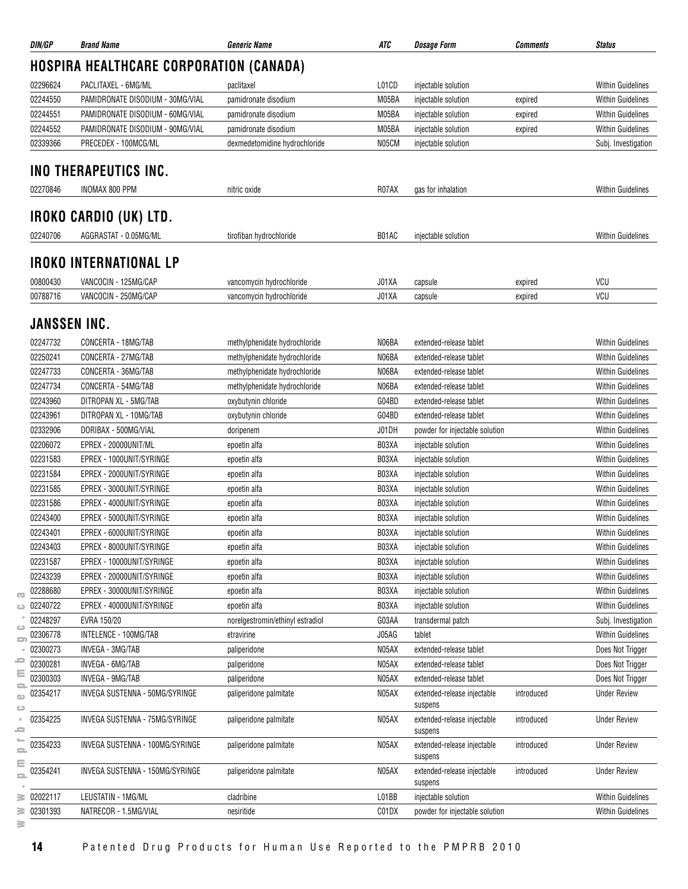| DIN/GP            | <b>Brand Name</b>                              | <b>Generic Name</b>              | ATC   | <i><b>Dosage Form</b></i>              | <b>Comments</b> | <b>Status</b>            |
|-------------------|------------------------------------------------|----------------------------------|-------|----------------------------------------|-----------------|--------------------------|
|                   | <b>HOSPIRA HEALTHCARE CORPORATION (CANADA)</b> |                                  |       |                                        |                 |                          |
| 02296624          | PACLITAXEL - 6MG/ML                            | paclitaxel                       | L01CD | injectable solution                    |                 | <b>Within Guidelines</b> |
| 02244550          | PAMIDRONATE DISODIUM - 30MG/VIAL               | pamidronate disodium             | M05BA | injectable solution                    | expired         | <b>Within Guidelines</b> |
| 02244551          | PAMIDRONATE DISODIUM - 60MG/VIAL               | pamidronate disodium             | M05BA | injectable solution                    | expired         | <b>Within Guidelines</b> |
| 02244552          | PAMIDRONATE DISODIUM - 90MG/VIAL               | pamidronate disodium             | M05BA | injectable solution                    | expired         | <b>Within Guidelines</b> |
| 02339366          | PRECEDEX - 100MCG/ML                           | dexmedetomidine hydrochloride    | N05CM | injectable solution                    |                 | Subj. Investigation      |
|                   | INO THERAPEUTICS INC.                          |                                  |       |                                        |                 |                          |
|                   |                                                |                                  |       |                                        |                 |                          |
| 02270846          | INOMAX 800 PPM                                 | nitric oxide                     | R07AX | gas for inhalation                     |                 | <b>Within Guidelines</b> |
|                   | IROKO CARDIO (UK) LTD.                         |                                  |       |                                        |                 |                          |
| 02240706          | AGGRASTAT - 0.05MG/ML                          | tirofiban hydrochloride          | B01AC | injectable solution                    |                 | <b>Within Guidelines</b> |
|                   | <b>IROKO INTERNATIONAL LP</b>                  |                                  |       |                                        |                 |                          |
| 00800430          | VANCOCIN - 125MG/CAP                           | vancomycin hydrochloride         | J01XA | capsule                                | expired         | VCU                      |
| 00788716          | VANCOCIN - 250MG/CAP                           | vancomycin hydrochloride         | J01XA | capsule                                | expired         | VCU                      |
|                   | JANSSEN INC.                                   |                                  |       |                                        |                 |                          |
| 02247732          | CONCERTA - 18MG/TAB                            | methylphenidate hydrochloride    | N06BA | extended-release tablet                |                 | <b>Within Guidelines</b> |
| 02250241          | CONCERTA - 27MG/TAB                            | methylphenidate hydrochloride    | N06BA | extended-release tablet                |                 | <b>Within Guidelines</b> |
| 02247733          | CONCERTA - 36MG/TAB                            | methylphenidate hydrochloride    | N06BA | extended-release tablet                |                 | <b>Within Guidelines</b> |
| 02247734          | CONCERTA - 54MG/TAB                            | methylphenidate hydrochloride    | N06BA | extended-release tablet                |                 | <b>Within Guidelines</b> |
| 02243960          | DITROPAN XL - 5MG/TAB                          | oxybutynin chloride              | G04BD | extended-release tablet                |                 | <b>Within Guidelines</b> |
| 02243961          | DITROPAN XL - 10MG/TAB                         | oxybutynin chloride              | G04BD | extended-release tablet                |                 | <b>Within Guidelines</b> |
| 02332906          | DORIBAX - 500MG/VIAL                           | doripenem                        | J01DH | powder for injectable solution         |                 | <b>Within Guidelines</b> |
| 02206072          | EPREX - 20000UNIT/ML                           | epoetin alfa                     | B03XA | injectable solution                    |                 | <b>Within Guidelines</b> |
| 02231583          | EPREX - 1000UNIT/SYRINGE                       | epoetin alfa                     | B03XA | injectable solution                    |                 | <b>Within Guidelines</b> |
| 02231584          | EPREX - 2000UNIT/SYRINGE                       | epoetin alfa                     | B03XA | injectable solution                    |                 | <b>Within Guidelines</b> |
| 02231585          | EPREX - 3000UNIT/SYRINGE                       | epoetin alfa                     | B03XA | injectable solution                    |                 | <b>Within Guidelines</b> |
| 02231586          | EPREX - 4000UNIT/SYRINGE                       | epoetin alfa                     | B03XA | injectable solution                    |                 | <b>Within Guidelines</b> |
| 02243400          | EPREX - 5000UNIT/SYRINGE                       | epoetin alfa                     | B03XA | injectable solution                    |                 | <b>Within Guidelines</b> |
| 02243401          | EPREX - 6000UNIT/SYRINGE                       | epoetin alfa                     | B03XA | injectable solution                    |                 | <b>Within Guidelines</b> |
| 02243403          | EPREX - 8000UNIT/SYRINGE                       |                                  | B03XA |                                        |                 | <b>Within Guidelines</b> |
|                   |                                                | epoetin alfa                     | B03XA | injectable solution                    |                 | <b>Within Guidelines</b> |
| 02231587          | EPREX - 10000UNIT/SYRINGE                      | epoetin alfa                     | B03XA | injectable solution                    |                 |                          |
| 02243239          | EPREX - 20000UNIT/SYRINGE                      | epoetin alfa                     |       | injectable solution                    |                 | <b>Within Guidelines</b> |
| 02288680          | EPREX - 30000UNIT/SYRINGE                      | epoetin alfa                     | B03XA | injectable solution                    |                 | <b>Within Guidelines</b> |
| 02240722          | EPREX - 40000UNIT/SYRINGE                      | epoetin alfa                     | B03XA | injectable solution                    |                 | <b>Within Guidelines</b> |
| 02248297          | EVRA 150/20                                    | norelgestromin/ethinyl estradiol | G03AA | transdermal patch                      |                 | Subj. Investigation      |
| 02306778          | INTELENCE - 100MG/TAB                          | etravirine                       | J05AG | tablet                                 |                 | <b>Within Guidelines</b> |
| 02300273          | INVEGA - 3MG/TAB                               | paliperidone                     | N05AX | extended-release tablet                |                 | Does Not Trigger         |
| 02300281          | INVEGA - 6MG/TAB                               | paliperidone                     | N05AX | extended-release tablet                |                 | Does Not Trigger         |
| 02300303          | INVEGA - 9MG/TAB                               | paliperidone                     | N05AX | extended-release tablet                |                 | Does Not Trigger         |
| 02354217          | INVEGA SUSTENNA - 50MG/SYRINGE                 | paliperidone palmitate           | N05AX | extended-release injectable<br>suspens | introduced      | <b>Under Review</b>      |
| 02354225          | INVEGA SUSTENNA - 75MG/SYRINGE                 | paliperidone palmitate           | N05AX | extended-release injectable<br>suspens | introduced      | <b>Under Review</b>      |
| 02354233          | INVEGA SUSTENNA - 100MG/SYRINGE                | paliperidone palmitate           | N05AX | extended-release injectable<br>suspens | introduced      | <b>Under Review</b>      |
| 02354241          | INVEGA SUSTENNA - 150MG/SYRINGE                | paliperidone palmitate           | N05AX | extended-release injectable<br>suspens | introduced      | <b>Under Review</b>      |
| 02022117          | LEUSTATIN - 1MG/ML                             | cladribine                       | L01BB | injectable solution                    |                 | <b>Within Guidelines</b> |
| $\equiv 02301393$ | NATRECOR - 1.5MG/VIAL                          | nesiritide                       | C01DX | powder for injectable solution         |                 | <b>Within Guidelines</b> |
|                   |                                                |                                  |       |                                        |                 |                          |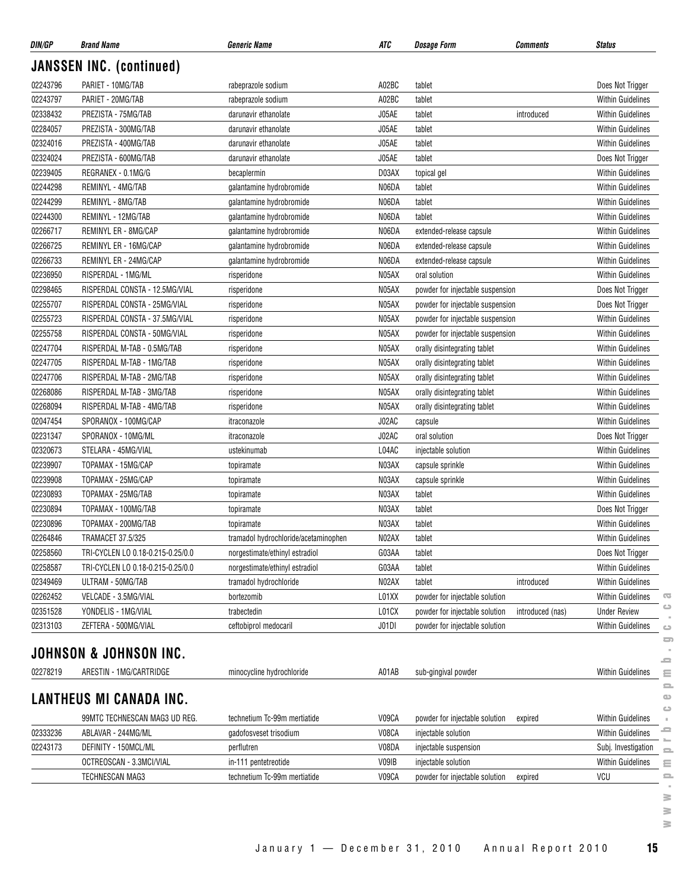| DIN/GP                          | <b>Brand Name</b>                 | <b>Generic Name</b>                  | ATC   | <b>Dosage Form</b><br><b>Comments</b>              | <b>Status</b>            |  |  |  |  |
|---------------------------------|-----------------------------------|--------------------------------------|-------|----------------------------------------------------|--------------------------|--|--|--|--|
| <b>JANSSEN INC. (continued)</b> |                                   |                                      |       |                                                    |                          |  |  |  |  |
| 02243796                        | PARIET - 10MG/TAB                 | rabeprazole sodium                   | A02BC | tablet                                             | Does Not Trigger         |  |  |  |  |
| 02243797                        | PARIET - 20MG/TAB                 | rabeprazole sodium                   | A02BC | tablet                                             | <b>Within Guidelines</b> |  |  |  |  |
| 02338432                        | PREZISTA - 75MG/TAB               | darunavir ethanolate                 | J05AE | tablet<br>introduced                               | Within Guidelines        |  |  |  |  |
| 02284057                        | PREZISTA - 300MG/TAB              | darunavir ethanolate                 | J05AE | tablet                                             | Within Guidelines        |  |  |  |  |
| 02324016                        | PREZISTA - 400MG/TAB              | darunavir ethanolate                 | J05AE | tablet                                             | Within Guidelines        |  |  |  |  |
| 02324024                        | PREZISTA - 600MG/TAB              | darunavir ethanolate                 | J05AE | tablet                                             | Does Not Trigger         |  |  |  |  |
| 02239405                        | REGRANEX - 0.1MG/G                | becaplermin                          | D03AX | topical gel                                        | <b>Within Guidelines</b> |  |  |  |  |
| 02244298                        | REMINYL - 4MG/TAB                 | galantamine hydrobromide             | N06DA | tablet                                             | <b>Within Guidelines</b> |  |  |  |  |
| 02244299                        | REMINYL - 8MG/TAB                 | galantamine hydrobromide             | N06DA | tablet                                             | <b>Within Guidelines</b> |  |  |  |  |
| 02244300                        | REMINYL - 12MG/TAB                | galantamine hydrobromide             | N06DA | tablet                                             | <b>Within Guidelines</b> |  |  |  |  |
| 02266717                        | REMINYL ER - 8MG/CAP              | galantamine hydrobromide             | N06DA | extended-release capsule                           | Within Guidelines        |  |  |  |  |
| 02266725                        | REMINYL ER - 16MG/CAP             | galantamine hydrobromide             | N06DA | extended-release capsule                           | Within Guidelines        |  |  |  |  |
| 02266733                        | REMINYL ER - 24MG/CAP             | galantamine hydrobromide             | N06DA | extended-release capsule                           | <b>Within Guidelines</b> |  |  |  |  |
| 02236950                        | RISPERDAL - 1MG/ML                | risperidone                          | N05AX | oral solution                                      | <b>Within Guidelines</b> |  |  |  |  |
| 02298465                        | RISPERDAL CONSTA - 12.5MG/VIAL    | risperidone                          | N05AX | powder for injectable suspension                   | Does Not Trigger         |  |  |  |  |
| 02255707                        | RISPERDAL CONSTA - 25MG/VIAL      | risperidone                          | N05AX | powder for injectable suspension                   | Does Not Trigger         |  |  |  |  |
| 02255723                        | RISPERDAL CONSTA - 37.5MG/VIAL    | risperidone                          | N05AX | powder for injectable suspension                   | Within Guidelines        |  |  |  |  |
| 02255758                        | RISPERDAL CONSTA - 50MG/VIAL      | risperidone                          | N05AX | powder for injectable suspension                   | <b>Within Guidelines</b> |  |  |  |  |
| 02247704                        | RISPERDAL M-TAB - 0.5MG/TAB       | risperidone                          | N05AX | orally disintegrating tablet                       | <b>Within Guidelines</b> |  |  |  |  |
| 02247705                        | RISPERDAL M-TAB - 1MG/TAB         | risperidone                          | N05AX | orally disintegrating tablet                       | <b>Within Guidelines</b> |  |  |  |  |
| 02247706                        | RISPERDAL M-TAB - 2MG/TAB         | risperidone                          | N05AX | orally disintegrating tablet                       | Within Guidelines        |  |  |  |  |
| 02268086                        | RISPERDAL M-TAB - 3MG/TAB         | risperidone                          | N05AX | orally disintegrating tablet                       | <b>Within Guidelines</b> |  |  |  |  |
| 02268094                        | RISPERDAL M-TAB - 4MG/TAB         | risperidone                          | N05AX | orally disintegrating tablet                       | Within Guidelines        |  |  |  |  |
| 02047454                        | SPORANOX - 100MG/CAP              | itraconazole                         | J02AC | capsule                                            | <b>Within Guidelines</b> |  |  |  |  |
| 02231347                        | SPORANOX - 10MG/ML                | itraconazole                         | J02AC | oral solution                                      | Does Not Trigger         |  |  |  |  |
| 02320673                        | STELARA - 45MG/VIAL               | ustekinumab                          | L04AC | injectable solution                                | Within Guidelines        |  |  |  |  |
| 02239907                        | TOPAMAX - 15MG/CAP                | topiramate                           | N03AX | capsule sprinkle                                   | Within Guidelines        |  |  |  |  |
| 02239908                        | TOPAMAX - 25MG/CAP                | topiramate                           | N03AX | capsule sprinkle                                   | Within Guidelines        |  |  |  |  |
| 02230893                        | TOPAMAX - 25MG/TAB                | topiramate                           | N03AX | tablet                                             | Within Guidelines        |  |  |  |  |
| 02230894                        | TOPAMAX - 100MG/TAB               | topiramate                           | N03AX | tablet                                             | Does Not Trigger         |  |  |  |  |
| 02230896                        | TOPAMAX - 200MG/TAB               | topiramate                           | N03AX | tablet                                             | <b>Within Guidelines</b> |  |  |  |  |
| 02264846                        | TRAMACET 37.5/325                 | tramadol hydrochloride/acetaminophen | N02AX | tablet                                             | <b>Within Guidelines</b> |  |  |  |  |
| 02258560                        | TRI-CYCLEN LO 0.18-0.215-0.25/0.0 | norgestimate/ethinyl estradiol       | G03AA | tablet                                             | Does Not Trigger         |  |  |  |  |
| 02258587                        | TRI-CYCLEN LO 0.18-0.215-0.25/0.0 | norgestimate/ethinyl estradiol       | G03AA | tablet                                             | <b>Within Guidelines</b> |  |  |  |  |
| 02349469                        | ULTRAM - 50MG/TAB                 | tramadol hydrochloride               | N02AX | tablet<br>introduced                               | <b>Within Guidelines</b> |  |  |  |  |
| 02262452                        | VELCADE - 3.5MG/VIAL              | bortezomib                           | L01XX | powder for injectable solution                     | <b>Within Guidelines</b> |  |  |  |  |
| 02351528                        | YONDELIS - 1MG/VIAL               | trabectedin                          | L01CX | powder for injectable solution<br>introduced (nas) | <b>Under Review</b>      |  |  |  |  |
| 02313103                        | ZEFTERA - 500MG/VIAL              | ceftobiprol medocaril                | J01DI | powder for injectable solution                     | <b>Within Guidelines</b> |  |  |  |  |
|                                 |                                   |                                      |       |                                                    |                          |  |  |  |  |
|                                 | JOHNSON & JOHNSON INC.            |                                      |       |                                                    |                          |  |  |  |  |
| 02278219                        | ARESTIN - 1MG/CARTRIDGE           | minocycline hydrochloride            | A01AB | sub-gingival powder                                | <b>Within Guidelines</b> |  |  |  |  |
|                                 |                                   |                                      |       |                                                    |                          |  |  |  |  |
|                                 | <b>LANTHEUS MI CANADA INC.</b>    |                                      |       |                                                    |                          |  |  |  |  |
|                                 | 99MTC TECHNESCAN MAG3 UD REG.     | technetium Tc-99m mertiatide         | V09CA | powder for injectable solution<br>expired          | <b>Within Guidelines</b> |  |  |  |  |
| 02333236                        | ABLAVAR - 244MG/ML                | gadofosveset trisodium               | V08CA | injectable solution                                | <b>Within Guidelines</b> |  |  |  |  |
| 02243173                        | DEFINITY - 150MCL/ML              | perflutren                           | V08DA | injectable suspension                              | Subj. Investigation      |  |  |  |  |
|                                 | OCTREOSCAN - 3.3MCI/VIAL          | in-111 pentetreotide                 | V09IB | injectable solution                                | <b>Within Guidelines</b> |  |  |  |  |
|                                 | TECHNESCAN MAG3                   | technetium Tc-99m mertiatide         | V09CA | powder for injectable solution<br>expired          | VCU                      |  |  |  |  |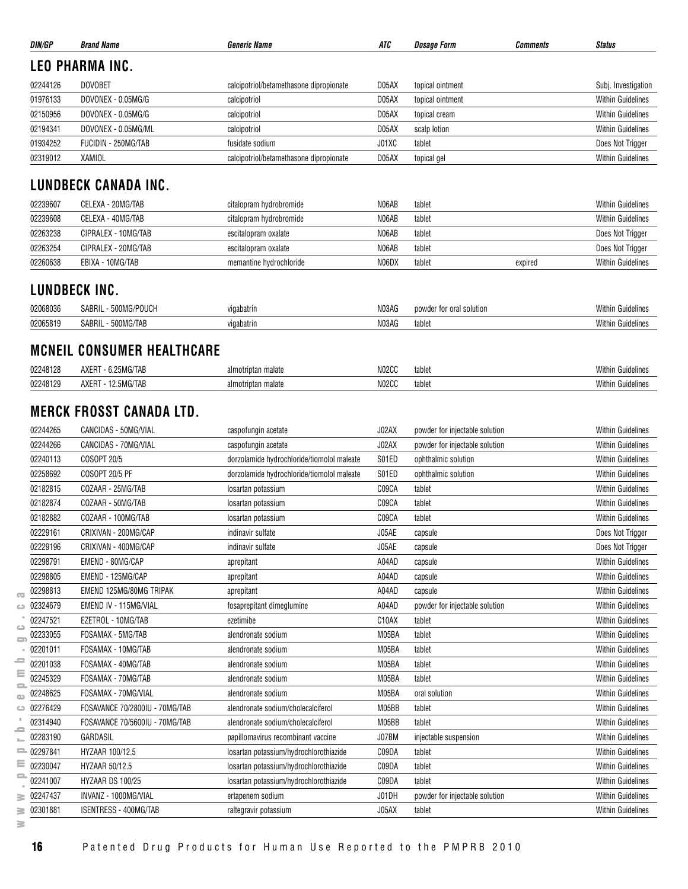| DIN/GP       | <b>Brand Name</b>                 | <b>Generic Name</b>                                        | ATC   | <b>Dosage Form</b>             | Comments | <b>Status</b>            |
|--------------|-----------------------------------|------------------------------------------------------------|-------|--------------------------------|----------|--------------------------|
|              | LEO PHARMA INC.                   |                                                            |       |                                |          |                          |
| 02244126     | <b>DOVOBET</b>                    | calcipotriol/betamethasone dipropionate                    | D05AX | topical ointment               |          | Subj. Investigation      |
| 01976133     | DOVONEX - 0.05MG/G                | calcipotriol                                               | D05AX | topical ointment               |          | <b>Within Guidelines</b> |
| 02150956     | DOVONEX - 0.05MG/G                | calcipotriol                                               | D05AX | topical cream                  |          | <b>Within Guidelines</b> |
| 02194341     | DOVONEX - 0.05MG/ML               | calcipotriol                                               | D05AX | scalp lotion                   |          | <b>Within Guidelines</b> |
| 01934252     | FUCIDIN - 250MG/TAB               | fusidate sodium                                            | J01XC | tablet                         |          | Does Not Trigger         |
| 02319012     | <b>XAMIOL</b>                     | calcipotriol/betamethasone dipropionate                    | D05AX | topical gel                    |          | <b>Within Guidelines</b> |
|              |                                   |                                                            |       |                                |          |                          |
|              | <b>LUNDBECK CANADA INC.</b>       |                                                            |       |                                |          |                          |
| 02239607     | CELEXA - 20MG/TAB                 | citalopram hydrobromide                                    | N06AB | tablet                         |          | <b>Within Guidelines</b> |
| 02239608     | CELEXA - 40MG/TAB                 | citalopram hydrobromide                                    | N06AB | tablet                         |          | <b>Within Guidelines</b> |
| 02263238     | CIPRALEX - 10MG/TAB               | escitalopram oxalate                                       | N06AB | tablet                         |          | Does Not Trigger         |
| 02263254     | CIPRALEX - 20MG/TAB               | escitalopram oxalate                                       | N06AB | tablet                         |          | Does Not Trigger         |
| 02260638     | EBIXA - 10MG/TAB                  | memantine hydrochloride                                    | N06DX | tablet                         | expired  | <b>Within Guidelines</b> |
|              | LUNDBECK INC.                     |                                                            |       |                                |          |                          |
| 02068036     | SABRIL - 500MG/POUCH              | vigabatrin                                                 | N03AG | powder for oral solution       |          | <b>Within Guidelines</b> |
| 02065819     | SABRIL - 500MG/TAB                | vigabatrin                                                 | N03AG | tablet                         |          | <b>Within Guidelines</b> |
|              |                                   |                                                            |       |                                |          |                          |
|              | <b>MCNEIL CONSUMER HEALTHCARE</b> |                                                            |       |                                |          |                          |
| 02248128     | AXERT - 6.25MG/TAB                | almotriptan malate                                         | N02CC | tablet                         |          | <b>Within Guidelines</b> |
| 02248129     | AXERT - 12.5MG/TAB                | almotriptan malate                                         | N02CC | tablet                         |          | <b>Within Guidelines</b> |
|              |                                   |                                                            |       |                                |          |                          |
|              | <b>MERCK FROSST CANADA LTD.</b>   |                                                            |       |                                |          |                          |
| 02244265     | CANCIDAS - 50MG/VIAL              | caspofungin acetate                                        | J02AX | powder for injectable solution |          | <b>Within Guidelines</b> |
| 02244266     | CANCIDAS - 70MG/VIAL              | caspofungin acetate                                        | J02AX | powder for injectable solution |          | <b>Within Guidelines</b> |
| 02240113     | COSOPT 20/5                       | dorzolamide hydrochloride/tiomolol maleate                 | S01ED | ophthalmic solution            |          | <b>Within Guidelines</b> |
| 02258692     | <b>COSOPT 20/5 PF</b>             | dorzolamide hydrochloride/tiomolol maleate                 | S01ED | ophthalmic solution            |          | <b>Within Guidelines</b> |
| 02182815     | COZAAR - 25MG/TAB                 | losartan potassium                                         | C09CA | tablet                         |          | <b>Within Guidelines</b> |
| 02182874     | COZAAR - 50MG/TAB                 | losartan potassium                                         | C09CA | tablet                         |          | <b>Within Guidelines</b> |
| 02182882     | COZAAR - 100MG/TAB                | losartan potassium                                         | C09CA | tablet                         |          | <b>Within Guidelines</b> |
| 02229161     | CRIXIVAN - 200MG/CAP              | indinavir sulfate                                          | J05AE | capsule                        |          | Does Not Trigger         |
| 02229196     | CRIXIVAN - 400MG/CAP              | indinavir sulfate                                          | J05AE | capsule                        |          | Does Not Trigger         |
| 02298791     | EMEND - 80MG/CAP                  | aprepitant                                                 | A04AD | capsule                        |          | <b>Within Guidelines</b> |
| 02298805     | EMEND - 125MG/CAP                 | aprepitant                                                 | A04AD | capsule                        |          | <b>Within Guidelines</b> |
| 02298813     | EMEND 125MG/80MG TRIPAK           | aprepitant                                                 | A04AD | capsule                        |          | <b>Within Guidelines</b> |
| 02324679     | EMEND IV - 115MG/VIAL             | fosaprepitant dimeglumine                                  | A04AD | powder for injectable solution |          | <b>Within Guidelines</b> |
| 02247521     | EZETROL - 10MG/TAB                | ezetimibe                                                  | C10AX | tablet                         |          | <b>Within Guidelines</b> |
| 02233055     | FOSAMAX - 5MG/TAB                 | alendronate sodium                                         | M05BA | tablet                         |          | <b>Within Guidelines</b> |
| 02201011     | FOSAMAX - 10MG/TAB                | alendronate sodium                                         | M05BA | tablet                         |          | <b>Within Guidelines</b> |
| 02201038     | FOSAMAX - 40MG/TAB                | alendronate sodium                                         | M05BA | tablet                         |          | <b>Within Guidelines</b> |
| 02245329     | FOSAMAX - 70MG/TAB                | alendronate sodium                                         | M05BA | tablet                         |          | <b>Within Guidelines</b> |
| 02248625     | FOSAMAX - 70MG/VIAL               | alendronate sodium                                         | M05BA | oral solution                  |          | <b>Within Guidelines</b> |
| 02276429     | FOSAVANCE 70/2800IU - 70MG/TAB    | alendronate sodium/cholecalciferol                         | M05BB | tablet                         |          | <b>Within Guidelines</b> |
| 02314940     | FOSAVANCE 70/5600IU - 70MG/TAB    | alendronate sodium/cholecalciferol                         | M05BB | tablet                         |          | <b>Within Guidelines</b> |
| 02283190     | GARDASIL                          | papillomavirus recombinant vaccine                         | J07BM | injectable suspension          |          | <b>Within Guidelines</b> |
| $= 02297841$ | HYZAAR 100/12.5                   | losartan potassium/hydrochlorothiazide                     | C09DA | tablet                         |          | <b>Within Guidelines</b> |
| 02230047     | HYZAAR 50/12.5                    | losartan potassium/hydrochlorothiazide                     | C09DA | tablet                         |          | <b>Within Guidelines</b> |
| 02241007     | HYZAAR DS 100/25                  |                                                            | C09DA | tablet                         |          | Within Guidelines        |
| 02247437     | INVANZ - 1000MG/VIAL              | losartan potassium/hydrochlorothiazide<br>ertapenem sodium | J01DH | powder for injectable solution |          | <b>Within Guidelines</b> |
|              |                                   |                                                            |       |                                |          |                          |
| 02301881     | ISENTRESS - 400MG/TAB             | raltegravir potassium                                      | J05AX | tablet                         |          | <b>Within Guidelines</b> |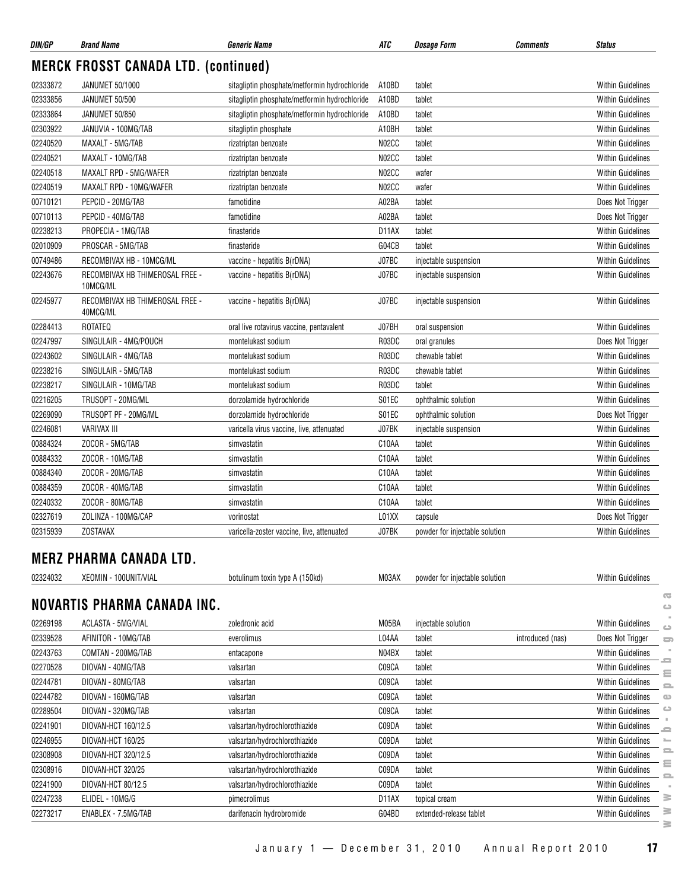| DIN/GP   | <b>Brand Name</b>                           | <i><b>Generic Name</b></i>                    | ATC   | <i><b>Dosage Form</b></i>      | Comments         | <b>Status</b>                          |
|----------|---------------------------------------------|-----------------------------------------------|-------|--------------------------------|------------------|----------------------------------------|
|          | <b>MERCK FROSST CANADA LTD. (continued)</b> |                                               |       |                                |                  |                                        |
| 02333872 | <b>JANUMET 50/1000</b>                      | sitagliptin phosphate/metformin hydrochloride | A10BD | tablet                         |                  | <b>Within Guidelines</b>               |
| 02333856 | JANUMET 50/500                              | sitagliptin phosphate/metformin hydrochloride | A10BD | tablet                         |                  | <b>Within Guidelines</b>               |
| 02333864 | JANUMET 50/850                              | sitagliptin phosphate/metformin hydrochloride | A10BD | tablet                         |                  | <b>Within Guidelines</b>               |
| 02303922 | JANUVIA - 100MG/TAB                         | sitagliptin phosphate                         | A10BH | tablet                         |                  | <b>Within Guidelines</b>               |
| 02240520 | MAXALT - 5MG/TAB                            | rizatriptan benzoate                          | N02CC | tablet                         |                  | <b>Within Guidelines</b>               |
| 02240521 | MAXALT - 10MG/TAB                           | rizatriptan benzoate                          | N02CC | tablet                         |                  | <b>Within Guidelines</b>               |
| 02240518 | MAXALT RPD - 5MG/WAFER                      | rizatriptan benzoate                          | N02CC | wafer                          |                  | <b>Within Guidelines</b>               |
| 02240519 | MAXALT RPD - 10MG/WAFER                     | rizatriptan benzoate                          | N02CC | wafer                          |                  | <b>Within Guidelines</b>               |
| 00710121 | PEPCID - 20MG/TAB                           | famotidine                                    | A02BA | tablet                         |                  | Does Not Trigger                       |
| 00710113 | PEPCID - 40MG/TAB                           | famotidine                                    | A02BA | tablet                         |                  | Does Not Trigger                       |
| 02238213 | PROPECIA - 1MG/TAB                          | finasteride                                   | D11AX | tablet                         |                  | <b>Within Guidelines</b>               |
| 02010909 | PROSCAR - 5MG/TAB                           | finasteride                                   | G04CB | tablet                         |                  | <b>Within Guidelines</b>               |
| 00749486 | RECOMBIVAX HB - 10MCG/ML                    | vaccine - hepatitis B(rDNA)                   | J07BC | injectable suspension          |                  | <b>Within Guidelines</b>               |
| 02243676 | RECOMBIVAX HB THIMEROSAL FREE -             | vaccine - hepatitis B(rDNA)                   | J07BC | injectable suspension          |                  | <b>Within Guidelines</b>               |
|          | 10MCG/ML                                    |                                               |       |                                |                  |                                        |
| 02245977 | RECOMBIVAX HB THIMEROSAL FREE -<br>40MCG/ML | vaccine - hepatitis B(rDNA)                   | J07BC | injectable suspension          |                  | <b>Within Guidelines</b>               |
| 02284413 | ROTATEQ                                     | oral live rotavirus vaccine, pentavalent      | J07BH | oral suspension                |                  | <b>Within Guidelines</b>               |
| 02247997 | SINGULAIR - 4MG/POUCH                       | montelukast sodium                            | R03DC | oral granules                  |                  | Does Not Trigger                       |
| 02243602 | SINGULAIR - 4MG/TAB                         | montelukast sodium                            | R03DC | chewable tablet                |                  | Within Guidelines                      |
| 02238216 | SINGULAIR - 5MG/TAB                         | montelukast sodium                            | R03DC | chewable tablet                |                  | <b>Within Guidelines</b>               |
| 02238217 | SINGULAIR - 10MG/TAB                        | montelukast sodium                            | R03DC | tablet                         |                  | <b>Within Guidelines</b>               |
| 02216205 | TRUSOPT - 20MG/ML                           | dorzolamide hydrochloride                     | S01EC | ophthalmic solution            |                  | <b>Within Guidelines</b>               |
| 02269090 | TRUSOPT PF - 20MG/ML                        | dorzolamide hydrochloride                     | S01EC | ophthalmic solution            |                  | Does Not Trigger                       |
| 02246081 | <b>VARIVAX III</b>                          | varicella virus vaccine, live, attenuated     | J07BK | injectable suspension          |                  | Within Guidelines                      |
| 00884324 | ZOCOR - 5MG/TAB                             | simvastatin                                   | C10AA | tablet                         |                  | <b>Within Guidelines</b>               |
| 00884332 | ZOCOR - 10MG/TAB                            | simvastatin                                   | C10AA | tablet                         |                  | <b>Within Guidelines</b>               |
| 00884340 | ZOCOR - 20MG/TAB                            | simvastatin                                   | C10AA | tablet                         |                  | <b>Within Guidelines</b>               |
| 00884359 | ZOCOR - 40MG/TAB                            | simvastatin                                   | C10AA | tablet                         |                  | <b>Within Guidelines</b>               |
| 02240332 | ZOCOR - 80MG/TAB                            | simvastatin                                   | C10AA | tablet                         |                  | <b>Within Guidelines</b>               |
| 02327619 | ZOLINZA - 100MG/CAP                         | vorinostat                                    | L01XX | capsule                        |                  | Does Not Trigger                       |
| 02315939 | <b>ZOSTAVAX</b>                             | varicella-zoster vaccine, live, attenuated    | J07BK | powder for injectable solution |                  | <b>Within Guidelines</b>               |
|          | <b>MERZ PHARMA CANADA LTD.</b>              |                                               |       |                                |                  |                                        |
| 02324032 | XEOMIN - 100UNIT/VIAL                       | botulinum toxin type A (150kd)                | M03AX | powder for injectable solution |                  | <b>Within Guidelines</b>               |
|          | NOVARTIS PHARMA CANADA INC.                 |                                               |       |                                |                  | $\overline{\mathbf{C}}$<br>$\circ$     |
|          | ACLASTA - 5MG/VIAL                          |                                               | M05BA |                                |                  |                                        |
| 02269198 |                                             | zoledronic acid                               |       | injectable solution            |                  | <b>Within Guidelines</b><br>$\circ$    |
| 02339528 | AFINITOR - 10MG/TAB                         | everolimus                                    | L04AA | tablet                         | introduced (nas) | Does Not Trigger<br>ᇹ                  |
| 02243763 | COMTAN - 200MG/TAB                          | entacapone                                    | N04BX | tablet                         |                  | Within Guidelines<br>-                 |
| 02270528 | DIOVAN - 40MG/TAB                           | valsartan                                     | C09CA | tablet                         |                  | Within Guidelines<br>Ξ                 |
| 02244781 | DIOVAN - 80MG/TAB                           | valsartan                                     | C09CA | tablet                         |                  | Within Guidelines<br>$\equiv$          |
| 02244782 | DIOVAN - 160MG/TAB                          | valsartan                                     | C09CA | tablet                         |                  | <b>Within Guidelines</b><br>$\bigcirc$ |
| 02289504 | DIOVAN - 320MG/TAB                          | valsartan                                     | C09CA | tablet                         |                  | ت<br>Within Guidelines                 |
| 02241901 | DIOVAN-HCT 160/12.5                         | valsartan/hydrochlorothiazide                 | C09DA | tablet                         |                  | <b>Within Guidelines</b>               |
| 02246955 | DIOVAN-HCT 160/25                           | valsartan/hydrochlorothiazide                 | C09DA | tablet                         |                  | Within Guidelines<br>$\mathbb{Z}$      |
| 02308908 | DIOVAN-HCT 320/12.5                         | valsartan/hydrochlorothiazide                 | C09DA | tablet                         |                  | $\equiv$<br>Within Guidelines<br>Ξ     |
| 02308916 | DIOVAN-HCT 320/25                           | valsartan/hydrochlorothiazide                 | C09DA | tablet                         |                  | Within Guidelines<br>$\equiv$          |
| 02241900 | DIOVAN-HCT 80/12.5                          | valsartan/hydrochlorothiazide                 | C09DA | tablet                         |                  | <b>Within Guidelines</b>               |
| 02247238 | ELIDEL - 10MG/G                             | pimecrolimus                                  | D11AX | topical cream                  |                  | Within Guidelines<br>3                 |
| 02273217 | ENABLEX - 7.5MG/TAB                         | darifenacin hydrobromide                      | G04BD | extended-release tablet        |                  | ≧<br><b>Within Guidelines</b>          |

 $\geq$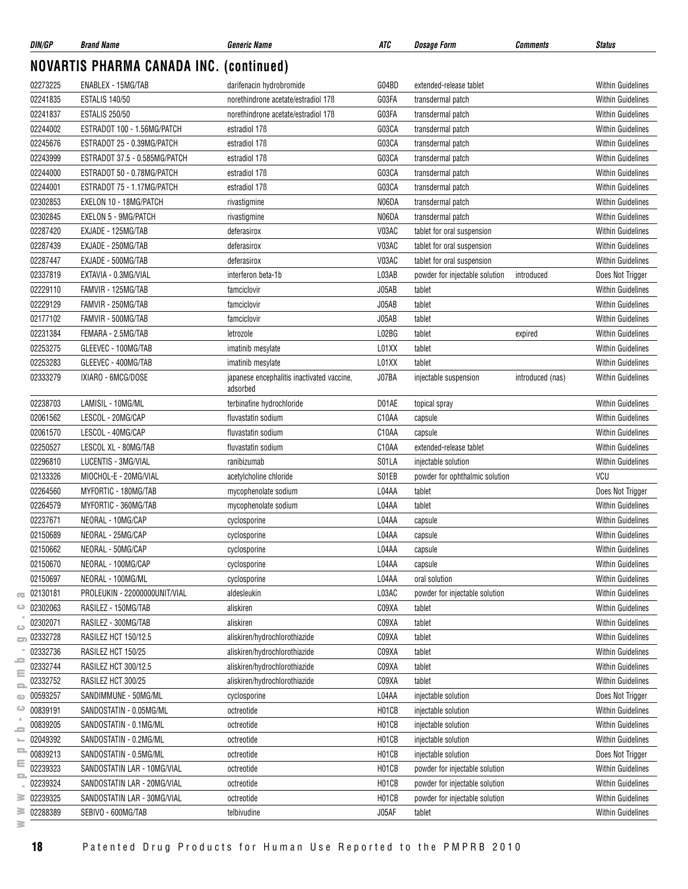| DIN/GP   | <b>Brand Name</b>                       | <b>Generic Name</b>                                    | ATC   | <b>Dosage Form</b>             | <b>Comments</b>  | <b>Status</b>            |
|----------|-----------------------------------------|--------------------------------------------------------|-------|--------------------------------|------------------|--------------------------|
|          | NOVARTIS PHARMA CANADA INC. (continued) |                                                        |       |                                |                  |                          |
| 02273225 | ENABLEX - 15MG/TAB                      | darifenacin hydrobromide                               | G04BD | extended-release tablet        |                  | <b>Within Guidelines</b> |
| 02241835 | <b>ESTALIS 140/50</b>                   | norethindrone acetate/estradiol 17B                    | G03FA | transdermal patch              |                  | <b>Within Guidelines</b> |
| 02241837 | <b>ESTALIS 250/50</b>                   | norethindrone acetate/estradiol 17B                    | G03FA | transdermal patch              |                  | <b>Within Guidelines</b> |
| 02244002 | ESTRADOT 100 - 1.56MG/PATCH             | estradiol 17 <sub>B</sub>                              | G03CA | transdermal patch              |                  | <b>Within Guidelines</b> |
| 02245676 | ESTRADOT 25 - 0.39MG/PATCH              | estradiol 17 <sub>B</sub>                              | G03CA | transdermal patch              |                  | <b>Within Guidelines</b> |
| 02243999 | ESTRADOT 37.5 - 0.585MG/PATCH           | estradiol 17 <sub>B</sub>                              | G03CA | transdermal patch              |                  | <b>Within Guidelines</b> |
| 02244000 | ESTRADOT 50 - 0.78MG/PATCH              | estradiol 17 <sub>B</sub>                              | G03CA | transdermal patch              |                  | <b>Within Guidelines</b> |
| 02244001 | ESTRADOT 75 - 1.17MG/PATCH              | estradiol 17 <sub>B</sub>                              | G03CA | transdermal patch              |                  | <b>Within Guidelines</b> |
| 02302853 | EXELON 10 - 18MG/PATCH                  | rivastigmine                                           | N06DA | transdermal patch              |                  | <b>Within Guidelines</b> |
| 02302845 | <b>EXELON 5 - 9MG/PATCH</b>             | rivastigmine                                           | N06DA | transdermal patch              |                  | <b>Within Guidelines</b> |
| 02287420 | EXJADE - 125MG/TAB                      | deferasirox                                            | V03AC | tablet for oral suspension     |                  | <b>Within Guidelines</b> |
| 02287439 | EXJADE - 250MG/TAB                      | deferasirox                                            | V03AC | tablet for oral suspension     |                  | <b>Within Guidelines</b> |
| 02287447 | EXJADE - 500MG/TAB                      | deferasirox                                            | V03AC | tablet for oral suspension     |                  | <b>Within Guidelines</b> |
| 02337819 | EXTAVIA - 0.3MG/VIAL                    | interferon beta-1b                                     | L03AB | powder for injectable solution | introduced       | Does Not Trigger         |
| 02229110 | FAMVIR - 125MG/TAB                      | famciclovir                                            | J05AB | tablet                         |                  | <b>Within Guidelines</b> |
| 02229129 | FAMVIR - 250MG/TAB                      | famciclovir                                            | J05AB | tablet                         |                  | <b>Within Guidelines</b> |
| 02177102 | FAMVIR - 500MG/TAB                      | famciclovir                                            | J05AB | tablet                         |                  | <b>Within Guidelines</b> |
| 02231384 | FEMARA - 2.5MG/TAB                      | letrozole                                              | L02BG | tablet                         | expired          | <b>Within Guidelines</b> |
| 02253275 | GLEEVEC - 100MG/TAB                     | imatinib mesylate                                      | L01XX | tablet                         |                  | <b>Within Guidelines</b> |
| 02253283 | GLEEVEC - 400MG/TAB                     | imatinib mesylate                                      | L01XX | tablet                         |                  | <b>Within Guidelines</b> |
| 02333279 | IXIARO - 6MCG/DOSE                      | japanese encephalitis inactivated vaccine,<br>adsorbed | J07BA | injectable suspension          | introduced (nas) | <b>Within Guidelines</b> |
| 02238703 | LAMISIL - 10MG/ML                       | terbinafine hydrochloride                              | D01AE | topical spray                  |                  | <b>Within Guidelines</b> |
| 02061562 | LESCOL - 20MG/CAP                       | fluvastatin sodium                                     | C10AA | capsule                        |                  | <b>Within Guidelines</b> |
| 02061570 | LESCOL - 40MG/CAP                       | fluvastatin sodium                                     | C10AA | capsule                        |                  | <b>Within Guidelines</b> |
| 02250527 | LESCOL XL - 80MG/TAB                    | fluvastatin sodium                                     | C10AA | extended-release tablet        |                  | <b>Within Guidelines</b> |
| 02296810 | LUCENTIS - 3MG/VIAL                     | ranibizumab                                            | S01LA | injectable solution            |                  | <b>Within Guidelines</b> |
| 02133326 | MIOCHOL-E - 20MG/VIAL                   | acetylcholine chloride                                 | S01EB | powder for ophthalmic solution |                  | VCU                      |
| 02264560 | MYFORTIC - 180MG/TAB                    | mycophenolate sodium                                   | L04AA | tablet                         |                  | Does Not Trigger         |
| 02264579 | MYFORTIC - 360MG/TAB                    | mycophenolate sodium                                   | L04AA | tablet                         |                  | <b>Within Guidelines</b> |
| 02237671 | NEORAL - 10MG/CAP                       | cyclosporine                                           | L04AA | capsule                        |                  | <b>Within Guidelines</b> |
| 02150689 | NEORAL - 25MG/CAP                       | cyclosporine                                           | L04AA | capsule                        |                  | <b>Within Guidelines</b> |
| 02150662 | NEORAL - 50MG/CAP                       | cyclosporine                                           | L04AA | capsule                        |                  | <b>Within Guidelines</b> |
| 02150670 | NEORAL - 100MG/CAP                      | cyclosporine                                           | L04AA | capsule                        |                  | <b>Within Guidelines</b> |
| 02150697 | NEORAL - 100MG/ML                       | cyclosporine                                           | L04AA | oral solution                  |                  | <b>Within Guidelines</b> |
| 02130181 | PROLEUKIN - 22000000UNIT/VIAL           | aldesleukin                                            | L03AC | powder for injectable solution |                  | <b>Within Guidelines</b> |
| 02302063 | RASILEZ - 150MG/TAB                     | aliskiren                                              | C09XA | tablet                         |                  | <b>Within Guidelines</b> |
| 02302071 | RASILEZ - 300MG/TAB                     | aliskiren                                              | C09XA | tablet                         |                  | <b>Within Guidelines</b> |
| 02332728 | RASILEZ HCT 150/12.5                    | aliskiren/hydrochlorothiazide                          | C09XA | tablet                         |                  | <b>Within Guidelines</b> |
| 02332736 | RASILEZ HCT 150/25                      | aliskiren/hydrochlorothiazide                          | C09XA | tablet                         |                  | <b>Within Guidelines</b> |
| 02332744 | RASILEZ HCT 300/12.5                    | aliskiren/hydrochlorothiazide                          | C09XA | tablet                         |                  | <b>Within Guidelines</b> |
| 02332752 | RASILEZ HCT 300/25                      | aliskiren/hydrochlorothiazide                          | C09XA | tablet                         |                  | <b>Within Guidelines</b> |
| 00593257 | SANDIMMUNE - 50MG/ML                    | cyclosporine                                           | L04AA | injectable solution            |                  | Does Not Trigger         |
| 00839191 | SANDOSTATIN - 0.05MG/ML                 | octreotide                                             | H01CB | injectable solution            |                  | <b>Within Guidelines</b> |
| 00839205 | SANDOSTATIN - 0.1MG/ML                  | octreotide                                             | H01CB | injectable solution            |                  | <b>Within Guidelines</b> |
| 02049392 | SANDOSTATIN - 0.2MG/ML                  | octreotide                                             | H01CB | injectable solution            |                  | <b>Within Guidelines</b> |
| 00839213 | SANDOSTATIN - 0.5MG/ML                  | octreotide                                             | H01CB | injectable solution            |                  | Does Not Trigger         |
| 02239323 | SANDOSTATIN LAR - 10MG/VIAL             | octreotide                                             | H01CB | powder for injectable solution |                  | <b>Within Guidelines</b> |
| 02239324 | SANDOSTATIN LAR - 20MG/VIAL             | octreotide                                             | H01CB | powder for injectable solution |                  | <b>Within Guidelines</b> |
| 02239325 | SANDOSTATIN LAR - 30MG/VIAL             | octreotide                                             | H01CB | powder for injectable solution |                  | <b>Within Guidelines</b> |
| 02288389 | SEBIVO - 600MG/TAB                      | telbivudine                                            | J05AF | tablet                         |                  | <b>Within Guidelines</b> |
|          |                                         |                                                        |       |                                |                  |                          |

**18** Patented Drug Products for Human Use Reported to the PMPRB 2010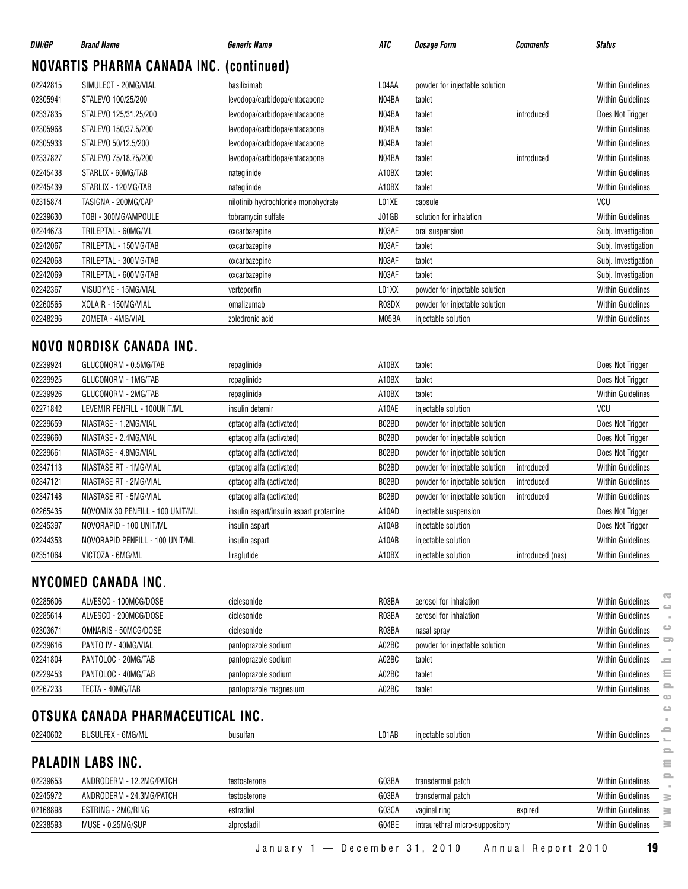| DIN/GP   | <b>Brand Name</b>                              | <b>Generic Name</b>                 | ATC   | <b>Dosage Form</b>             | Comments   | <b>Status</b>            |
|----------|------------------------------------------------|-------------------------------------|-------|--------------------------------|------------|--------------------------|
|          | <b>NOVARTIS PHARMA CANADA INC. (continued)</b> |                                     |       |                                |            |                          |
| 02242815 | SIMULECT - 20MG/VIAL                           | basiliximab                         | L04AA | powder for injectable solution |            | <b>Within Guidelines</b> |
| 02305941 | STALEVO 100/25/200                             | levodopa/carbidopa/entacapone       | N04BA | tablet                         |            | <b>Within Guidelines</b> |
| 02337835 | STALEVO 125/31.25/200                          | levodopa/carbidopa/entacapone       | N04BA | tablet                         | introduced | Does Not Trigger         |
| 02305968 | STALEVO 150/37.5/200                           | levodopa/carbidopa/entacapone       | N04BA | tablet                         |            | <b>Within Guidelines</b> |
| 02305933 | STALEVO 50/12.5/200                            | levodopa/carbidopa/entacapone       | N04BA | tablet                         |            | <b>Within Guidelines</b> |
| 02337827 | STALEVO 75/18.75/200                           | levodopa/carbidopa/entacapone       | N04BA | tablet                         | introduced | <b>Within Guidelines</b> |
| 02245438 | STARLIX - 60MG/TAB                             | nateglinide                         | A10BX | tablet                         |            | <b>Within Guidelines</b> |
| 02245439 | STARLIX - 120MG/TAB                            | nateglinide                         | A10BX | tablet                         |            | <b>Within Guidelines</b> |
| 02315874 | TASIGNA - 200MG/CAP                            | nilotinib hydrochloride monohydrate | L01XE | capsule                        |            | VCU                      |
| 02239630 | TOBI - 300MG/AMPOULE                           | tobramycin sulfate                  | J01GB | solution for inhalation        |            | <b>Within Guidelines</b> |
| 02244673 | TRILEPTAL - 60MG/ML                            | oxcarbazepine                       | N03AF | oral suspension                |            | Subj. Investigation      |
| 02242067 | TRILEPTAL - 150MG/TAB                          | oxcarbazepine                       | N03AF | tablet                         |            | Subj. Investigation      |
| 02242068 | TRILEPTAL - 300MG/TAB                          | oxcarbazepine                       | N03AF | tablet                         |            | Subj. Investigation      |
| 02242069 | TRILEPTAL - 600MG/TAB                          | oxcarbazepine                       | N03AF | tablet                         |            | Subj. Investigation      |
| 02242367 | VISUDYNE - 15MG/VIAL                           | verteporfin                         | L01XX | powder for injectable solution |            | <b>Within Guidelines</b> |
| 02260565 | XOLAIR - 150MG/VIAL                            | omalizumab                          | R03DX | powder for injectable solution |            | <b>Within Guidelines</b> |
| 02248296 | ZOMETA - 4MG/VIAL                              | zoledronic acid                     | M05BA | injectable solution            |            | <b>Within Guidelines</b> |

#### **NOVO NORDISK CANADA INC.**

| 02239924 | GLUCONORM - 0.5MG/TAB            | repaglinide                             | A10BX | tablet                         |                  | Does Not Trigger         |
|----------|----------------------------------|-----------------------------------------|-------|--------------------------------|------------------|--------------------------|
| 02239925 | GLUCONORM - 1MG/TAB              | repaglinide                             | A10BX | tablet                         |                  | Does Not Trigger         |
| 02239926 | GLUCONORM - 2MG/TAB              | repaglinide                             | A10BX | tablet                         |                  | <b>Within Guidelines</b> |
| 02271842 | LEVEMIR PENFILL - 100UNIT/ML     | insulin detemir                         | A10AE | injectable solution            |                  | VCU                      |
| 02239659 | NIASTASE - 1.2MG/VIAL            | eptacog alfa (activated)                | B02BD | powder for injectable solution |                  | Does Not Trigger         |
| 02239660 | NIASTASE - 2.4MG/VIAL            | eptacog alfa (activated)                | B02BD | powder for injectable solution |                  | Does Not Trigger         |
| 02239661 | NIASTASE - 4.8MG/VIAL            | eptacog alfa (activated)                | B02BD | powder for injectable solution |                  | Does Not Trigger         |
| 02347113 | NIASTASE RT - 1MG/VIAL           | eptacog alfa (activated)                | B02BD | powder for injectable solution | introduced       | <b>Within Guidelines</b> |
| 02347121 | NIASTASE RT - 2MG/VIAL           | eptacog alfa (activated)                | B02BD | powder for injectable solution | introduced       | <b>Within Guidelines</b> |
| 02347148 | NIASTASE RT - 5MG/VIAL           | eptacog alfa (activated)                | B02BD | powder for injectable solution | introduced       | <b>Within Guidelines</b> |
| 02265435 | NOVOMIX 30 PENFILL - 100 UNIT/ML | insulin aspart/insulin aspart protamine | A10AD | injectable suspension          |                  | Does Not Trigger         |
| 02245397 | NOVORAPID - 100 UNIT/ML          | insulin aspart                          | A10AB | injectable solution            |                  | Does Not Trigger         |
| 02244353 | NOVORAPID PENFILL - 100 UNIT/ML  | insulin aspart                          | A10AB | injectable solution            |                  | <b>Within Guidelines</b> |
| 02351064 | VICTOZA - 6MG/ML                 | liraglutide                             | A10BX | injectable solution            | introduced (nas) | <b>Within Guidelines</b> |

#### **NYCOMED CANADA INC.**

| 02285606 | ALVESCO - 100MCG/DOSE                                         | ciclesonide            | R03BA | aerosol for inhalation          |         | <b>Within Guidelines</b> | $\overline{a}$<br>ല |
|----------|---------------------------------------------------------------|------------------------|-------|---------------------------------|---------|--------------------------|---------------------|
| 02285614 | ALVESCO - 200MCG/DOSE                                         | ciclesonide            | R03BA | aerosol for inhalation          |         | <b>Within Guidelines</b> |                     |
| 02303671 | OMNARIS - 50MCG/DOSE                                          | ciclesonide            | R03BA | nasal spray                     |         | <b>Within Guidelines</b> | ت                   |
| 02239616 | PANTO IV - 40MG/VIAL                                          | pantoprazole sodium    | A02BC | powder for injectable solution  |         | <b>Within Guidelines</b> | ᇹ                   |
| 02241804 | PANTOLOC - 20MG/TAB                                           | pantoprazole sodium    | A02BC | tablet                          |         | <b>Within Guidelines</b> | <b>SC</b>           |
| 02229453 | PANTOLOC - 40MG/TAB                                           | pantoprazole sodium    | A02BC | tablet                          |         | <b>Within Guidelines</b> | Ξ                   |
| 02267233 | TECTA - 40MG/TAB                                              | pantoprazole magnesium | A02BC | tablet                          |         | <b>Within Guidelines</b> | e.                  |
| 02240602 | OTSUKA CANADA PHARMACEUTICAL INC.<br><b>BUSULFEX - 6MG/ML</b> | busulfan               | L01AB | injectable solution             |         | <b>Within Guidelines</b> | $\circ$<br>e        |
|          | <b>PALADIN LABS INC.</b>                                      |                        |       |                                 |         |                          | $\mathbf{r}$<br>Ξ   |
| 02239653 | ANDRODERM - 12.2MG/PATCH                                      | testosterone           | G03BA | transdermal patch               |         | <b>Within Guidelines</b> | $\equiv$            |
| 02245972 | ANDRODERM - 24.3MG/PATCH                                      | testosterone           | G03BA | transdermal patch               |         | <b>Within Guidelines</b> | ≧                   |
| 02168898 | ESTRING - 2MG/RING                                            | estradiol              | G03CA | vaginal ring                    | expired | <b>Within Guidelines</b> | ≧                   |
| 02238593 | MUSE - 0.25MG/SUP                                             | alprostadil            | G04BE | intraurethral micro-suppository |         | <b>Within Guidelines</b> | 3                   |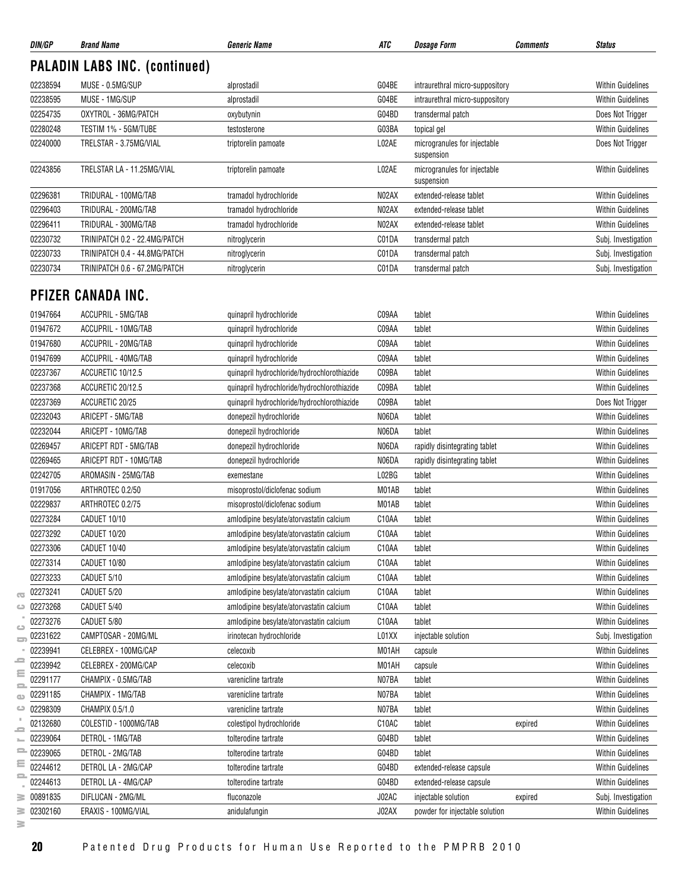| DIN/GP             | <b>Brand Name</b>                    | <b>Generic Name</b>                         | ATC   | <b>Dosage Form</b>                         | <b>Comments</b> | <b>Status</b>            |
|--------------------|--------------------------------------|---------------------------------------------|-------|--------------------------------------------|-----------------|--------------------------|
|                    | <b>PALADIN LABS INC. (continued)</b> |                                             |       |                                            |                 |                          |
| 02238594           | MUSE - 0.5MG/SUP                     | alprostadil                                 | G04BE | intraurethral micro-suppository            |                 | <b>Within Guidelines</b> |
| 02238595           | MUSE - 1MG/SUP                       | alprostadil                                 | G04BE | intraurethral micro-suppository            |                 | <b>Within Guidelines</b> |
| 02254735           | OXYTROL - 36MG/PATCH                 | oxybutynin                                  | G04BD | transdermal patch                          |                 | Does Not Trigger         |
| 02280248           | TESTIM 1% - 5GM/TUBE                 | testosterone                                | G03BA | topical gel                                |                 | <b>Within Guidelines</b> |
| 02240000           | TRELSTAR - 3.75MG/VIAL               | triptorelin pamoate                         | L02AE | microgranules for injectable<br>suspension |                 | Does Not Trigger         |
| 02243856           | TRELSTAR LA - 11.25MG/VIAL           | triptorelin pamoate                         | L02AE | microgranules for injectable<br>suspension |                 | <b>Within Guidelines</b> |
| 02296381           | TRIDURAL - 100MG/TAB                 | tramadol hydrochloride                      | N02AX | extended-release tablet                    |                 | <b>Within Guidelines</b> |
| 02296403           | TRIDURAL - 200MG/TAB                 | tramadol hydrochloride                      | N02AX | extended-release tablet                    |                 | <b>Within Guidelines</b> |
| 02296411           | TRIDURAL - 300MG/TAB                 | tramadol hydrochloride                      | N02AX | extended-release tablet                    |                 | <b>Within Guidelines</b> |
| 02230732           | TRINIPATCH 0.2 - 22.4MG/PATCH        | nitroglycerin                               | C01DA | transdermal patch                          |                 | Subj. Investigation      |
| 02230733           | TRINIPATCH 0.4 - 44.8MG/PATCH        | nitroglycerin                               | C01DA | transdermal patch                          |                 | Subj. Investigation      |
| 02230734           | TRINIPATCH 0.6 - 67.2MG/PATCH        | nitroglycerin                               | C01DA | transdermal patch                          |                 | Subj. Investigation      |
|                    | <b>PFIZER CANADA INC.</b>            |                                             |       |                                            |                 |                          |
| 01947664           | ACCUPRIL - 5MG/TAB                   | quinapril hydrochloride                     | C09AA | tablet                                     |                 | <b>Within Guidelines</b> |
| 01947672           | ACCUPRIL - 10MG/TAB                  | quinapril hydrochloride                     | C09AA | tablet                                     |                 | <b>Within Guidelines</b> |
| 01947680           | ACCUPRIL - 20MG/TAB                  | quinapril hydrochloride                     | C09AA | tablet                                     |                 | <b>Within Guidelines</b> |
| 01947699           | ACCUPRIL - 40MG/TAB                  | quinapril hydrochloride                     | C09AA | tablet                                     |                 | <b>Within Guidelines</b> |
| 02237367           | ACCURETIC 10/12.5                    | quinapril hydrochloride/hydrochlorothiazide | C09BA | tablet                                     |                 | <b>Within Guidelines</b> |
| 02237368           | ACCURETIC 20/12.5                    | quinapril hydrochloride/hydrochlorothiazide | C09BA | tablet                                     |                 | <b>Within Guidelines</b> |
| 02237369           | ACCURETIC 20/25                      | quinapril hydrochloride/hydrochlorothiazide | C09BA | tablet                                     |                 | Does Not Trigger         |
| 02232043           | ARICEPT - 5MG/TAB                    | donepezil hydrochloride                     | N06DA | tablet                                     |                 | <b>Within Guidelines</b> |
| 02232044           | ARICEPT - 10MG/TAB                   | donepezil hydrochloride                     | N06DA | tablet                                     |                 | <b>Within Guidelines</b> |
| 02269457           | ARICEPT RDT - 5MG/TAB                | donepezil hydrochloride                     | N06DA | rapidly disintegrating tablet              |                 | <b>Within Guidelines</b> |
| 02269465           | ARICEPT RDT - 10MG/TAB               | donepezil hydrochloride                     | N06DA | rapidly disintegrating tablet              |                 | <b>Within Guidelines</b> |
| 02242705           | AROMASIN - 25MG/TAB                  | exemestane                                  | L02BG | tablet                                     |                 | <b>Within Guidelines</b> |
| 01917056           | ARTHROTEC 0.2/50                     | misoprostol/diclofenac sodium               | M01AB | tablet                                     |                 | <b>Within Guidelines</b> |
| 02229837           | ARTHROTEC 0.2/75                     | misoprostol/diclofenac sodium               | M01AB | tablet                                     |                 | <b>Within Guidelines</b> |
| 02273284           | CADUET 10/10                         | amlodipine besylate/atorvastatin calcium    | C10AA | tablet                                     |                 | <b>Within Guidelines</b> |
| 02273292           | CADUET 10/20                         | amlodipine besylate/atorvastatin calcium    | C10AA | tablet                                     |                 | <b>Within Guidelines</b> |
| 02273306           | CADUET 10/40                         | amlodipine besylate/atorvastatin calcium    | C10AA | tablet                                     |                 | <b>Within Guidelines</b> |
| 02273314           | CADUET 10/80                         | amlodipine besylate/atorvastatin calcium    | C10AA | tablet                                     |                 | Within Guidelines        |
| 02273233           | CADUET 5/10                          | amlodipine besylate/atorvastatin calcium    | C10AA | tablet                                     |                 | <b>Within Guidelines</b> |
| 02273241           | CADUET 5/20                          | amlodipine besylate/atoryastatin calcium    | C10AA | tablet                                     |                 | <b>Within Guidelines</b> |
| 02273268           | CADUET 5/40                          | amlodipine besylate/atorvastatin calcium    | C10AA | tablet                                     |                 | <b>Within Guidelines</b> |
| 02273276           | CADUET 5/80                          | amlodipine besylate/atorvastatin calcium    | C10AA | tablet                                     |                 | <b>Within Guidelines</b> |
| 02231622           | CAMPTOSAR - 20MG/ML                  | irinotecan hydrochloride                    | L01XX | injectable solution                        |                 | Subj. Investigation      |
| 02239941           | CELEBREX - 100MG/CAP                 | celecoxib                                   | M01AH | capsule                                    |                 | <b>Within Guidelines</b> |
| 02239942           | CELEBREX - 200MG/CAP                 | celecoxib                                   | M01AH | capsule                                    |                 | <b>Within Guidelines</b> |
| 02291177           | CHAMPIX - 0.5MG/TAB                  | varenicline tartrate                        | N07BA | tablet                                     |                 | <b>Within Guidelines</b> |
| 02291185           | CHAMPIX - 1MG/TAB                    | varenicline tartrate                        | N07BA | tablet                                     |                 | <b>Within Guidelines</b> |
| 02298309           | CHAMPIX 0.5/1.0                      | varenicline tartrate                        | N07BA | tablet                                     |                 | <b>Within Guidelines</b> |
| 02132680           | COLESTID - 1000MG/TAB                | colestipol hydrochloride                    | C10AC | tablet                                     | expired         | <b>Within Guidelines</b> |
| 02239064           | DETROL - 1MG/TAB                     | tolterodine tartrate                        | G04BD | tablet                                     |                 | Within Guidelines        |
| $= 02239065$       | DETROL - 2MG/TAB                     | tolterodine tartrate                        | G04BD | tablet                                     |                 | <b>Within Guidelines</b> |
| 02244612           | DETROL LA - 2MG/CAP                  |                                             | G04BD | extended-release capsule                   |                 | <b>Within Guidelines</b> |
|                    | DETROL LA - 4MG/CAP                  | tolterodine tartrate                        | G04BD |                                            |                 | <b>Within Guidelines</b> |
| 02244613           |                                      | tolterodine tartrate                        |       | extended-release capsule                   |                 |                          |
| 00891835           | DIFLUCAN - 2MG/ML                    | fluconazole                                 | J02AC | injectable solution                        | expired         | Subj. Investigation      |
| 02302160<br>s<br>3 | ERAXIS - 100MG/VIAL                  | anidulafungin                               | J02AX | powder for injectable solution             |                 | <b>Within Guidelines</b> |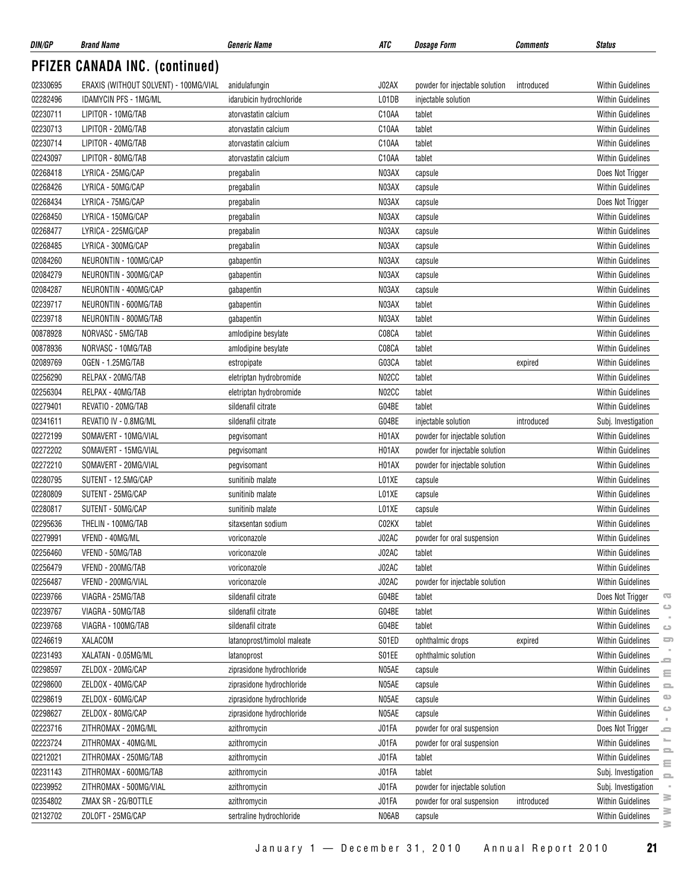| DIN/GP               | <b>Brand Name</b>                     | Generic Name                         | ATC   | <b>Dosage Form</b>             | Comments   | <b>Status</b>                                 |                 |
|----------------------|---------------------------------------|--------------------------------------|-------|--------------------------------|------------|-----------------------------------------------|-----------------|
|                      | <b>PFIZER CANADA INC. (continued)</b> |                                      |       |                                |            |                                               |                 |
| 02330695             | ERAXIS (WITHOUT SOLVENT) - 100MG/VIAL | anidulafungin                        | J02AX | powder for injectable solution | introduced | <b>Within Guidelines</b>                      |                 |
| 02282496             | <b>IDAMYCIN PFS - 1MG/ML</b>          | idarubicin hydrochloride             | L01DB | injectable solution            |            | <b>Within Guidelines</b>                      |                 |
| 02230711             | LIPITOR - 10MG/TAB                    | atorvastatin calcium                 | C10AA | tablet                         |            | <b>Within Guidelines</b>                      |                 |
| 02230713             | LIPITOR - 20MG/TAB                    | atorvastatin calcium                 | C10AA | tablet                         |            | <b>Within Guidelines</b>                      |                 |
| 02230714             | LIPITOR - 40MG/TAB                    | atorvastatin calcium                 | C10AA | tablet                         |            | <b>Within Guidelines</b>                      |                 |
| 02243097             | LIPITOR - 80MG/TAB                    | atorvastatin calcium                 | C10AA | tablet                         |            | Within Guidelines                             |                 |
| 02268418             | LYRICA - 25MG/CAP                     | pregabalin                           | N03AX | capsule                        |            | Does Not Trigger                              |                 |
| 02268426             | LYRICA - 50MG/CAP                     | pregabalin                           | N03AX | capsule                        |            | <b>Within Guidelines</b>                      |                 |
| 02268434             | LYRICA - 75MG/CAP                     | pregabalin                           | N03AX | capsule                        |            | Does Not Trigger                              |                 |
| 02268450             | LYRICA - 150MG/CAP                    | pregabalin                           | N03AX | capsule                        |            | <b>Within Guidelines</b>                      |                 |
| 02268477             | LYRICA - 225MG/CAP                    | pregabalin                           | N03AX | capsule                        |            | <b>Within Guidelines</b>                      |                 |
| 02268485             | LYRICA - 300MG/CAP                    | pregabalin                           | N03AX | capsule                        |            | <b>Within Guidelines</b>                      |                 |
| 02084260             | NEURONTIN - 100MG/CAP                 | gabapentin                           | N03AX | capsule                        |            | Within Guidelines                             |                 |
| 02084279             | NEURONTIN - 300MG/CAP                 | gabapentin                           | N03AX | capsule                        |            | <b>Within Guidelines</b>                      |                 |
| 02084287             | NEURONTIN - 400MG/CAP                 | gabapentin                           | N03AX | capsule                        |            | <b>Within Guidelines</b>                      |                 |
| 02239717             | NEURONTIN - 600MG/TAB                 | gabapentin                           | N03AX | tablet                         |            | <b>Within Guidelines</b>                      |                 |
| 02239718             | NEURONTIN - 800MG/TAB                 | gabapentin                           | N03AX | tablet                         |            | Within Guidelines                             |                 |
| 00878928             | NORVASC - 5MG/TAB                     | amlodipine besylate                  | C08CA | tablet                         |            | <b>Within Guidelines</b>                      |                 |
| 00878936             | NORVASC - 10MG/TAB                    | amlodipine besylate                  | C08CA | tablet                         |            | <b>Within Guidelines</b>                      |                 |
| 02089769             | OGEN - 1.25MG/TAB                     | estropipate                          | G03CA | tablet                         | expired    | <b>Within Guidelines</b>                      |                 |
| 02256290             | RELPAX - 20MG/TAB                     | eletriptan hydrobromide              | N02CC | tablet                         |            | <b>Within Guidelines</b>                      |                 |
| 02256304             | RELPAX - 40MG/TAB                     | eletriptan hydrobromide              | N02CC | tablet                         |            | <b>Within Guidelines</b>                      |                 |
| 02279401             | REVATIO - 20MG/TAB                    | sildenafil citrate                   | G04BE | tablet                         |            | <b>Within Guidelines</b>                      |                 |
| 02341611             | REVATIO IV - 0.8MG/ML                 | sildenafil citrate                   | G04BE | injectable solution            | introduced | Subj. Investigation                           |                 |
| 02272199             | SOMAVERT - 10MG/VIAL                  | pegvisomant                          | H01AX | powder for injectable solution |            | <b>Within Guidelines</b>                      |                 |
| 02272202             | SOMAVERT - 15MG/VIAL                  | pegvisomant                          | H01AX | powder for injectable solution |            | <b>Within Guidelines</b>                      |                 |
| 02272210             | SOMAVERT - 20MG/VIAL                  |                                      | H01AX | powder for injectable solution |            | <b>Within Guidelines</b>                      |                 |
|                      | SUTENT - 12.5MG/CAP                   | pegvisomant                          | L01XE |                                |            |                                               |                 |
| 02280795             | SUTENT - 25MG/CAP                     | sunitinib malate                     | L01XE | capsule                        |            | <b>Within Guidelines</b>                      |                 |
| 02280809<br>02280817 | SUTENT - 50MG/CAP                     | sunitinib malate<br>sunitinib malate |       | capsule                        |            | Within Guidelines<br><b>Within Guidelines</b> |                 |
|                      |                                       |                                      | L01XE | capsule                        |            |                                               |                 |
| 02295636             | THELIN - 100MG/TAB                    | sitaxsentan sodium                   | C02KX | tablet                         |            | <b>Within Guidelines</b>                      |                 |
| 02279991             | VFEND - 40MG/ML                       | voriconazole                         | J02AC | powder for oral suspension     |            | <b>Within Guidelines</b>                      |                 |
| 02256460             | VFEND - 50MG/TAB                      | voriconazole                         | J02AC | tablet                         |            | <b>Within Guidelines</b>                      |                 |
| 02256479             | VFEND - 200MG/TAB                     | voriconazole                         | J02AC | tablet                         |            | Within Guidelines                             |                 |
| 02256487             | VFEND - 200MG/VIAL                    | voriconazole                         | J02AC | powder for injectable solution |            | Within Guidelines                             |                 |
| 02239766             | VIAGRA - 25MG/TAB                     | sildenafil citrate                   | G04BE | tablet                         |            | Does Not Trigger                              | G<br>ت          |
| 02239767             | VIAGRA - 50MG/TAB                     | sildenafil citrate                   | G04BE | tablet                         |            | Within Guidelines                             |                 |
| 02239768             | VIAGRA - 100MG/TAB                    | sildenafil citrate                   | G04BE | tablet                         |            | Within Guidelines                             | $\bigcirc$      |
| 02246619             | XALACOM                               | latanoprost/timolol maleate          | S01ED | ophthalmic drops               | expired    | <b>Within Guidelines</b>                      | $\Box$          |
| 02231493             | XALATAN - 0.05MG/ML                   | latanoprost                          | S01EE | ophthalmic solution            |            | <b>Within Guidelines</b>                      | 2               |
| 02298597             | ZELDOX - 20MG/CAP                     | ziprasidone hydrochloride            | N05AE | capsule                        |            | Within Guidelines                             | Ξ               |
| 02298600             | ZELDOX - 40MG/CAP                     | ziprasidone hydrochloride            | N05AE | capsule                        |            | <b>Within Guidelines</b>                      | $\equiv$        |
| 02298619             | ZELDOX - 60MG/CAP                     | ziprasidone hydrochloride            | N05AE | capsule                        |            | Within Guidelines                             | $\bigcirc$<br>ت |
| 02298627             | ZELDOX - 80MG/CAP                     | ziprasidone hydrochloride            | N05AE | capsule                        |            | Within Guidelines                             |                 |
| 02223716             | ZITHROMAX - 20MG/ML                   | azithromycin                         | J01FA | powder for oral suspension     |            | Does Not Trigger                              | 2               |
| 02223724             | ZITHROMAX - 40MG/ML                   | azithromycin                         | J01FA | powder for oral suspension     |            | Within Guidelines                             | ►<br>으          |
| 02212021             | ZITHROMAX - 250MG/TAB                 | azithromycin                         | J01FA | tablet                         |            | Within Guidelines                             | Ξ               |
| 02231143             | ZITHROMAX - 600MG/TAB                 | azithromycin                         | J01FA | tablet                         |            | Subj. Investigation                           | $=$             |
| 02239952             | ZITHROMAX - 500MG/VIAL                | azithromycin                         | J01FA | powder for injectable solution |            | Subj. Investigation                           |                 |
| 02354802             | ZMAX SR - 2G/BOTTLE                   | azithromycin                         | J01FA | powder for oral suspension     | introduced | <b>Within Guidelines</b>                      | ₹<br>≧          |
| 02132702             | ZOLOFT - 25MG/CAP                     | sertraline hydrochloride             | N06AB | capsule                        |            | <b>Within Guidelines</b>                      | ≋               |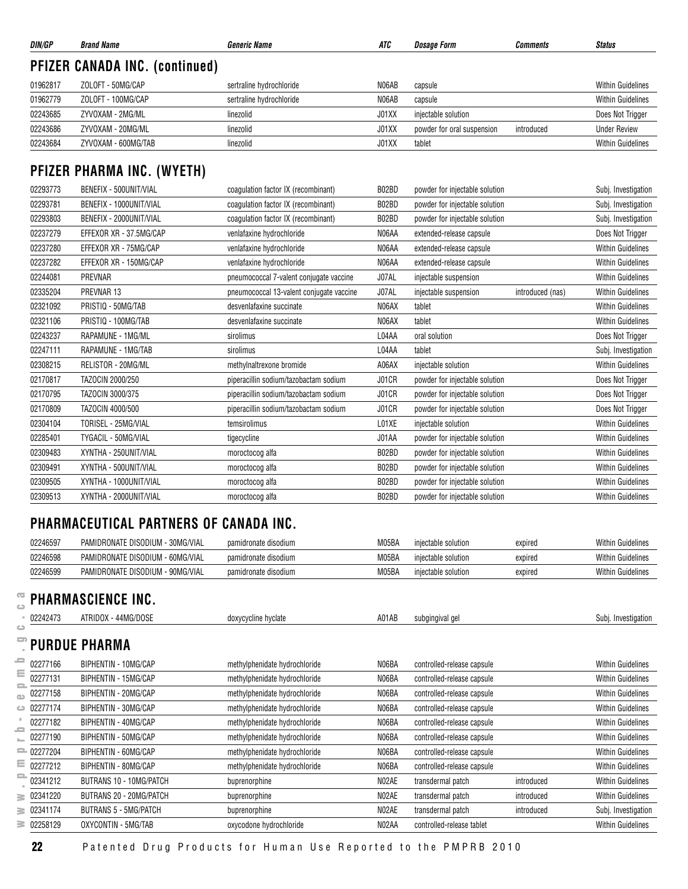| DIN/GP   | <b>Brand Name</b>                     | <b>Generic Name</b>                      | ATC   | <b>Dosage Form</b>             | Comments         | <b>Status</b>            |
|----------|---------------------------------------|------------------------------------------|-------|--------------------------------|------------------|--------------------------|
|          | <b>PFIZER CANADA INC. (continued)</b> |                                          |       |                                |                  |                          |
| 01962817 | ZOLOFT - 50MG/CAP                     | sertraline hydrochloride                 | N06AB | capsule                        |                  | <b>Within Guidelines</b> |
| 01962779 | ZOLOFT - 100MG/CAP                    | sertraline hydrochloride                 | N06AB | capsule                        |                  | <b>Within Guidelines</b> |
| 02243685 | ZYVOXAM - 2MG/ML                      | linezolid                                | J01XX | injectable solution            |                  | Does Not Trigger         |
| 02243686 | ZYVOXAM - 20MG/ML                     | linezolid                                | J01XX | powder for oral suspension     | introduced       | <b>Under Review</b>      |
| 02243684 | ZYVOXAM - 600MG/TAB                   | linezolid                                | J01XX | tablet                         |                  | <b>Within Guidelines</b> |
|          | PFIZER PHARMA INC. (WYETH)            |                                          |       |                                |                  |                          |
| 02293773 | BENEFIX - 500UNIT/VIAL                | coagulation factor IX (recombinant)      | B02BD | powder for injectable solution |                  | Subj. Investigation      |
| 02293781 | BENEFIX - 1000UNIT/VIAL               | coagulation factor IX (recombinant)      | B02BD | powder for injectable solution |                  | Subj. Investigation      |
| 02293803 | BENEFIX - 2000UNIT/VIAL               | coagulation factor IX (recombinant)      | B02BD | powder for injectable solution |                  | Subj. Investigation      |
| 02237279 | EFFEXOR XR - 37.5MG/CAP               | venlafaxine hydrochloride                | N06AA | extended-release capsule       |                  | Does Not Trigger         |
| 02237280 | EFFEXOR XR - 75MG/CAP                 | venlafaxine hydrochloride                | N06AA | extended-release capsule       |                  | <b>Within Guidelines</b> |
| 02237282 | EFFEXOR XR - 150MG/CAP                | venlafaxine hydrochloride                | N06AA | extended-release capsule       |                  | <b>Within Guidelines</b> |
| 02244081 | PREVNAR                               | pneumococcal 7-valent conjugate vaccine  | J07AL | injectable suspension          |                  | <b>Within Guidelines</b> |
| 02335204 | PREVNAR 13                            | pneumococcal 13-valent conjugate vaccine | J07AL | injectable suspension          | introduced (nas) | <b>Within Guidelines</b> |
| 02321092 | PRISTIQ - 50MG/TAB                    | desvenlafaxine succinate                 | N06AX | tablet                         |                  | <b>Within Guidelines</b> |
| 02321106 | PRISTIQ - 100MG/TAB                   | desvenlafaxine succinate                 | N06AX | tablet                         |                  | <b>Within Guidelines</b> |
| 02243237 | RAPAMUNE - 1MG/ML                     | sirolimus                                | L04AA | oral solution                  |                  | Does Not Trigger         |
| 02247111 | RAPAMUNE - 1MG/TAB                    | sirolimus                                | L04AA | tablet                         |                  | Subj. Investigation      |
| 02308215 | RELISTOR - 20MG/ML                    | methylnaltrexone bromide                 | A06AX | injectable solution            |                  | <b>Within Guidelines</b> |
| 02170817 | TAZOCIN 2000/250                      | piperacillin sodium/tazobactam sodium    | J01CR | powder for injectable solution |                  | Does Not Trigger         |
| 02170795 | TAZOCIN 3000/375                      | piperacillin sodium/tazobactam sodium    | J01CR | powder for injectable solution |                  | Does Not Trigger         |
| 02170809 | TAZOCIN 4000/500                      | piperacillin sodium/tazobactam sodium    | J01CR | powder for injectable solution |                  | Does Not Trigger         |
| 02304104 | TORISEL - 25MG/VIAL                   | temsirolimus                             | L01XE | injectable solution            |                  | <b>Within Guidelines</b> |
| 02285401 | TYGACIL - 50MG/VIAL                   | tigecycline                              | J01AA | powder for injectable solution |                  | <b>Within Guidelines</b> |
| 02309483 | XYNTHA - 250UNIT/VIAL                 | moroctocog alfa                          | B02BD | powder for injectable solution |                  | <b>Within Guidelines</b> |
| 02309491 | XYNTHA - 500UNIT/VIAL                 | moroctocog alfa                          | B02BD | powder for injectable solution |                  | <b>Within Guidelines</b> |
| 02309505 | XYNTHA - 1000UNIT/VIAL                | moroctocog alfa                          | B02BD | powder for injectable solution |                  | <b>Within Guidelines</b> |
| 02309513 | XYNTHA - 2000UNIT/VIAL                | moroctocog alfa                          | B02BD | powder for injectable solution |                  | <b>Within Guidelines</b> |

#### **PHARMACEUTICAL PARTNERS OF CANADA INC.**

| 02246597 | PAMIDRONATE DISODIUM<br>30MG/VIAL   | pamidronate disodium | M05BA | iniectable solution | expired | <b>Within Guidelines</b> |
|----------|-------------------------------------|----------------------|-------|---------------------|---------|--------------------------|
| 02246598 | PAMIDRONATE DISODIUM<br>- 60MG/VIAL | pamidronate disodium | M05BA | iniectable solution | expired | <b>Within Guidelines</b> |
| 02246599 | - 90MG/VIAL<br>PAMIDRONATE DISODIUM | pamidronate disodium | M05BA | iniectable solution | expired | <b>Within Guidelines</b> |

### **PHARMASCIENCE INC.**

| ൹<br>ت                   |              | <b>PHARMASCIENCE INC.</b>      |                               |       |                            |            |                          |
|--------------------------|--------------|--------------------------------|-------------------------------|-------|----------------------------|------------|--------------------------|
|                          | 02242473     | ATRIDOX - 44MG/DOSE            | doxycycline hyclate           | A01AB | subgingival gel            |            | Subj. Investigation      |
| ت                        |              | ' PURDUE PHARMA                |                               |       |                            |            |                          |
|                          | 02277166     | BIPHENTIN - 10MG/CAP           | methylphenidate hydrochloride | N06BA | controlled-release capsule |            | <b>Within Guidelines</b> |
| Ξ<br>$\equiv$            | 02277131     | BIPHENTIN - 15MG/CAP           | methylphenidate hydrochloride | N06BA | controlled-release capsule |            | <b>Within Guidelines</b> |
| œ                        | 02277158     | BIPHENTIN - 20MG/CAP           | methylphenidate hydrochloride | N06BA | controlled-release capsule |            | <b>Within Guidelines</b> |
|                          | 02277174     | BIPHENTIN - 30MG/CAP           | methylphenidate hydrochloride | N06BA | controlled-release capsule |            | <b>Within Guidelines</b> |
| $\overline{\phantom{a}}$ | 02277182     | BIPHENTIN - 40MG/CAP           | methylphenidate hydrochloride | N06BA | controlled-release capsule |            | <b>Within Guidelines</b> |
|                          | 02277190     | BIPHENTIN - 50MG/CAP           | methylphenidate hydrochloride | N06BA | controlled-release capsule |            | <b>Within Guidelines</b> |
|                          | $= 02277204$ | BIPHENTIN - 60MG/CAP           | methylphenidate hydrochloride | N06BA | controlled-release capsule |            | <b>Within Guidelines</b> |
| Ξ                        | 02277212     | BIPHENTIN - 80MG/CAP           | methylphenidate hydrochloride | N06BA | controlled-release capsule |            | <b>Within Guidelines</b> |
| 2                        | 02341212     | <b>BUTRANS 10 - 10MG/PATCH</b> | buprenorphine                 | N02AE | transdermal patch          | introduced | <b>Within Guidelines</b> |
| ≥                        | 02341220     | BUTRANS 20 - 20MG/PATCH        | buprenorphine                 | N02AE | transdermal patch          | introduced | <b>Within Guidelines</b> |
| ≥                        | 02341174     | <b>BUTRANS 5 - 5MG/PATCH</b>   | buprenorphine                 | N02AE | transdermal patch          | introduced | Subj. Investigation      |
| 3                        | 02258129     | OXYCONTIN - 5MG/TAB            | oxycodone hydrochloride       | N02AA | controlled-release tablet  |            | <b>Within Guidelines</b> |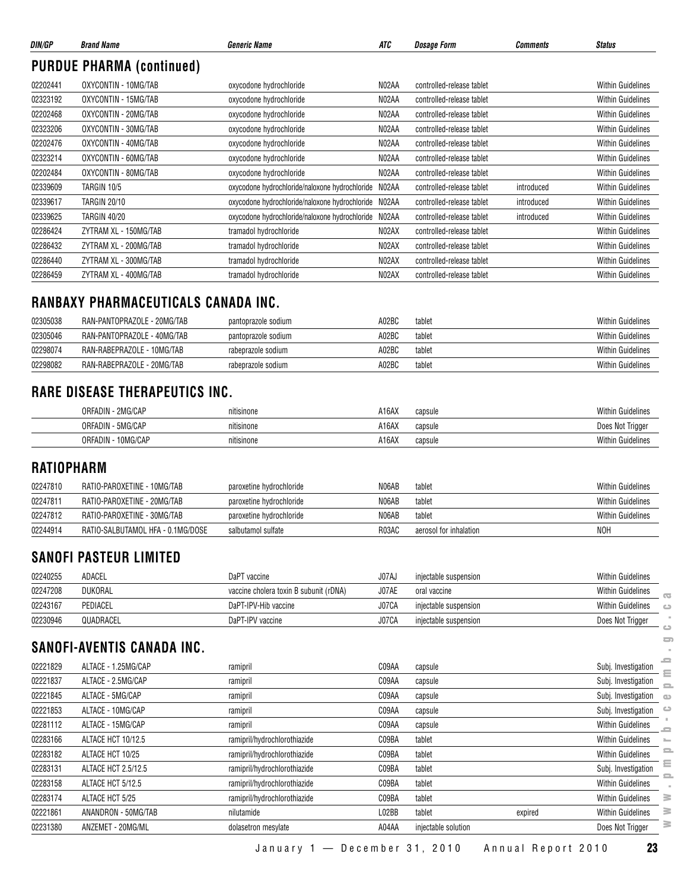| DIN/GP   | <b>Brand Name</b>                | <b>Generic Name</b>                            | ATC   | <b>Dosage Form</b>        | Comments   | <b>Status</b>            |
|----------|----------------------------------|------------------------------------------------|-------|---------------------------|------------|--------------------------|
|          | <b>PURDUE PHARMA (continued)</b> |                                                |       |                           |            |                          |
| 02202441 | OXYCONTIN - 10MG/TAB             | oxycodone hydrochloride                        | N02AA | controlled-release tablet |            | Within Guidelines        |
| 02323192 | OXYCONTIN - 15MG/TAB             | oxycodone hydrochloride                        | NO2AA | controlled-release tablet |            | <b>Within Guidelines</b> |
| 02202468 | OXYCONTIN - 20MG/TAB             | oxycodone hydrochloride                        | NO2AA | controlled-release tablet |            | <b>Within Guidelines</b> |
| 02323206 | OXYCONTIN - 30MG/TAB             | oxycodone hydrochloride                        | N02AA | controlled-release tablet |            | <b>Within Guidelines</b> |
| 02202476 | OXYCONTIN - 40MG/TAB             | oxycodone hydrochloride                        | N02AA | controlled-release tablet |            | Within Guidelines        |
| 02323214 | OXYCONTIN - 60MG/TAB             | oxycodone hydrochloride                        | N02AA | controlled-release tablet |            | <b>Within Guidelines</b> |
| 02202484 | OXYCONTIN - 80MG/TAB             | oxycodone hydrochloride                        | N02AA | controlled-release tablet |            | <b>Within Guidelines</b> |
| 02339609 | TARGIN 10/5                      | oxycodone hydrochloride/naloxone hydrochloride | N02AA | controlled-release tablet | introduced | <b>Within Guidelines</b> |
| 02339617 | <b>TARGIN 20/10</b>              | oxycodone hydrochloride/naloxone hydrochloride | N02AA | controlled-release tablet | introduced | Within Guidelines        |
| 02339625 | <b>TARGIN 40/20</b>              | oxycodone hydrochloride/naloxone hydrochloride | N02AA | controlled-release tablet | introduced | <b>Within Guidelines</b> |
| 02286424 | ZYTRAM XL - 150MG/TAB            | tramadol hydrochloride                         | NO2AX | controlled-release tablet |            | <b>Within Guidelines</b> |
| 02286432 | ZYTRAM XL - 200MG/TAB            | tramadol hydrochloride                         | NO2AX | controlled-release tablet |            | <b>Within Guidelines</b> |
| 02286440 | ZYTRAM XL - 300MG/TAB            | tramadol hydrochloride                         | NO2AX | controlled-release tablet |            | <b>Within Guidelines</b> |
| 02286459 | ZYTRAM XL - 400MG/TAB            | tramadol hydrochloride                         | NO2AX | controlled-release tablet |            | <b>Within Guidelines</b> |

#### **RANBAXY PHARMACEUTICALS CANADA INC.**

| 02305038 | RAN-PANTOPRAZOLE - 20MG/TAB | pantoprazole sodium | A02BC | tablet | <b>Within Guidelines</b> |
|----------|-----------------------------|---------------------|-------|--------|--------------------------|
| 02305046 | RAN-PANTOPRAZOLE - 40MG/TAB | pantoprazole sodium | A02BC | tablet | <b>Within Guidelines</b> |
| 02298074 | RAN-RABEPRAZOLE - 10MG/TAB  | rabeprazole sodium  | A02BC | tablet | <b>Within Guidelines</b> |
| 02298082 | RAN-RABEPRAZOLE - 20MG/TAB  | rabeprazole sodium  | A02BC | tablet | <b>Within Guidelines</b> |

#### **RARE DISEASE THERAPEUTICS INC.**

| 2MG/CAP<br>ORFADIN -   | nitisinone | A16AX<br>capsule | <b>Within Guidelines</b> |
|------------------------|------------|------------------|--------------------------|
| . - 5MG/CAP<br>ORFADIN | nitisinone | A16AX<br>capsule | Does Not Trigge          |
| '0MG/CAP<br>ORFADIN    | nitisinone | A16AX<br>capsule | <b>Within Guidelines</b> |

#### **RATIOPHARM**

| 02247810 | RATIO-PAROXETINE - 10MG/TAB       | paroxetine hydrochloride | N06AB | tablet                 | Within Guidelines        |
|----------|-----------------------------------|--------------------------|-------|------------------------|--------------------------|
| 02247811 | RATIO-PAROXETINE - 20MG/TAB       | paroxetine hydrochloride | N06AB | tablet                 | <b>Within Guidelines</b> |
| 02247812 | RATIO-PAROXETINE - 30MG/TAB       | paroxetine hydrochloride | N06AB | tablet                 | <b>Within Guidelines</b> |
| 02244914 | RATIO-SALBUTAMOL HFA - 0.1MG/DOSE | salbutamol sulfate       | R03AC | aerosol for inhalation | <b>NOH</b>               |

#### **SANOFI PASTEUR LIMITED**

| 02240255 | ADACEL    | DaPT vaccine                           | J07AJ | injectable suspension | <b>Within Guidelines</b>                   |
|----------|-----------|----------------------------------------|-------|-----------------------|--------------------------------------------|
| 02247208 | DUKORAL   | vaccine cholera toxin B subunit (rDNA) | J07AE | oral vaccine          | <b>Within Guidelines</b><br>$\overline{a}$ |
| 02243167 | PEDIACEL  | DaPT-IPV-Hib vaccine                   | J07CA | injectable suspension | Within Guidelines<br>$\triangle$           |
| 02230946 | QUADRACEL | DaPT-IPV vaccine                       | J07CA | injectable suspension | Does Not Trigger                           |
|          |           |                                        |       |                       |                                            |

#### **SANOFI-AVENTIS CANADA INC.**

| -- - - - - - |                            |                              |       |                       |         | $\overline{\phantom{a}}$       |
|--------------|----------------------------|------------------------------|-------|-----------------------|---------|--------------------------------|
| 02243167     | PEDIACEL                   | DaPT-IPV-Hib vaccine         | J07CA | injectable suspension |         | <b>Within Guidelines</b><br>ده |
| 02230946     | QUADRACEL                  | DaPT-IPV vaccine             | J07CA | injectable suspension |         | Does Not Trigger<br>c          |
|              | SANOFI-AVENTIS CANADA INC. |                              |       |                       |         | $\equiv$                       |
| 02221829     | ALTACE - 1.25MG/CAP        | ramipril                     | C09AA | capsule               |         | e<br>Subj. Investigation<br>Ξ  |
| 02221837     | ALTACE - 2.5MG/CAP         | ramipril                     | C09AA | capsule               |         | Subj. Investigation            |
| 02221845     | ALTACE - 5MG/CAP           | ramipril                     | C09AA | capsule               |         | Subj. Investigation<br>Œ       |
| 02221853     | ALTACE - 10MG/CAP          | ramipril                     | C09AA | capsule               |         | Subj. Investigation            |
| 02281112     | ALTACE - 15MG/CAP          | ramipril                     | C09AA | capsule               |         | <b>Within Guidelines</b><br>0  |
| 02283166     | ALTACE HCT 10/12.5         | ramipril/hydrochlorothiazide | C09BA | tablet                |         | <b>Within Guidelines</b>       |
| 02283182     | ALTACE HCT 10/25           | ramipril/hydrochlorothiazide | C09BA | tablet                |         | <b>Within Guidelines</b>       |
| 02283131     | ALTACE HCT 2.5/12.5        | ramipril/hydrochlorothiazide | C09BA | tablet                |         | Subj. Investigation            |
| 02283158     | ALTACE HCT 5/12.5          | ramipril/hydrochlorothiazide | C09BA | tablet                |         | <b>Within Guidelines</b>       |
| 02283174     | ALTACE HCT 5/25            | ramipril/hydrochlorothiazide | C09BA | tablet                |         | Within Guidelines<br>3         |
| 02221861     | ANANDRON - 50MG/TAB        | nilutamide                   | L02BB | tablet                | expired | ≋<br><b>Within Guidelines</b>  |
| 02231380     | ANZEMET - 20MG/ML          | dolasetron mesylate          | A04AA | injectable solution   |         | ∍<br>Does Not Trigger          |

 $\blacksquare$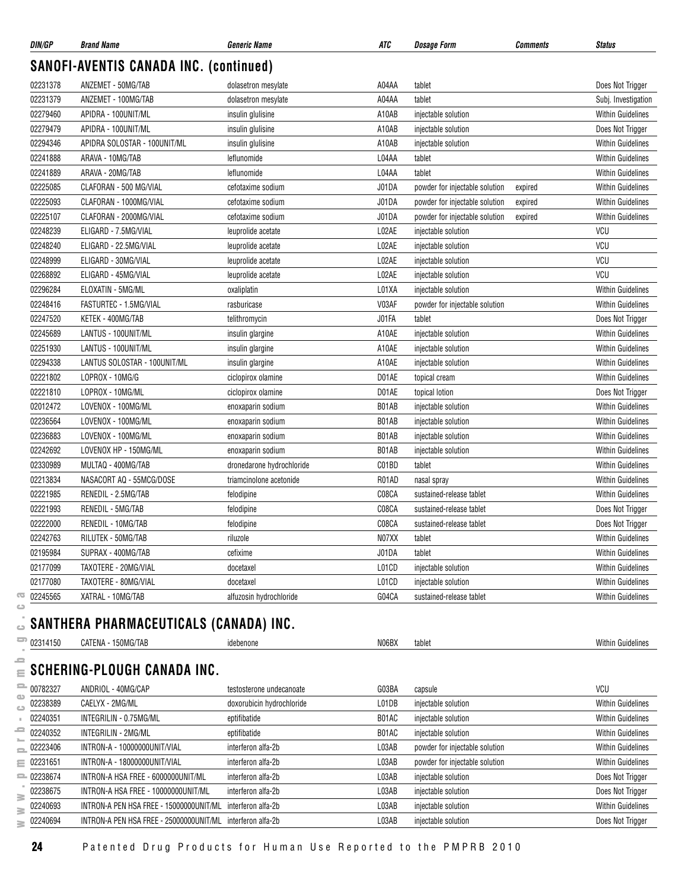| DIN/GP   | <b>Brand Name</b>                             | <b>Generic Name</b>       | ATC   | <b>Dosage Form</b>             | <b>Comments</b> | <b>Status</b>            |
|----------|-----------------------------------------------|---------------------------|-------|--------------------------------|-----------------|--------------------------|
|          | <b>SANOFI-AVENTIS CANADA INC. (continued)</b> |                           |       |                                |                 |                          |
| 02231378 | ANZEMET - 50MG/TAB                            | dolasetron mesylate       | A04AA | tablet                         |                 | Does Not Trigger         |
| 02231379 | ANZEMET - 100MG/TAB                           | dolasetron mesylate       | A04AA | tablet                         |                 | Subj. Investigation      |
| 02279460 | APIDRA - 100UNIT/ML                           | insulin glulisine         | A10AB | injectable solution            |                 | <b>Within Guidelines</b> |
| 02279479 | APIDRA - 100UNIT/ML                           | insulin glulisine         | A10AB | injectable solution            |                 | Does Not Trigger         |
| 02294346 | APIDRA SOLOSTAR - 100UNIT/ML                  | insulin glulisine         | A10AB | injectable solution            |                 | <b>Within Guidelines</b> |
| 02241888 | ARAVA - 10MG/TAB                              | leflunomide               | L04AA | tablet                         |                 | <b>Within Guidelines</b> |
| 02241889 | ARAVA - 20MG/TAB                              | leflunomide               | L04AA | tablet                         |                 | <b>Within Guidelines</b> |
| 02225085 | CLAFORAN - 500 MG/VIAL                        | cefotaxime sodium         | J01DA | powder for injectable solution | expired         | <b>Within Guidelines</b> |
| 02225093 | CLAFORAN - 1000MG/VIAL                        | cefotaxime sodium         | J01DA | powder for injectable solution | expired         | <b>Within Guidelines</b> |
| 02225107 | CLAFORAN - 2000MG/VIAL                        | cefotaxime sodium         | J01DA | powder for injectable solution | expired         | <b>Within Guidelines</b> |
| 02248239 | ELIGARD - 7.5MG/VIAL                          | leuprolide acetate        | L02AE | injectable solution            |                 | VCU                      |
| 02248240 | ELIGARD - 22.5MG/VIAL                         | leuprolide acetate        | L02AE | injectable solution            |                 | VCU                      |
| 02248999 | ELIGARD - 30MG/VIAL                           | leuprolide acetate        | L02AE | injectable solution            |                 | VCU                      |
| 02268892 | ELIGARD - 45MG/VIAL                           | leuprolide acetate        | L02AE | injectable solution            |                 | VCU                      |
| 02296284 | ELOXATIN - 5MG/ML                             | oxaliplatin               | L01XA | injectable solution            |                 | <b>Within Guidelines</b> |
| 02248416 | FASTURTEC - 1.5MG/VIAL                        | rasburicase               | V03AF | powder for injectable solution |                 | <b>Within Guidelines</b> |
| 02247520 | KETEK - 400MG/TAB                             | telithromycin             | J01FA | tablet                         |                 | Does Not Trigger         |
| 02245689 | LANTUS - 100UNIT/ML                           | insulin glargine          | A10AE | injectable solution            |                 | <b>Within Guidelines</b> |
| 02251930 | LANTUS - 100UNIT/ML                           | insulin glargine          | A10AE | injectable solution            |                 | <b>Within Guidelines</b> |
| 02294338 | LANTUS SOLOSTAR - 100UNIT/ML                  | insulin glargine          | A10AE | injectable solution            |                 | <b>Within Guidelines</b> |
| 02221802 | LOPROX - 10MG/G                               | ciclopirox olamine        | D01AE | topical cream                  |                 | <b>Within Guidelines</b> |
| 02221810 | LOPROX - 10MG/ML                              | ciclopirox olamine        | D01AE | topical lotion                 |                 | Does Not Trigger         |
| 02012472 | LOVENOX - 100MG/ML                            | enoxaparin sodium         | B01AB | injectable solution            |                 | <b>Within Guidelines</b> |
| 02236564 | LOVENOX - 100MG/ML                            | enoxaparin sodium         | B01AB | injectable solution            |                 | <b>Within Guidelines</b> |
| 02236883 | LOVENOX - 100MG/ML                            | enoxaparin sodium         | B01AB | injectable solution            |                 | <b>Within Guidelines</b> |
| 02242692 | LOVENOX HP - 150MG/ML                         | enoxaparin sodium         | B01AB | injectable solution            |                 | <b>Within Guidelines</b> |
| 02330989 | MULTAQ - 400MG/TAB                            | dronedarone hydrochloride | C01BD | tablet                         |                 | <b>Within Guidelines</b> |
| 02213834 | NASACORT AQ - 55MCG/DOSE                      | triamcinolone acetonide   | R01AD | nasal spray                    |                 | <b>Within Guidelines</b> |
| 02221985 | RENEDIL - 2.5MG/TAB                           | felodipine                | C08CA | sustained-release tablet       |                 | <b>Within Guidelines</b> |
| 02221993 | RENEDIL - 5MG/TAB                             | felodipine                | C08CA | sustained-release tablet       |                 | Does Not Trigger         |
| 02222000 | RENEDIL - 10MG/TAB                            | felodipine                | C08CA | sustained-release tablet       |                 | Does Not Trigger         |
| 02242763 | RILUTEK - 50MG/TAB                            | riluzole                  | N07XX | tablet                         |                 | Within Guidelines        |
| 02195984 | SUPRAX - 400MG/TAB                            | cefixime                  | J01DA | tablet                         |                 | <b>Within Guidelines</b> |
| 02177099 | TAXOTERE - 20MG/VIAL                          | docetaxel                 | L01CD | injectable solution            |                 | <b>Within Guidelines</b> |
| 02177080 | TAXOTERE - 80MG/VIAL                          | docetaxel                 | L01CD | injectable solution            |                 | <b>Within Guidelines</b> |
| 02245565 | XATRAL - 10MG/TAB                             | alfuzosin hydrochloride   | G04CA | sustained-release tablet       |                 | Within Guidelines        |

#### $\equiv$  SCHERING-PLOUGH CANADA INC.

|    | 02245565          | XATRAL - 10MG/TAB                       | alfuzosin hydrochloride   | G04CA | sustained-release tablet       | <b>Within Guidelines</b> |
|----|-------------------|-----------------------------------------|---------------------------|-------|--------------------------------|--------------------------|
|    |                   |                                         |                           |       |                                |                          |
|    |                   | SANTHERA PHARMACEUTICALS (CANADA) INC.  |                           |       |                                |                          |
|    | $\equiv$ 02314150 | CATENA - 150MG/TAB                      | idebenone                 | N06BX | tablet                         | <b>Within Guidelines</b> |
| e  |                   |                                         |                           |       |                                |                          |
|    |                   | $\equiv$ SCHERING-PLOUGH CANADA INC.    |                           |       |                                |                          |
|    | $= 00782327$      | ANDRIOL - 40MG/CAP                      | testosterone undecanoate  | G03BA | capsule                        | VCU                      |
| ده | 02238389          | CAELYX - 2MG/ML                         | doxorubicin hydrochloride | L01DB | injectable solution            | <b>Within Guidelines</b> |
|    | 02240351          | INTEGRILIN - 0.75MG/ML                  | eptifibatide              | B01AC | injectable solution            | <b>Within Guidelines</b> |
| ᇰ  | 02240352          | INTEGRILIN - 2MG/ML                     | eptifibatide              | B01AC | injectable solution            | <b>Within Guidelines</b> |
|    | 02223406          | INTRON-A - 10000000UNIT/VIAL            | interferon alfa-2b        | L03AB | powder for injectable solution | <b>Within Guidelines</b> |
|    | $\equiv 02231651$ | INTRON-A - 18000000UNIT/VIAL            | interferon alfa-2b        | L03AB | powder for injectable solution | <b>Within Guidelines</b> |
|    | $= 02238674$      | INTRON-A HSA FREE - 6000000UNIT/ML      | interferon alfa-2b        | L03AB | injectable solution            | Does Not Trigger         |
| ≧  | 02238675          | INTRON-A HSA FREE - 10000000UNIT/ML     | interferon alfa-2b        | L03AB | injectable solution            | Does Not Trigger         |
|    | 02240693          | INTRON-A PEN HSA FREE - 15000000UNIT/ML | interferon alfa-2b        | L03AB | injectable solution            | <b>Within Guidelines</b> |
|    | 02240694          | INTRON-A PEN HSA FREE - 25000000UNIT/ML | interferon alfa-2b        | L03AB | injectable solution            | Does Not Trigger         |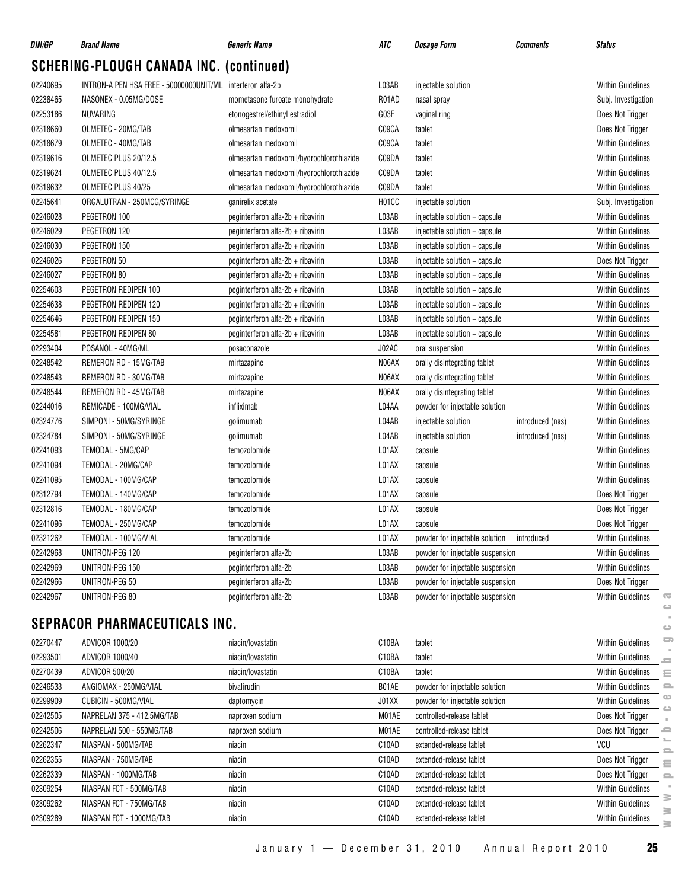| DIN/GP               | <b>Brand Name</b>                                          | <b>Generic Name</b>                      | ATC            | <b>Dosage Form</b>               | <b>Comments</b>  | <b>Status</b>                        |               |
|----------------------|------------------------------------------------------------|------------------------------------------|----------------|----------------------------------|------------------|--------------------------------------|---------------|
|                      | <b>SCHERING-PLOUGH CANADA INC. (continued)</b>             |                                          |                |                                  |                  |                                      |               |
| 02240695             | INTRON-A PEN HSA FREE - 50000000UNIT/ML interferon alfa-2b |                                          | L03AB          | injectable solution              |                  | <b>Within Guidelines</b>             |               |
| 02238465             | NASONEX - 0.05MG/DOSE                                      | mometasone furoate monohydrate           | R01AD          | nasal spray                      |                  | Subj. Investigation                  |               |
| 02253186             | NUVARING                                                   | etonogestrel/ethinyl estradiol           | G03F           | vaginal ring                     |                  | Does Not Trigger                     |               |
| 02318660             | OLMETEC - 20MG/TAB                                         | olmesartan medoxomil                     | C09CA          | tablet                           |                  | Does Not Trigger                     |               |
| 02318679             | OLMETEC - 40MG/TAB                                         | olmesartan medoxomil                     | C09CA          | tablet                           |                  | <b>Within Guidelines</b>             |               |
| 02319616             | OLMETEC PLUS 20/12.5                                       | olmesartan medoxomil/hydrochlorothiazide | C09DA          | tablet                           |                  | <b>Within Guidelines</b>             |               |
| 02319624             | OLMETEC PLUS 40/12.5                                       | olmesartan medoxomil/hydrochlorothiazide | C09DA          | tablet                           |                  | <b>Within Guidelines</b>             |               |
| 02319632             | OLMETEC PLUS 40/25                                         | olmesartan medoxomil/hydrochlorothiazide | C09DA          | tablet                           |                  | <b>Within Guidelines</b>             |               |
| 02245641             | ORGALUTRAN - 250MCG/SYRINGE                                | ganirelix acetate                        | H01CC          | injectable solution              |                  | Subj. Investigation                  |               |
| 02246028             | PEGETRON 100                                               | peginterferon alfa-2b + ribavirin        | L03AB          | injectable solution + capsule    |                  | <b>Within Guidelines</b>             |               |
| 02246029             | PEGETRON 120                                               | peginterferon alfa-2b + ribavirin        | L03AB          | injectable solution + capsule    |                  | <b>Within Guidelines</b>             |               |
| 02246030             | PEGETRON 150                                               | peginterferon alfa-2b + ribavirin        | L03AB          | injectable solution + capsule    |                  | <b>Within Guidelines</b>             |               |
| 02246026             | PEGETRON 50                                                | peginterferon alfa-2b + ribavirin        | L03AB          | injectable solution + capsule    |                  | Does Not Trigger                     |               |
| 02246027             | PEGETRON 80                                                | peginterferon alfa-2b + ribavirin        | L03AB          | injectable solution + capsule    |                  | Within Guidelines                    |               |
| 02254603             | PEGETRON REDIPEN 100                                       | peginterferon alfa-2b + ribavirin        | L03AB          | injectable solution + capsule    |                  | <b>Within Guidelines</b>             |               |
| 02254638             | PEGETRON REDIPEN 120                                       | peginterferon alfa-2b + ribavirin        | L03AB          | injectable solution + capsule    |                  | <b>Within Guidelines</b>             |               |
| 02254646             | PEGETRON REDIPEN 150                                       | peginterferon alfa-2b + ribavirin        | L03AB          | injectable solution + capsule    |                  | <b>Within Guidelines</b>             |               |
| 02254581             | PEGETRON REDIPEN 80                                        | peginterferon alfa-2b + ribavirin        | L03AB          | injectable solution + capsule    |                  | <b>Within Guidelines</b>             |               |
| 02293404             | POSANOL - 40MG/ML                                          | posaconazole                             | J02AC          | oral suspension                  |                  | <b>Within Guidelines</b>             |               |
| 02248542             | REMERON RD - 15MG/TAB                                      | mirtazapine                              | N06AX          | orally disintegrating tablet     |                  | <b>Within Guidelines</b>             |               |
| 02248543             | REMERON RD - 30MG/TAB                                      | mirtazapine                              | N06AX          | orally disintegrating tablet     |                  | <b>Within Guidelines</b>             |               |
| 02248544             | REMERON RD - 45MG/TAB                                      | mirtazapine                              | N06AX          | orally disintegrating tablet     |                  | <b>Within Guidelines</b>             |               |
| 02244016             | REMICADE - 100MG/VIAL                                      | infliximab                               | L04AA          | powder for injectable solution   |                  | <b>Within Guidelines</b>             |               |
| 02324776             | SIMPONI - 50MG/SYRINGE                                     | golimumab                                | L04AB          | injectable solution              | introduced (nas) | <b>Within Guidelines</b>             |               |
| 02324784             | SIMPONI - 50MG/SYRINGE                                     |                                          | L04AB          |                                  |                  | <b>Within Guidelines</b>             |               |
| 02241093             | TEMODAL - 5MG/CAP                                          | golimumab<br>temozolomide                | L01AX          | injectable solution              | introduced (nas) | Within Guidelines                    |               |
| 02241094             | TEMODAL - 20MG/CAP                                         | temozolomide                             | L01AX          | capsule                          |                  | <b>Within Guidelines</b>             |               |
|                      | TEMODAL - 100MG/CAP                                        |                                          | L01AX          | capsule                          |                  | <b>Within Guidelines</b>             |               |
| 02241095             |                                                            | temozolomide                             |                | capsule                          |                  |                                      |               |
| 02312794             | TEMODAL - 140MG/CAP                                        | temozolomide                             | L01AX<br>L01AX | capsule                          |                  | Does Not Trigger                     |               |
| 02312816<br>02241096 | TEMODAL - 180MG/CAP<br>TEMODAL - 250MG/CAP                 | temozolomide                             |                | capsule                          |                  | Does Not Trigger<br>Does Not Trigger |               |
|                      |                                                            | temozolomide                             | L01AX          | capsule                          |                  |                                      |               |
| 02321262             | TEMODAL - 100MG/VIAL                                       | temozolomide                             | L01AX          | powder for injectable solution   | introduced       | <b>Within Guidelines</b>             |               |
| 02242968             | UNITRON-PEG 120                                            | peginterferon alfa-2b                    | L03AB          | powder for injectable suspension |                  | <b>Within Guidelines</b>             |               |
| 02242969             | UNITRON-PEG 150                                            | peginterferon alfa-2b                    | L03AB          | powder for injectable suspension |                  | <b>Within Guidelines</b>             |               |
| 02242966             | UNITRON-PEG 50                                             | peginterferon alfa-2b                    | L03AB          | powder for injectable suspension |                  | Does Not Trigger                     |               |
| 02242967             | UNITRON-PEG 80                                             | peginterferon alfa-2b                    | L03AB          | powder for injectable suspension |                  | <b>Within Guidelines</b>             | G<br>ت        |
|                      | <b>SEPRACOR PHARMACEUTICALS INC.</b>                       |                                          |                |                                  |                  |                                      | $\circ$       |
| 02270447             | ADVICOR 1000/20                                            | niacin/lovastatin                        | C10BA          | tablet                           |                  | <b>Within Guidelines</b>             | ᇹ             |
| 02293501             | ADVICOR 1000/40                                            | niacin/lovastatin                        | C10BA          | tablet                           |                  | <b>Within Guidelines</b>             | 0             |
| 02270439             | ADVICOR 500/20                                             | niacin/lovastatin                        | C10BA          | tablet                           |                  | <b>Within Guidelines</b>             | Ξ             |
| 02246533             | ANGIOMAX - 250MG/VIAL                                      | bivalirudin                              | B01AE          | powder for injectable solution   |                  | <b>Within Guidelines</b>             | 으             |
| 02299909             | CUBICIN - 500MG/VIAL                                       | daptomycin                               | J01XX          | powder for injectable solution   |                  | Within Guidelines                    | $\bigcirc$    |
| 02242505             | NAPRELAN 375 - 412.5MG/TAB                                 | naproxen sodium                          | M01AE          | controlled-release tablet        |                  | Does Not Trigger                     | $\Rightarrow$ |
| 02242506             | NAPRELAN 500 - 550MG/TAB                                   | naproxen sodium                          | M01AE          | controlled-release tablet        |                  | Does Not Trigger                     | ᆖ             |
| 02262347             | NIASPAN - 500MG/TAB                                        | niacin                                   | C10AD          | extended-release tablet          |                  | VCU                                  |               |
| 02262355             | NIASPAN - 750MG/TAB                                        | niacin                                   | C10AD          | extended-release tablet          |                  | Does Not Trigger                     | 으             |
| 02262339             | NIASPAN - 1000MG/TAB                                       | niacin                                   | C10AD          | extended-release tablet          |                  | Does Not Trigger                     | Ξ<br>o.       |
| 02309254             | NIASPAN FCT - 500MG/TAB                                    | niacin                                   | C10AD          | extended-release tablet          |                  | Within Guidelines                    |               |
| 02309262             | NIASPAN FCT - 750MG/TAB                                    | niacin                                   | C10AD          | extended-release tablet          |                  | Within Guidelines                    | ≧             |
| 02309289             | NIASPAN FCT - 1000MG/TAB                                   | niacin                                   | C10AD          | extended-release tablet          |                  | <b>Within Guidelines</b>             | ≧             |
|                      |                                                            |                                          |                |                                  |                  |                                      |               |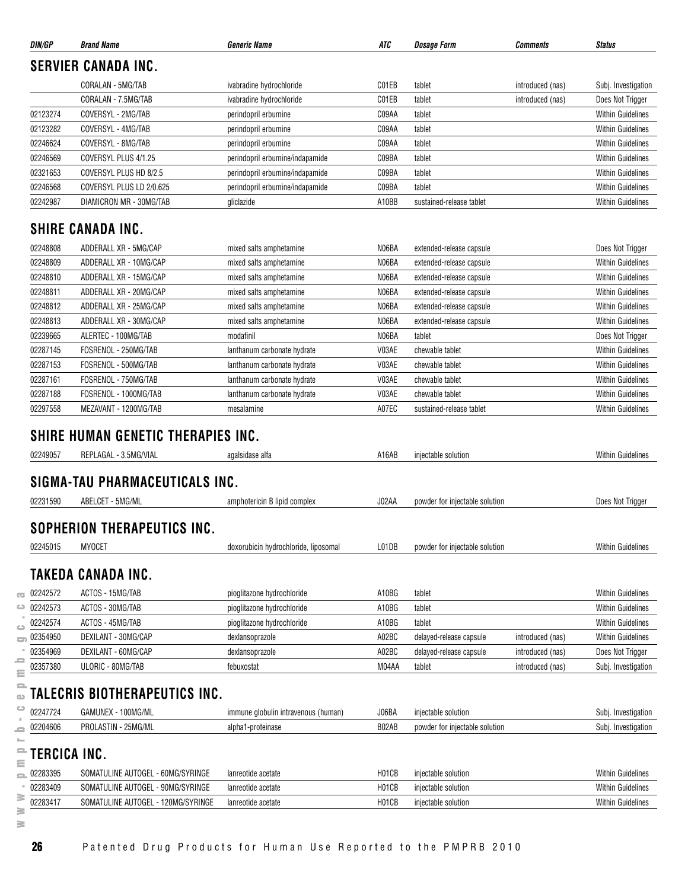|                                                          | <b>Brand Name</b>                                   | <b>Generic Name</b>                  | ATC   | <i><b>Dosage Form</b></i>      | Comments         | <b>Status</b>                                                                                                                                                                                                                                                         |
|----------------------------------------------------------|-----------------------------------------------------|--------------------------------------|-------|--------------------------------|------------------|-----------------------------------------------------------------------------------------------------------------------------------------------------------------------------------------------------------------------------------------------------------------------|
|                                                          | <b>SERVIER CANADA INC.</b>                          |                                      |       |                                |                  |                                                                                                                                                                                                                                                                       |
|                                                          | CORALAN - 5MG/TAB                                   | ivabradine hydrochloride             | C01EB | tablet                         | introduced (nas) | Subj. Investigation                                                                                                                                                                                                                                                   |
|                                                          | CORALAN - 7.5MG/TAB                                 | ivabradine hydrochloride             | C01EB | tablet                         | introduced (nas) | Does Not Trigger                                                                                                                                                                                                                                                      |
| 02123274                                                 | COVERSYL - 2MG/TAB                                  | perindopril erbumine                 | C09AA | tablet                         |                  | <b>Within Guidelines</b>                                                                                                                                                                                                                                              |
| 02123282                                                 | COVERSYL - 4MG/TAB                                  | perindopril erbumine                 | C09AA | tablet                         |                  | <b>Within Guidelines</b>                                                                                                                                                                                                                                              |
| 02246624                                                 | COVERSYL - 8MG/TAB                                  | perindopril erbumine                 | C09AA | tablet                         |                  | <b>Within Guidelines</b>                                                                                                                                                                                                                                              |
| 02246569                                                 | COVERSYL PLUS 4/1.25                                | perindopril erbumine/indapamide      | C09BA | tablet                         |                  | <b>Within Guidelines</b>                                                                                                                                                                                                                                              |
| 02321653                                                 | COVERSYL PLUS HD 8/2.5                              | perindopril erbumine/indapamide      | C09BA | tablet                         |                  | <b>Within Guidelines</b>                                                                                                                                                                                                                                              |
| 02246568                                                 | COVERSYL PLUS LD 2/0.625                            | perindopril erbumine/indapamide      | C09BA | tablet                         |                  | <b>Within Guidelines</b>                                                                                                                                                                                                                                              |
| 02242987                                                 | DIAMICRON MR - 30MG/TAB                             | gliclazide                           | A10BB | sustained-release tablet       |                  | <b>Within Guidelines</b>                                                                                                                                                                                                                                              |
|                                                          | <b>SHIRE CANADA INC.</b>                            |                                      |       |                                |                  |                                                                                                                                                                                                                                                                       |
| 02248808                                                 | ADDERALL XR - 5MG/CAP                               | mixed salts amphetamine              | N06BA | extended-release capsule       |                  | Does Not Trigger                                                                                                                                                                                                                                                      |
| 02248809                                                 | ADDERALL XR - 10MG/CAP                              | mixed salts amphetamine              | N06BA | extended-release capsule       |                  | <b>Within Guidelines</b>                                                                                                                                                                                                                                              |
| 02248810                                                 | ADDERALL XR - 15MG/CAP                              | mixed salts amphetamine              | N06BA | extended-release capsule       |                  | <b>Within Guidelines</b>                                                                                                                                                                                                                                              |
| 02248811                                                 | ADDERALL XR - 20MG/CAP                              | mixed salts amphetamine              | N06BA | extended-release capsule       |                  | <b>Within Guidelines</b>                                                                                                                                                                                                                                              |
| 02248812                                                 | ADDERALL XR - 25MG/CAP                              | mixed salts amphetamine              | N06BA | extended-release capsule       |                  | <b>Within Guidelines</b>                                                                                                                                                                                                                                              |
| 02248813                                                 | ADDERALL XR - 30MG/CAP                              | mixed salts amphetamine              | N06BA | extended-release capsule       |                  | <b>Within Guidelines</b>                                                                                                                                                                                                                                              |
| 02239665                                                 | ALERTEC - 100MG/TAB                                 | modafinil                            | N06BA | tablet                         |                  | Does Not Trigger                                                                                                                                                                                                                                                      |
| 02287145                                                 | FOSRENOL - 250MG/TAB                                | lanthanum carbonate hydrate          | V03AE | chewable tablet                |                  | <b>Within Guidelines</b>                                                                                                                                                                                                                                              |
| 02287153                                                 | FOSRENOL - 500MG/TAB                                | lanthanum carbonate hydrate          | V03AE | chewable tablet                |                  | <b>Within Guidelines</b>                                                                                                                                                                                                                                              |
| 02287161                                                 | FOSRENOL - 750MG/TAB                                | lanthanum carbonate hydrate          | V03AE | chewable tablet                |                  | <b>Within Guidelines</b>                                                                                                                                                                                                                                              |
| 02287188                                                 | FOSRENOL - 1000MG/TAB                               | lanthanum carbonate hydrate          | V03AE | chewable tablet                |                  | <b>Within Guidelines</b>                                                                                                                                                                                                                                              |
| 02297558                                                 | MEZAVANT - 1200MG/TAB                               | mesalamine                           | A07EC | sustained-release tablet       |                  | <b>Within Guidelines</b>                                                                                                                                                                                                                                              |
|                                                          | SHIRE HUMAN GENETIC THERAPIES INC.                  |                                      |       |                                |                  |                                                                                                                                                                                                                                                                       |
| 02249057                                                 | REPLAGAL - 3.5MG/VIAL                               | agalsidase alfa                      | A16AB | injectable solution            |                  | <b>Within Guidelines</b>                                                                                                                                                                                                                                              |
|                                                          | SIGMA-TAU PHARMACEUTICALS INC.                      |                                      |       |                                |                  |                                                                                                                                                                                                                                                                       |
| 02231590                                                 | ABELCET - 5MG/ML                                    | amphotericin B lipid complex         | J02AA | powder for injectable solution |                  | Does Not Trigger                                                                                                                                                                                                                                                      |
|                                                          |                                                     |                                      |       |                                |                  |                                                                                                                                                                                                                                                                       |
|                                                          | <b>SOPHERION THERAPEUTICS INC.</b><br><b>MYOCET</b> |                                      |       | powder for injectable solution |                  |                                                                                                                                                                                                                                                                       |
|                                                          |                                                     | doxorubicin hydrochloride, liposomal | L01DB |                                |                  |                                                                                                                                                                                                                                                                       |
|                                                          | <b>TAKEDA CANADA INC.</b>                           |                                      |       |                                |                  |                                                                                                                                                                                                                                                                       |
|                                                          | ACTOS - 15MG/TAB                                    | pioglitazone hydrochloride           | A10BG | tablet                         |                  |                                                                                                                                                                                                                                                                       |
|                                                          | ACTOS - 30MG/TAB                                    | pioglitazone hydrochloride           | A10BG | tablet                         |                  |                                                                                                                                                                                                                                                                       |
|                                                          | ACTOS - 45MG/TAB                                    | pioglitazone hydrochloride           | A10BG | tablet                         |                  |                                                                                                                                                                                                                                                                       |
| 02245015<br>02242572<br>02242573<br>02242574<br>02354950 | DEXILANT - 30MG/CAP                                 | dexlansoprazole                      | A02BC | delayed-release capsule        | introduced (nas) |                                                                                                                                                                                                                                                                       |
| 02354969                                                 | DEXILANT - 60MG/CAP                                 | dexlansoprazole                      | A02BC | delayed-release capsule        | introduced (nas) |                                                                                                                                                                                                                                                                       |
| 02357380                                                 | ULORIC - 80MG/TAB                                   | febuxostat                           | M04AA | tablet                         | introduced (nas) |                                                                                                                                                                                                                                                                       |
|                                                          | TALECRIS BIOTHERAPEUTICS INC.                       |                                      |       |                                |                  |                                                                                                                                                                                                                                                                       |
|                                                          | GAMUNEX - 100MG/ML                                  | immune globulin intravenous (human)  | J06BA | injectable solution            |                  |                                                                                                                                                                                                                                                                       |
|                                                          | PROLASTIN - 25MG/ML                                 | alpha1-proteinase                    | B02AB | powder for injectable solution |                  |                                                                                                                                                                                                                                                                       |
|                                                          |                                                     |                                      |       |                                |                  |                                                                                                                                                                                                                                                                       |
| TERCICA INC.                                             | SOMATULINE AUTOGEL - 60MG/SYRINGE                   | lanreotide acetate                   | H01CB | injectable solution            |                  | Does Not Trigger                                                                                                                                                                                                                                                      |
| 02247724<br>02204606<br>02283395<br>02283409             | SOMATULINE AUTOGEL - 90MG/SYRINGE                   | lanreotide acetate                   | H01CB | injectable solution            |                  | <b>Within Guidelines</b><br><b>Within Guidelines</b><br><b>Within Guidelines</b><br><b>Within Guidelines</b><br><b>Within Guidelines</b><br>Subj. Investigation<br>Subj. Investigation<br>Subj. Investigation<br><b>Within Guidelines</b><br><b>Within Guidelines</b> |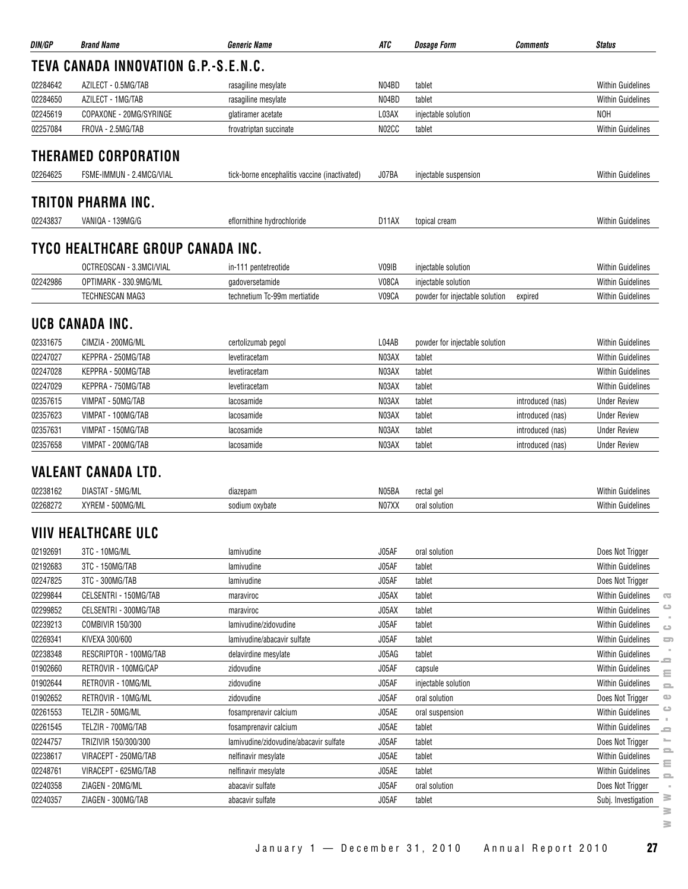| DIN/GP   | <b>Brand Name</b>                    | <b>Generic Name</b>                           | ATC                | <b>Dosage Form</b>             | <b>Comments</b>  | <b>Status</b>            |                         |
|----------|--------------------------------------|-----------------------------------------------|--------------------|--------------------------------|------------------|--------------------------|-------------------------|
|          | TEVA CANADA INNOVATION G.P.-S.E.N.C. |                                               |                    |                                |                  |                          |                         |
| 02284642 | AZILECT - 0.5MG/TAB                  | rasagiline mesylate                           | N04BD              | tablet                         |                  | <b>Within Guidelines</b> |                         |
| 02284650 | AZILECT - 1MG/TAB                    | rasagiline mesylate                           | N04BD              | tablet                         |                  | <b>Within Guidelines</b> |                         |
| 02245619 | COPAXONE - 20MG/SYRINGE              | glatiramer acetate                            | L03AX              | injectable solution            |                  | <b>NOH</b>               |                         |
| 02257084 | FROVA - 2.5MG/TAB                    | frovatriptan succinate                        | N02CC              | tablet                         |                  | <b>Within Guidelines</b> |                         |
|          | <b>THERAMED CORPORATION</b>          |                                               |                    |                                |                  |                          |                         |
| 02264625 | FSME-IMMUN - 2.4MCG/VIAL             | tick-borne encephalitis vaccine (inactivated) | J07BA              | injectable suspension          |                  | <b>Within Guidelines</b> |                         |
|          |                                      |                                               |                    |                                |                  |                          |                         |
|          | TRITON PHARMA INC.                   |                                               |                    |                                |                  |                          |                         |
| 02243837 | VANIQA - 139MG/G                     | eflornithine hydrochloride                    | D <sub>1</sub> 1AX | topical cream                  |                  | <b>Within Guidelines</b> |                         |
|          | TYCO HEALTHCARE GROUP CANADA INC.    |                                               |                    |                                |                  |                          |                         |
|          | OCTREOSCAN - 3.3MCI/VIAL             | in-111 pentetreotide                          | V09IB              | injectable solution            |                  | <b>Within Guidelines</b> |                         |
| 02242986 | OPTIMARK - 330.9MG/ML                | gadoversetamide                               | V08CA              | injectable solution            |                  | <b>Within Guidelines</b> |                         |
|          | <b>TECHNESCAN MAG3</b>               | technetium Tc-99m mertiatide                  | V09CA              | powder for injectable solution | expired          | <b>Within Guidelines</b> |                         |
|          |                                      |                                               |                    |                                |                  |                          |                         |
|          | UCB CANADA INC.                      |                                               |                    |                                |                  |                          |                         |
| 02331675 | CIMZIA - 200MG/ML                    | certolizumab pegol                            | L04AB              | powder for injectable solution |                  | <b>Within Guidelines</b> |                         |
| 02247027 | KEPPRA - 250MG/TAB                   | levetiracetam                                 | N03AX              | tablet                         |                  | <b>Within Guidelines</b> |                         |
| 02247028 | KEPPRA - 500MG/TAB                   | levetiracetam                                 | N03AX              | tablet                         |                  | <b>Within Guidelines</b> |                         |
| 02247029 | KEPPRA - 750MG/TAB                   | levetiracetam                                 | N03AX              | tablet                         |                  | <b>Within Guidelines</b> |                         |
| 02357615 | VIMPAT - 50MG/TAB                    | lacosamide                                    | N03AX              | tablet                         | introduced (nas) | <b>Under Review</b>      |                         |
| 02357623 | VIMPAT - 100MG/TAB                   | lacosamide                                    | N03AX              | tablet                         | introduced (nas) | <b>Under Review</b>      |                         |
| 02357631 | VIMPAT - 150MG/TAB                   | lacosamide                                    | N03AX              | tablet                         | introduced (nas) | <b>Under Review</b>      |                         |
| 02357658 | VIMPAT - 200MG/TAB                   | lacosamide                                    | N03AX              | tablet                         | introduced (nas) | <b>Under Review</b>      |                         |
|          | <b>VALEANT CANADA LTD.</b>           |                                               |                    |                                |                  |                          |                         |
| 02238162 | DIASTAT - 5MG/ML                     | diazepam                                      | N05BA              | rectal gel                     |                  | <b>Within Guidelines</b> |                         |
| 02268272 | XYREM - 500MG/ML                     | sodium oxybate                                | N07XX              | oral solution                  |                  | <b>Within Guidelines</b> |                         |
|          | <b>VIIV HEALTHCARE ULC</b>           |                                               |                    |                                |                  |                          |                         |
| 02192691 | 3TC - 10MG/ML                        | lamivudine                                    | J05AF              | oral solution                  |                  | Does Not Trigger         |                         |
| 02192683 | 3TC - 150MG/TAB                      | lamivudine                                    | J05AF              | tablet                         |                  | <b>Within Guidelines</b> |                         |
| 02247825 | 3TC - 300MG/TAB                      | lamivudine                                    | J05AF              | tablet                         |                  | Does Not Trigger         |                         |
| 02299844 | CELSENTRI - 150MG/TAB                | maraviroc                                     | J05AX              | tablet                         |                  | Within Guidelines        | $\overline{\mathbb{C}}$ |
| 02299852 | CELSENTRI - 300MG/TAB                | maraviroc                                     | J05AX              | tablet                         |                  | <b>Within Guidelines</b> | ت                       |
| 02239213 | COMBIVIR 150/300                     | lamivudine/zidovudine                         | J05AF              | tablet                         |                  | Within Guidelines        | $\circ$                 |
| 02269341 | KIVEXA 300/600                       | lamivudine/abacavir sulfate                   | J05AF              | tablet                         |                  | <b>Within Guidelines</b> | $\Box$                  |
| 02238348 | RESCRIPTOR - 100MG/TAB               | delavirdine mesylate                          | J05AG              | tablet                         |                  | <b>Within Guidelines</b> |                         |
| 01902660 | RETROVIR - 100MG/CAP                 | zidovudine                                    | J05AF              | capsule                        |                  | Within Guidelines        | ≘                       |
| 01902644 | RETROVIR - 10MG/ML                   | zidovudine                                    | J05AF              | injectable solution            |                  | Within Guidelines        | $\equiv$<br>$\equiv$    |
| 01902652 | RETROVIR - 10MG/ML                   | zidovudine                                    | J05AF              | oral solution                  |                  | Does Not Trigger         | $\circ$                 |
| 02261553 | TELZIR - 50MG/ML                     | fosamprenavir calcium                         | J05AE              | oral suspension                |                  | Within Guidelines        | $\circ$                 |
| 02261545 | TELZIR - 700MG/TAB                   | fosamprenavir calcium                         | J05AE              | tablet                         |                  | <b>Within Guidelines</b> |                         |
| 02244757 | TRIZIVIR 150/300/300                 | lamivudine/zidovudine/abacavir sulfate        | J05AF              | tablet                         |                  | Does Not Trigger         | =<br>$\equiv$           |
| 02238617 | VIRACEPT - 250MG/TAB                 | nelfinavir mesylate                           | J05AE              | tablet                         |                  | Within Guidelines        | $\equiv$                |
| 02248761 | VIRACEPT - 625MG/TAB                 | nelfinavir mesylate                           | J05AE              | tablet                         |                  | Within Guidelines        | $\equiv$                |
| 02240358 | ZIAGEN - 20MG/ML                     | abacavir sulfate                              | J05AF              | oral solution                  |                  | Does Not Trigger         | $\equiv$<br>$\sim$      |
| 02240357 | ZIAGEN - 300MG/TAB                   | abacavir sulfate                              | J05AF              | tablet                         |                  | Subj. Investigation      | $\geq$                  |
|          |                                      |                                               |                    |                                |                  |                          | $\geq$                  |
|          |                                      |                                               |                    |                                |                  |                          | ≋.                      |

 $\geq$